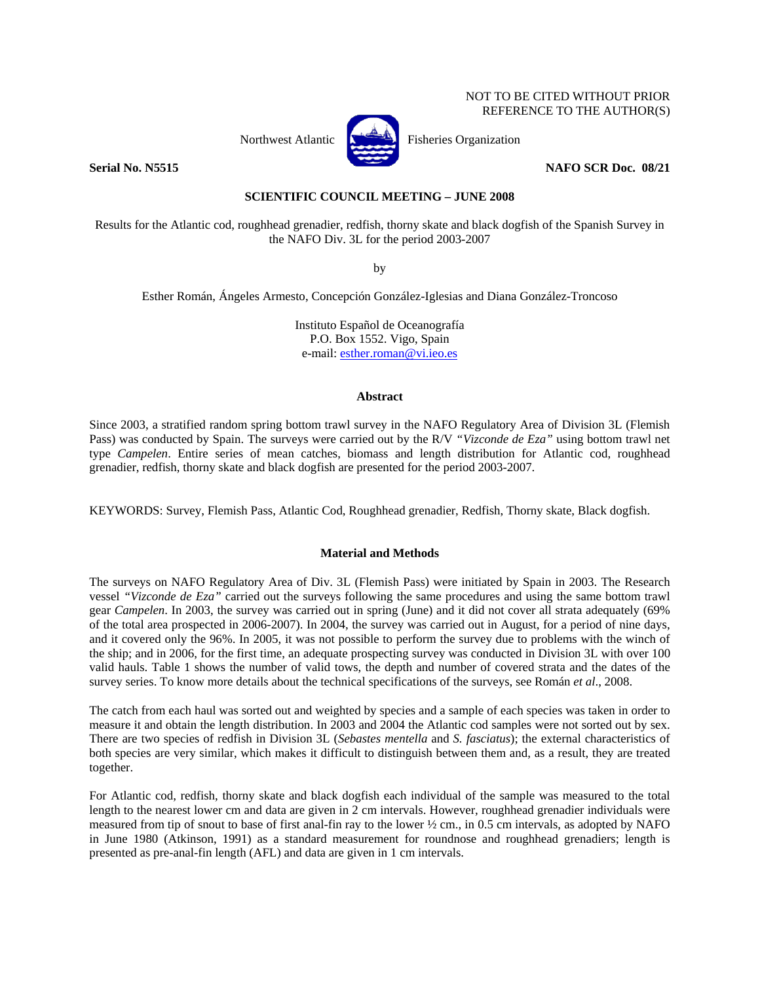# NOT TO BE CITED WITHOUT PRIOR REFERENCE TO THE AUTHOR(S)



Northwest Atlantic  $\begin{bmatrix} 1 & 1 \\ 1 & 1 \end{bmatrix}$  Fisheries Organization

**Serial No. N5515** NAFO SCR Doc. 08/21

# **SCIENTIFIC COUNCIL MEETING – JUNE 2008**

Results for the Atlantic cod, roughhead grenadier, redfish, thorny skate and black dogfish of the Spanish Survey in the NAFO Div. 3L for the period 2003-2007

by

Esther Román, Ángeles Armesto, Concepción González-Iglesias and Diana González-Troncoso

Instituto Español de Oceanografía P.O. Box 1552. Vigo, Spain e-mail: esther.roman@vi.ieo.es

### **Abstract**

Since 2003, a stratified random spring bottom trawl survey in the NAFO Regulatory Area of Division 3L (Flemish Pass) was conducted by Spain. The surveys were carried out by the R/V *"Vizconde de Eza"* using bottom trawl net type *Campelen*. Entire series of mean catches, biomass and length distribution for Atlantic cod, roughhead grenadier, redfish, thorny skate and black dogfish are presented for the period 2003-2007.

KEYWORDS: Survey, Flemish Pass, Atlantic Cod, Roughhead grenadier, Redfish, Thorny skate, Black dogfish.

# **Material and Methods**

The surveys on NAFO Regulatory Area of Div. 3L (Flemish Pass) were initiated by Spain in 2003. The Research vessel *"Vizconde de Eza"* carried out the surveys following the same procedures and using the same bottom trawl gear *Campelen*. In 2003, the survey was carried out in spring (June) and it did not cover all strata adequately (69% of the total area prospected in 2006-2007). In 2004, the survey was carried out in August, for a period of nine days, and it covered only the 96%. In 2005, it was not possible to perform the survey due to problems with the winch of the ship; and in 2006, for the first time, an adequate prospecting survey was conducted in Division 3L with over 100 valid hauls. Table 1 shows the number of valid tows, the depth and number of covered strata and the dates of the survey series. To know more details about the technical specifications of the surveys, see Román *et al*., 2008.

The catch from each haul was sorted out and weighted by species and a sample of each species was taken in order to measure it and obtain the length distribution. In 2003 and 2004 the Atlantic cod samples were not sorted out by sex. There are two species of redfish in Division 3L (*Sebastes mentella* and *S. fasciatus*); the external characteristics of both species are very similar, which makes it difficult to distinguish between them and, as a result, they are treated together.

For Atlantic cod, redfish, thorny skate and black dogfish each individual of the sample was measured to the total length to the nearest lower cm and data are given in 2 cm intervals. However, roughhead grenadier individuals were measured from tip of snout to base of first anal-fin ray to the lower ½ cm., in 0.5 cm intervals, as adopted by NAFO in June 1980 (Atkinson, 1991) as a standard measurement for roundnose and roughhead grenadiers; length is presented as pre-anal-fin length (AFL) and data are given in 1 cm intervals.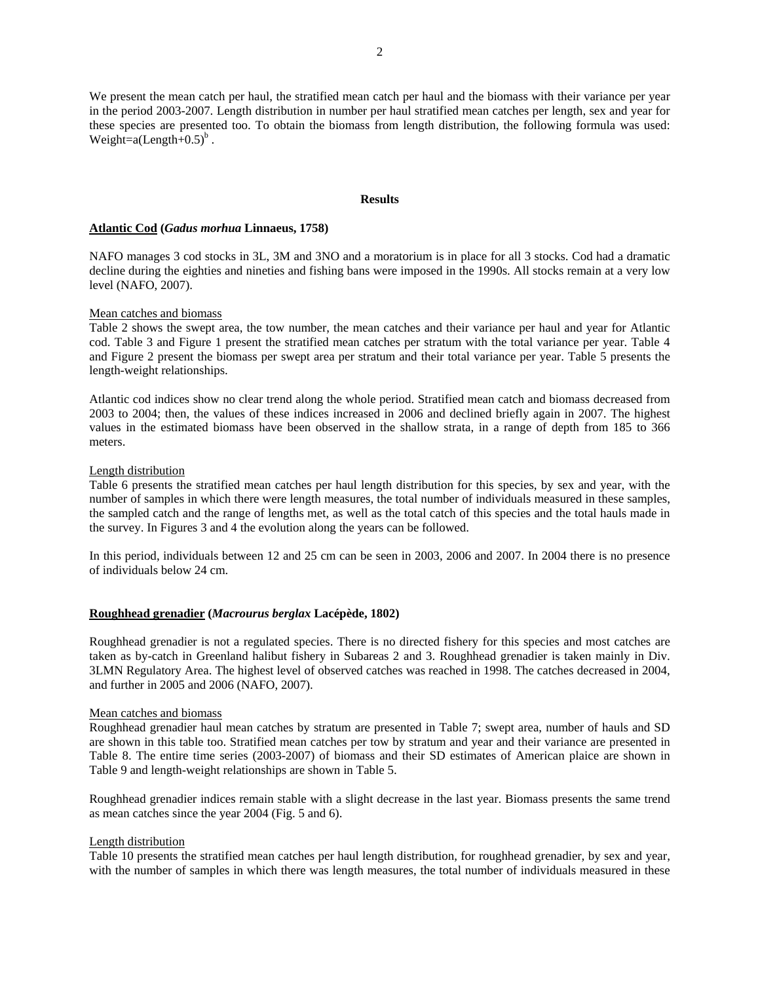We present the mean catch per haul, the stratified mean catch per haul and the biomass with their variance per year in the period 2003-2007. Length distribution in number per haul stratified mean catches per length, sex and year for these species are presented too. To obtain the biomass from length distribution, the following formula was used: Weight=a(Length+ $0.5$ )<sup>b</sup>.

#### **Results**

## **Atlantic Cod (***Gadus morhua* **Linnaeus, 1758)**

NAFO manages 3 cod stocks in 3L, 3M and 3NO and a moratorium is in place for all 3 stocks. Cod had a dramatic decline during the eighties and nineties and fishing bans were imposed in the 1990s. All stocks remain at a very low level (NAFO, 2007).

### Mean catches and biomass

Table 2 shows the swept area, the tow number, the mean catches and their variance per haul and year for Atlantic cod. Table 3 and Figure 1 present the stratified mean catches per stratum with the total variance per year. Table 4 and Figure 2 present the biomass per swept area per stratum and their total variance per year. Table 5 presents the length-weight relationships.

Atlantic cod indices show no clear trend along the whole period. Stratified mean catch and biomass decreased from 2003 to 2004; then, the values of these indices increased in 2006 and declined briefly again in 2007. The highest values in the estimated biomass have been observed in the shallow strata, in a range of depth from 185 to 366 meters.

### Length distribution

Table 6 presents the stratified mean catches per haul length distribution for this species, by sex and year, with the number of samples in which there were length measures, the total number of individuals measured in these samples, the sampled catch and the range of lengths met, as well as the total catch of this species and the total hauls made in the survey. In Figures 3 and 4 the evolution along the years can be followed.

In this period, individuals between 12 and 25 cm can be seen in 2003, 2006 and 2007. In 2004 there is no presence of individuals below 24 cm.

# **Roughhead grenadier (***Macrourus berglax* **Lacépède, 1802)**

Roughhead grenadier is not a regulated species. There is no directed fishery for this species and most catches are taken as by-catch in Greenland halibut fishery in Subareas 2 and 3. Roughhead grenadier is taken mainly in Div. 3LMN Regulatory Area. The highest level of observed catches was reached in 1998. The catches decreased in 2004, and further in 2005 and 2006 (NAFO, 2007).

#### Mean catches and biomass

Roughhead grenadier haul mean catches by stratum are presented in Table 7; swept area, number of hauls and SD are shown in this table too. Stratified mean catches per tow by stratum and year and their variance are presented in Table 8. The entire time series (2003-2007) of biomass and their SD estimates of American plaice are shown in Table 9 and length-weight relationships are shown in Table 5.

Roughhead grenadier indices remain stable with a slight decrease in the last year. Biomass presents the same trend as mean catches since the year 2004 (Fig. 5 and 6).

# Length distribution

Table 10 presents the stratified mean catches per haul length distribution, for roughhead grenadier, by sex and year, with the number of samples in which there was length measures, the total number of individuals measured in these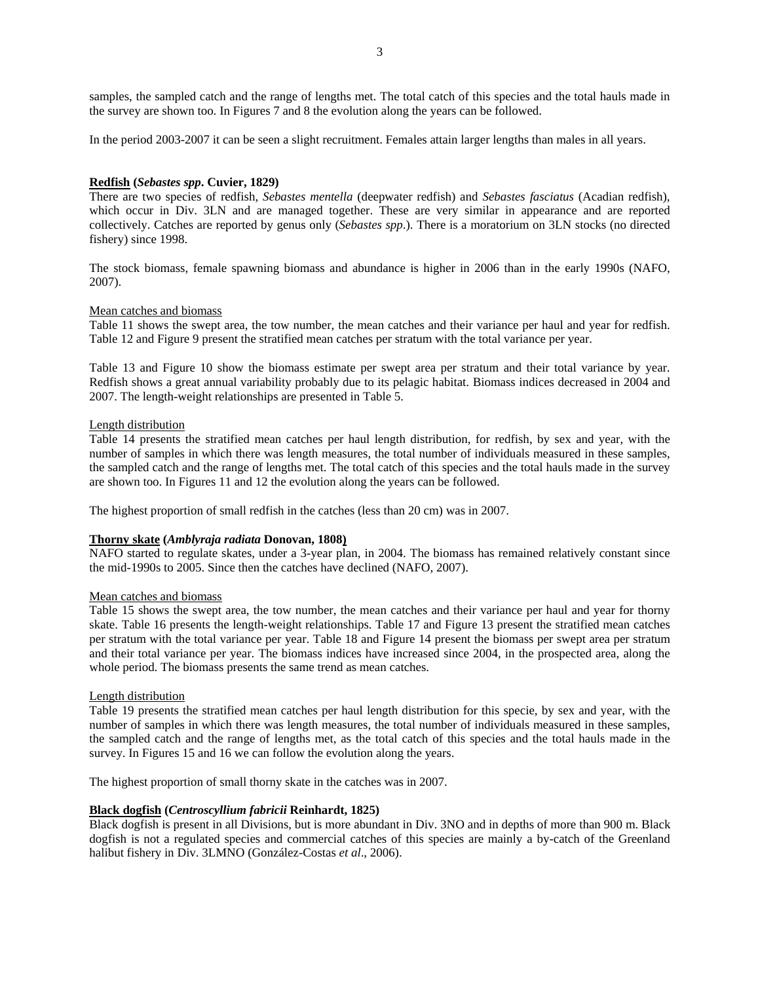samples, the sampled catch and the range of lengths met. The total catch of this species and the total hauls made in the survey are shown too. In Figures 7 and 8 the evolution along the years can be followed.

In the period 2003-2007 it can be seen a slight recruitment. Females attain larger lengths than males in all years.

# **Redfish (***Sebastes spp***. Cuvier, 1829)**

There are two species of redfish, *Sebastes mentella* (deepwater redfish) and *Sebastes fasciatus* (Acadian redfish), which occur in Div. 3LN and are managed together. These are very similar in appearance and are reported collectively. Catches are reported by genus only (*Sebastes spp*.). There is a moratorium on 3LN stocks (no directed fishery) since 1998.

The stock biomass, female spawning biomass and abundance is higher in 2006 than in the early 1990s (NAFO, 2007).

### Mean catches and biomass

Table 11 shows the swept area, the tow number, the mean catches and their variance per haul and year for redfish. Table 12 and Figure 9 present the stratified mean catches per stratum with the total variance per year.

Table 13 and Figure 10 show the biomass estimate per swept area per stratum and their total variance by year. Redfish shows a great annual variability probably due to its pelagic habitat. Biomass indices decreased in 2004 and 2007. The length-weight relationships are presented in Table 5.

#### Length distribution

Table 14 presents the stratified mean catches per haul length distribution, for redfish, by sex and year, with the number of samples in which there was length measures, the total number of individuals measured in these samples, the sampled catch and the range of lengths met. The total catch of this species and the total hauls made in the survey are shown too. In Figures 11 and 12 the evolution along the years can be followed.

The highest proportion of small redfish in the catches (less than 20 cm) was in 2007.

## **Thorny skate (***Amblyraja radiata* **Donovan, 1808)**

NAFO started to regulate skates, under a 3-year plan, in 2004. The biomass has remained relatively constant since the mid-1990s to 2005. Since then the catches have declined (NAFO, 2007).

## Mean catches and biomass

Table 15 shows the swept area, the tow number, the mean catches and their variance per haul and year for thorny skate. Table 16 presents the length-weight relationships. Table 17 and Figure 13 present the stratified mean catches per stratum with the total variance per year. Table 18 and Figure 14 present the biomass per swept area per stratum and their total variance per year. The biomass indices have increased since 2004, in the prospected area, along the whole period. The biomass presents the same trend as mean catches.

### Length distribution

Table 19 presents the stratified mean catches per haul length distribution for this specie, by sex and year, with the number of samples in which there was length measures, the total number of individuals measured in these samples, the sampled catch and the range of lengths met, as the total catch of this species and the total hauls made in the survey. In Figures 15 and 16 we can follow the evolution along the years.

The highest proportion of small thorny skate in the catches was in 2007.

#### **Black dogfish (***Centroscyllium fabricii* **Reinhardt, 1825)**

Black dogfish is present in all Divisions, but is more abundant in Div. 3NO and in depths of more than 900 m. Black dogfish is not a regulated species and commercial catches of this species are mainly a by-catch of the Greenland halibut fishery in Div. 3LMNO (González-Costas *et al*., 2006).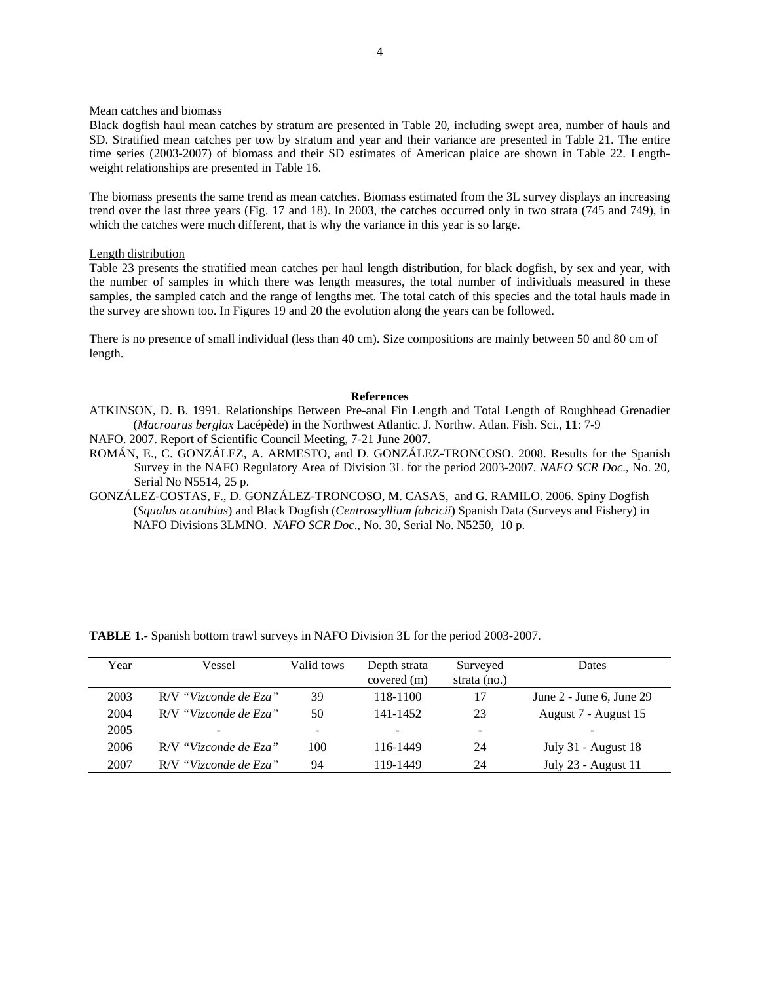#### Mean catches and biomass

Black dogfish haul mean catches by stratum are presented in Table 20, including swept area, number of hauls and SD. Stratified mean catches per tow by stratum and year and their variance are presented in Table 21. The entire time series (2003-2007) of biomass and their SD estimates of American plaice are shown in Table 22. Lengthweight relationships are presented in Table 16.

The biomass presents the same trend as mean catches. Biomass estimated from the 3L survey displays an increasing trend over the last three years (Fig. 17 and 18). In 2003, the catches occurred only in two strata (745 and 749), in which the catches were much different, that is why the variance in this year is so large.

#### Length distribution

Table 23 presents the stratified mean catches per haul length distribution, for black dogfish, by sex and year, with the number of samples in which there was length measures, the total number of individuals measured in these samples, the sampled catch and the range of lengths met. The total catch of this species and the total hauls made in the survey are shown too. In Figures 19 and 20 the evolution along the years can be followed.

There is no presence of small individual (less than 40 cm). Size compositions are mainly between 50 and 80 cm of length.

#### **References**

- ATKINSON, D. B. 1991. Relationships Between Pre-anal Fin Length and Total Length of Roughhead Grenadier (*Macrourus berglax* Lacépède) in the Northwest Atlantic. J. Northw. Atlan. Fish. Sci., **11**: 7-9
- NAFO. 2007. Report of Scientific Council Meeting, 7-21 June 2007.
- ROMÁN, E., C. GONZÁLEZ, A. ARMESTO, and D. GONZÁLEZ-TRONCOSO. 2008. Results for the Spanish Survey in the NAFO Regulatory Area of Division 3L for the period 2003-2007. *NAFO SCR Doc*., No. 20, Serial No N5514, 25 p.
- GONZÁLEZ-COSTAS, F., D. GONZÁLEZ-TRONCOSO, M. CASAS, and G. RAMILO. 2006. Spiny Dogfish (*Squalus acanthias*) and Black Dogfish (*Centroscyllium fabricii*) Spanish Data (Surveys and Fishery) in NAFO Divisions 3LMNO. *NAFO SCR Doc*., No. 30, Serial No. N5250, 10 p.

| Year | Vessel                | Valid tows | Depth strata<br>covered (m) | Surveyed<br>strata $(no.)$ | Dates                        |
|------|-----------------------|------------|-----------------------------|----------------------------|------------------------------|
| 2003 | R/V "Vizconde de Eza" | 39         | 118-1100                    | 17                         | June $2$ - June 6, June $29$ |
| 2004 | R/V "Vizconde de Eza" | 50         | 141-1452                    | 23                         | August 7 - August 15         |
| 2005 |                       | -          |                             | ۰                          |                              |
| 2006 | R/V "Vizconde de Eza" | 100        | 116-1449                    | 24                         | July 31 - August 18          |
| 2007 | R/V "Vizconde de Eza" | 94         | 119-1449                    | 24                         | July 23 - August 11          |

**TABLE 1.-** Spanish bottom trawl surveys in NAFO Division 3L for the period 2003-2007.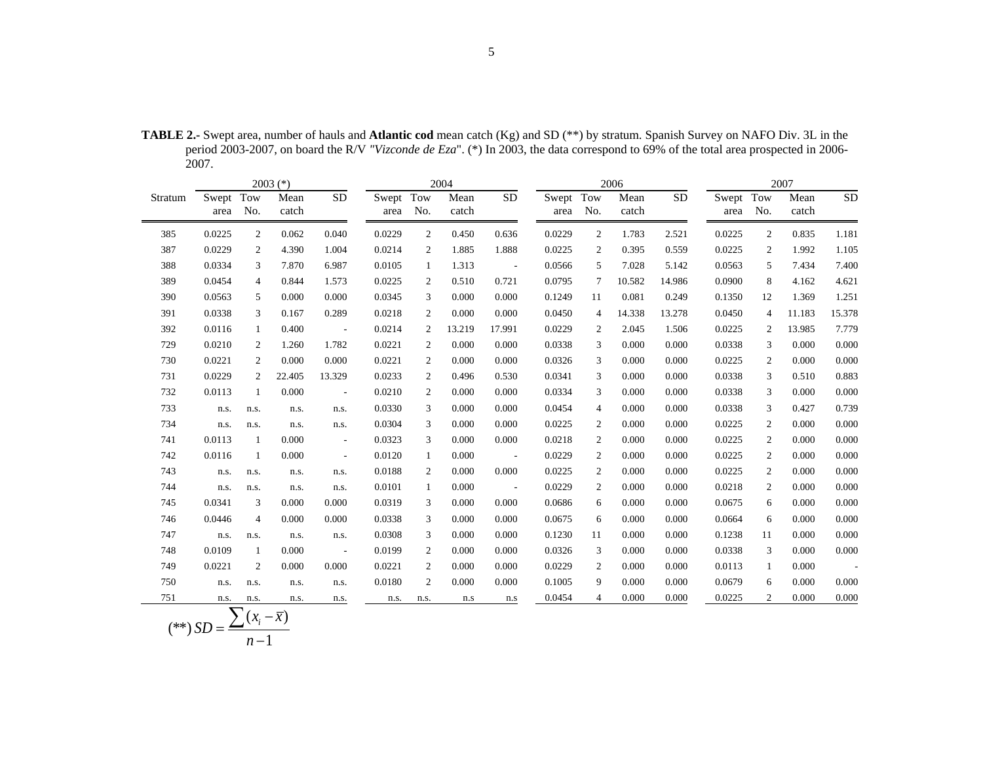|         |           |                           | $2003$ (*)    |                             |           |                | 2004          |                 | 2006      |                |               | 2007            |           |                |               |                 |
|---------|-----------|---------------------------|---------------|-----------------------------|-----------|----------------|---------------|-----------------|-----------|----------------|---------------|-----------------|-----------|----------------|---------------|-----------------|
| Stratum | Swept Tow | area No.                  | Mean<br>catch | $\overline{SD}$             | Swept Tow | area No.       | Mean<br>catch | $\overline{SD}$ | Swept Tow | area No.       | Mean<br>catch | $\overline{SD}$ | Swept Tow | area No.       | Mean<br>catch | $\overline{SD}$ |
| 385     | 0.0225    | $\overline{2}$            | 0.062         | 0.040                       | 0.0229    | $\overline{2}$ | 0.450         | 0.636           | 0.0229    | 2              | 1.783         | 2.521           | 0.0225    | 2              | 0.835         | 1.181           |
| 387     | 0.0229    | 2                         | 4.390         | 1.004                       | 0.0214    | 2              | 1.885         | 1.888           | 0.0225    | 2              | 0.395         | 0.559           | 0.0225    | 2              | 1.992         | 1.105           |
| 388     | 0.0334    | 3                         | 7.870         | 6.987                       | 0.0105    | 1              | 1.313         | $\sim 100$      | 0.0566    | 5              | 7.028         | 5.142           | 0.0563    | 5              | 7.434         | 7.400           |
| 389     | 0.0454    | $\overline{4}$            | 0.844         | 1.573                       | 0.0225    | 2              | 0.510         | 0.721           | 0.0795    | 7              | 10.582        | 14.986          | 0.0900    | 8              | 4.162         | 4.621           |
| 390     | 0.0563    | 5                         | 0.000         | 0.000                       | 0.0345    | 3              | 0.000         | 0.000           | 0.1249    | 11             | 0.081         | 0.249           | 0.1350    | 12             | 1.369         | 1.251           |
| 391     | 0.0338    | 3                         | 0.167         | 0.289                       | 0.0218    | 2              | 0.000         | 0.000           | 0.0450    | $\overline{4}$ | 14.338        | 13.278          | 0.0450    | $\overline{4}$ | 11.183        | 15.378          |
| 392     | 0.0116    | 1                         | 0.400         | $\sim 100$ m $^{-1}$        | 0.0214    | $\overline{c}$ | 13.219        | 17.991          | 0.0229    | 2              | 2.045         | 1.506           | 0.0225    | 2              | 13.985        | 7.779           |
| 729     | 0.0210    | 2                         | 1.260         | 1.782                       | 0.0221    | 2              | 0.000         | 0.000           | 0.0338    | 3              | 0.000         | 0.000           | 0.0338    | 3              | 0.000         | 0.000           |
| 730     | 0.0221    | $\overline{2}$            | 0.000         | 0.000                       | 0.0221    | $\overline{2}$ | 0.000         | 0.000           | 0.0326    | 3              | 0.000         | 0.000           | 0.0225    | 2              | 0.000         | 0.000           |
| 731     | 0.0229    | 2                         | 22.405        | 13.329                      | 0.0233    | $\overline{c}$ | 0.496         | 0.530           | 0.0341    | 3              | 0.000         | 0.000           | 0.0338    | 3              | 0.510         | 0.883           |
| 732     | 0.0113    | 1                         | 0.000         | $\sim$                      | 0.0210    | 2              | 0.000         | 0.000           | 0.0334    | 3              | 0.000         | 0.000           | 0.0338    | 3              | 0.000         | 0.000           |
| 733     | n.s.      | n.s.                      | n.s.          | n.s.                        | 0.0330    | 3              | 0.000         | 0.000           | 0.0454    | $\overline{4}$ | 0.000         | 0.000           | 0.0338    | 3              | 0.427         | 0.739           |
| 734     | n.s.      | n.s.                      | n.s.          | n.s.                        | 0.0304    | 3              | 0.000         | 0.000           | 0.0225    | 2              | 0.000         | 0.000           | 0.0225    | 2              | 0.000         | 0.000           |
| 741     | 0.0113    | 1                         | 0.000         | $\overline{\phantom{a}}$    | 0.0323    | 3              | 0.000         | 0.000           | 0.0218    | 2              | 0.000         | 0.000           | 0.0225    | 2              | 0.000         | 0.000           |
| 742     | 0.0116    | 1                         | 0.000         | $\mathcal{L}_{\mathcal{A}}$ | 0.0120    | $\mathbf{1}$   | 0.000         | $\sim 100$      | 0.0229    | $\mathfrak{2}$ | 0.000         | 0.000           | 0.0225    | 2              | 0.000         | 0.000           |
| 743     | n.s.      | n.s.                      | n.s.          | n.s.                        | 0.0188    | 2              | 0.000         | 0.000           | 0.0225    | $\overline{2}$ | 0.000         | 0.000           | 0.0225    | 2              | 0.000         | 0.000           |
| 744     | n.s.      | n.s.                      | n.s.          | n.s.                        | 0.0101    | 1              | 0.000         | $\sim 100$      | 0.0229    | $\mathbf{2}$   | 0.000         | 0.000           | 0.0218    | 2              | 0.000         | 0.000           |
| 745     | 0.0341    | 3                         | 0.000         | 0.000                       | 0.0319    | 3              | 0.000         | 0.000           | 0.0686    | 6              | 0.000         | 0.000           | 0.0675    | 6              | 0.000         | 0.000           |
| 746     | 0.0446    | 4                         | 0.000         | 0.000                       | 0.0338    | 3              | 0.000         | 0.000           | 0.0675    | 6              | 0.000         | 0.000           | 0.0664    | 6              | 0.000         | 0.000           |
| 747     | n.s.      | n.s.                      | n.s.          | n.s.                        | 0.0308    | 3              | 0.000         | 0.000           | 0.1230    | 11             | 0.000         | 0.000           | 0.1238    | 11             | 0.000         | 0.000           |
| 748     | 0.0109    | 1                         | 0.000         | $\sim$                      | 0.0199    | 2              | 0.000         | 0.000           | 0.0326    | 3              | 0.000         | 0.000           | 0.0338    | 3              | 0.000         | 0.000           |
| 749     | 0.0221    | $\mathbf{2}$              | 0.000         | 0.000                       | 0.0221    | 2              | 0.000         | 0.000           | 0.0229    | 2              | 0.000         | 0.000           | 0.0113    | 1              | 0.000         | $\sim 100$      |
| 750     | n.s.      | n.s.                      | n.s.          | n.s.                        | 0.0180    | 2              | 0.000         | 0.000           | 0.1005    | 9              | 0.000         | 0.000           | 0.0679    | 6              | 0.000         | 0.000           |
| 751     | n.s.      | n.s.                      | n.s.          | n.s.                        | n.s.      | n.s.           | n.s           | n.s             | 0.0454    | $\overline{4}$ | 0.000         | 0.000           | 0.0225    | 2              | 0.000         | 0.000           |
|         |           | $\sum (r - \overline{r})$ |               |                             |           |                |               |                 |           |                |               |                 |           |                |               |                 |

**TABLE 2.-** Swept area, number of hauls and **Atlantic cod** mean catch (Kg) and SD (\*\*) by stratum. Spanish Survey on NAFO Div. 3L in the period 2003-2007, on board the R/V *"Vizconde de Eza*". (\*) In 2003, the data correspond to 69% of the total area prospected in 2006- 2007.

$$
(**) SD = \frac{\sum (x_i - \overline{x})}{n-1}
$$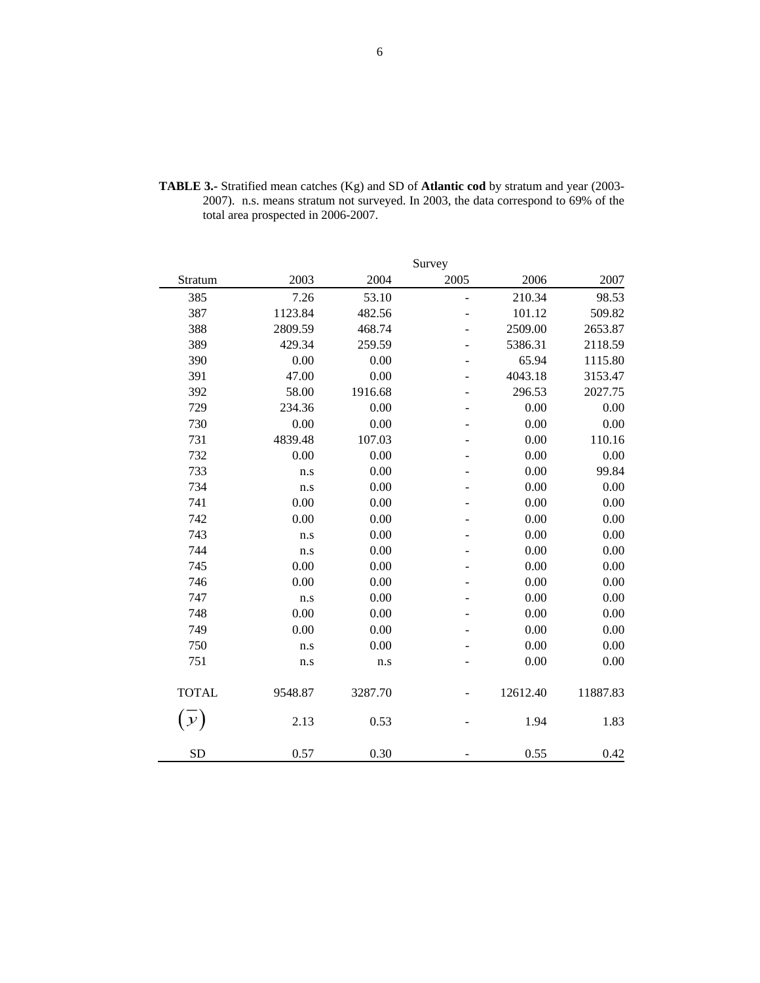|               |         |         | Survey         |          |          |
|---------------|---------|---------|----------------|----------|----------|
| Stratum       | 2003    | 2004    | 2005           | 2006     | 2007     |
| 385           | 7.26    | 53.10   | ÷              | 210.34   | 98.53    |
| 387           | 1123.84 | 482.56  | $\overline{a}$ | 101.12   | 509.82   |
| 388           | 2809.59 | 468.74  |                | 2509.00  | 2653.87  |
| 389           | 429.34  | 259.59  |                | 5386.31  | 2118.59  |
| 390           | 0.00    | 0.00    |                | 65.94    | 1115.80  |
| 391           | 47.00   | 0.00    | ÷              | 4043.18  | 3153.47  |
| 392           | 58.00   | 1916.68 | $\overline{a}$ | 296.53   | 2027.75  |
| 729           | 234.36  | 0.00    | $\overline{a}$ | 0.00     | 0.00     |
| 730           | 0.00    | 0.00    |                | 0.00     | 0.00     |
| 731           | 4839.48 | 107.03  |                | 0.00     | 110.16   |
| 732           | 0.00    | 0.00    |                | 0.00     | 0.00     |
| 733           | n.s     | 0.00    |                | 0.00     | 99.84    |
| 734           | n.s     | 0.00    |                | 0.00     | 0.00     |
| 741           | 0.00    | 0.00    |                | 0.00     | 0.00     |
| 742           | 0.00    | 0.00    |                | 0.00     | 0.00     |
| 743           | n.s     | 0.00    |                | 0.00     | 0.00     |
| 744           | n.s     | 0.00    |                | 0.00     | 0.00     |
| 745           | 0.00    | 0.00    | $\blacksquare$ | 0.00     | 0.00     |
| 746           | 0.00    | 0.00    |                | 0.00     | 0.00     |
| 747           | n.s     | 0.00    |                | 0.00     | 0.00     |
| 748           | 0.00    | 0.00    |                | 0.00     | 0.00     |
| 749           | 0.00    | 0.00    |                | 0.00     | 0.00     |
| 750           | n.s     | 0.00    |                | 0.00     | 0.00     |
| 751           | n.s     | n.s     |                | 0.00     | 0.00     |
| <b>TOTAL</b>  | 9548.87 | 3287.70 |                | 12612.40 | 11887.83 |
| $\mathcal{Y}$ | 2.13    | 0.53    |                | 1.94     | 1.83     |
| <b>SD</b>     | 0.57    | 0.30    |                | 0.55     | 0.42     |

**TABLE 3.-** Stratified mean catches (Kg) and SD of **Atlantic cod** by stratum and year (2003- 2007). n.s. means stratum not surveyed. In 2003, the data correspond to 69% of the total area prospected in 2006-2007.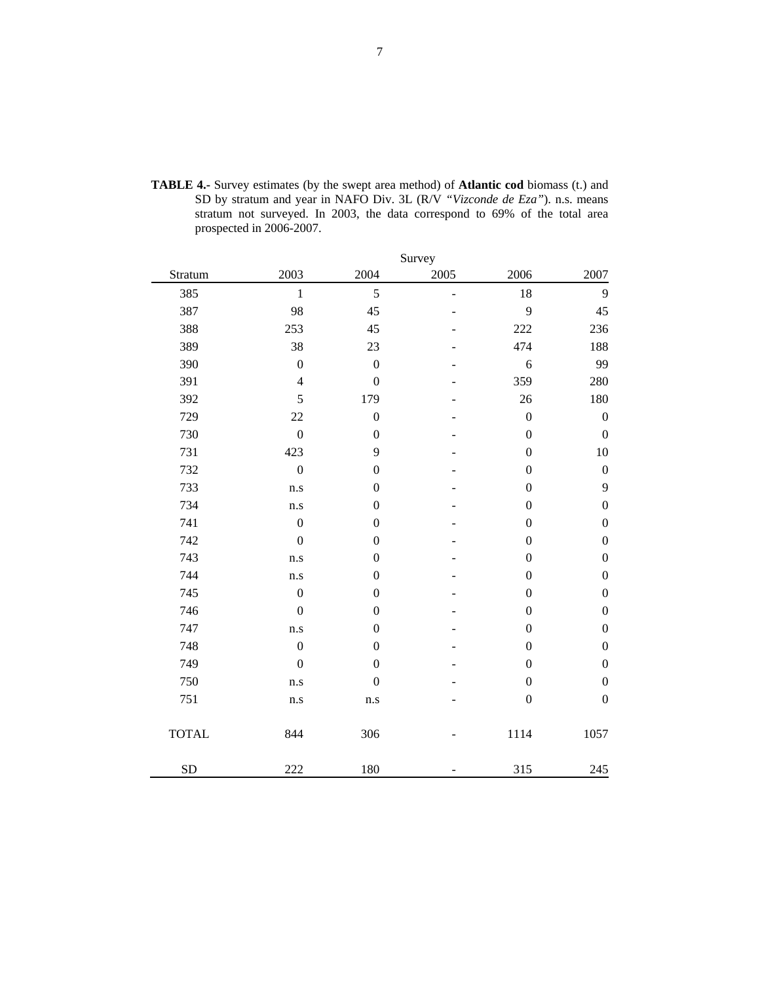|              |                         |                  | Survey         |                  |                  |
|--------------|-------------------------|------------------|----------------|------------------|------------------|
| Stratum      | 2003                    | 2004             | 2005           | 2006             | 2007             |
| 385          | $\mathbf{1}$            | 5                | $\overline{a}$ | 18               | 9                |
| 387          | 98                      | 45               |                | 9                | 45               |
| 388          | 253                     | 45               |                | 222              | 236              |
| 389          | 38                      | 23               |                | 474              | 188              |
| 390          | $\boldsymbol{0}$        | $\boldsymbol{0}$ |                | $\sqrt{6}$       | 99               |
| 391          | $\overline{4}$          | $\boldsymbol{0}$ |                | 359              | 280              |
| 392          | 5                       | 179              |                | 26               | 180              |
| 729          | 22                      | $\boldsymbol{0}$ |                | $\boldsymbol{0}$ | $\boldsymbol{0}$ |
| 730          | $\boldsymbol{0}$        | $\boldsymbol{0}$ |                | $\boldsymbol{0}$ | $\boldsymbol{0}$ |
| 731          | 423                     | 9                |                | $\boldsymbol{0}$ | 10               |
| 732          | $\boldsymbol{0}$        | $\boldsymbol{0}$ |                | $\boldsymbol{0}$ | $\boldsymbol{0}$ |
| 733          | n.s                     | $\boldsymbol{0}$ |                | $\boldsymbol{0}$ | 9                |
| 734          | $\rm n.s$               | $\boldsymbol{0}$ |                | $\boldsymbol{0}$ | $\boldsymbol{0}$ |
| 741          | $\boldsymbol{0}$        | $\boldsymbol{0}$ |                | $\boldsymbol{0}$ | $\boldsymbol{0}$ |
| 742          | $\boldsymbol{0}$        | $\boldsymbol{0}$ |                | $\boldsymbol{0}$ | $\boldsymbol{0}$ |
| 743          | n.s                     | $\boldsymbol{0}$ |                | $\boldsymbol{0}$ | $\boldsymbol{0}$ |
| 744          | n.s                     | $\boldsymbol{0}$ |                | $\boldsymbol{0}$ | $\boldsymbol{0}$ |
| 745          | $\boldsymbol{0}$        | $\boldsymbol{0}$ |                | $\boldsymbol{0}$ | $\boldsymbol{0}$ |
| 746          | $\boldsymbol{0}$        | $\boldsymbol{0}$ |                | $\boldsymbol{0}$ | $\boldsymbol{0}$ |
| 747          | n.s                     | $\boldsymbol{0}$ |                | $\boldsymbol{0}$ | $\boldsymbol{0}$ |
| 748          | $\boldsymbol{0}$        | $\boldsymbol{0}$ |                | $\boldsymbol{0}$ | $\boldsymbol{0}$ |
| 749          | $\boldsymbol{0}$        | $\boldsymbol{0}$ |                | $\boldsymbol{0}$ | $\boldsymbol{0}$ |
| 750          | n.s                     | $\boldsymbol{0}$ |                | $\boldsymbol{0}$ | $\boldsymbol{0}$ |
| 751          | $\mathbf{n}.\mathbf{s}$ | $\rm n.s$        |                | $\boldsymbol{0}$ | $\boldsymbol{0}$ |
| <b>TOTAL</b> | 844                     | 306              |                | 1114             | 1057             |
| SD           | 222                     | 180              |                | 315              | 245              |

**TABLE 4.-** Survey estimates (by the swept area method) of **Atlantic cod** biomass (t.) and SD by stratum and year in NAFO Div. 3L (R/V *"Vizconde de Eza"*). n.s. means stratum not surveyed. In 2003, the data correspond to 69% of the total area prospected in 2006-2007.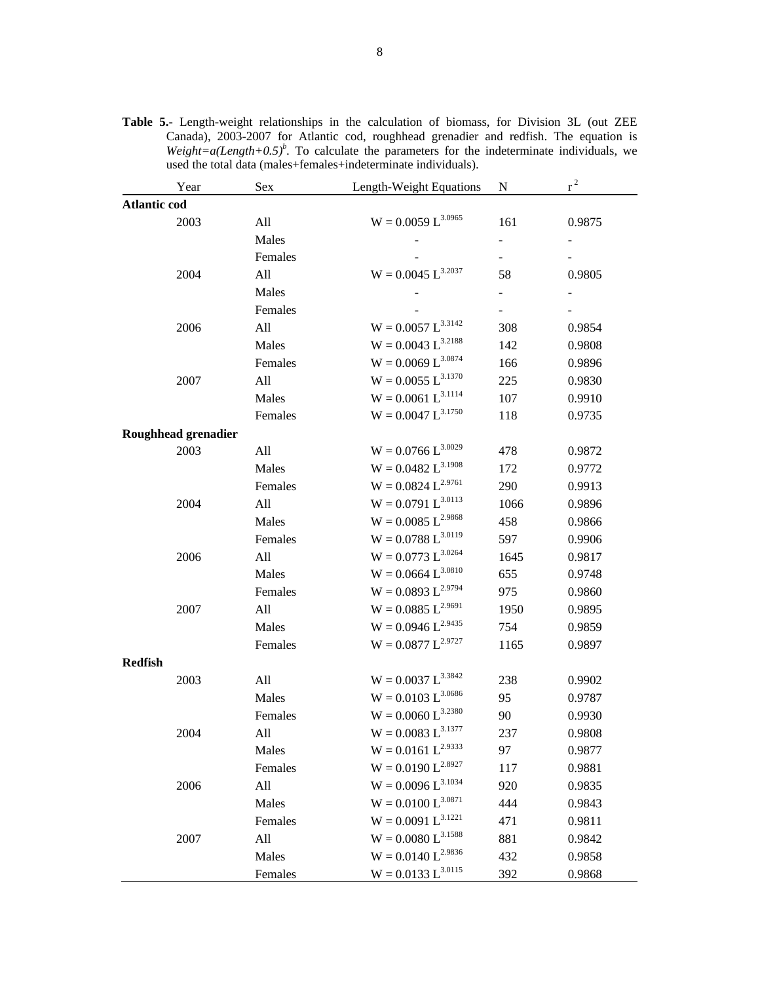|                     | Year                | Sex     | Length-Weight Equations | N    | $r^2$  |
|---------------------|---------------------|---------|-------------------------|------|--------|
| <b>Atlantic cod</b> |                     |         |                         |      |        |
|                     | 2003                | All     | $W = 0.0059 L^{3.0965}$ | 161  | 0.9875 |
|                     |                     | Males   |                         |      |        |
|                     |                     | Females |                         |      |        |
|                     | 2004                | All     | $W = 0.0045 L^{3.2037}$ | 58   | 0.9805 |
|                     |                     | Males   |                         |      |        |
|                     |                     | Females |                         |      |        |
|                     | 2006                | All     | $W = 0.0057 L^{3.3142}$ | 308  | 0.9854 |
|                     |                     | Males   | $W = 0.0043 L^{3.2188}$ | 142  | 0.9808 |
|                     |                     | Females | $W = 0.0069 L^{3.0874}$ | 166  | 0.9896 |
|                     | 2007                | All     | $W = 0.0055 L^{3.1370}$ | 225  | 0.9830 |
|                     |                     | Males   | $W = 0.0061 L^{3.1114}$ | 107  | 0.9910 |
|                     |                     | Females | $W = 0.0047 L^{3.1750}$ | 118  | 0.9735 |
|                     | Roughhead grenadier |         |                         |      |        |
|                     | 2003                | All     | $W = 0.0766 L^{3.0029}$ | 478  | 0.9872 |
|                     |                     | Males   | $W = 0.0482 L^{3.1908}$ | 172  | 0.9772 |
|                     |                     | Females | $W = 0.0824 L^{2.9761}$ | 290  | 0.9913 |
|                     | 2004                | All     | $W = 0.0791 L^{3.0113}$ | 1066 | 0.9896 |
|                     |                     | Males   | $W = 0.0085 L^{2.9868}$ | 458  | 0.9866 |
|                     |                     | Females | $W = 0.0788 L^{3.0119}$ | 597  | 0.9906 |
|                     | 2006                | All     | $W = 0.0773 L^{3.0264}$ | 1645 | 0.9817 |
|                     |                     | Males   | $W = 0.0664 L^{3.0810}$ | 655  | 0.9748 |
|                     |                     | Females | $W = 0.0893 L^{2.9794}$ | 975  | 0.9860 |
|                     | 2007                | All     | $W = 0.0885 L^{2.9691}$ | 1950 | 0.9895 |
|                     |                     | Males   | $W = 0.0946 L^{2.9435}$ | 754  | 0.9859 |
|                     |                     | Females | $W = 0.0877 L^{2.9727}$ | 1165 | 0.9897 |
| <b>Redfish</b>      |                     |         |                         |      |        |
|                     | 2003                | All     | $W = 0.0037 L^{3.3842}$ | 238  | 0.9902 |
|                     |                     | Males   | $W = 0.0103 L^{3.0686}$ | 95   | 0.9787 |
|                     |                     | Females | $W = 0.0060 L^{3.2380}$ | 90   | 0.9930 |
|                     | 2004                | All     | $W = 0.0083 L^{3.1377}$ | 237  | 0.9808 |
|                     |                     | Males   | $W = 0.0161 L^{2.9333}$ | 97   | 0.9877 |
|                     |                     | Females | $W = 0.0190 L^{2.8927}$ | 117  | 0.9881 |
|                     | 2006                | All     | $W = 0.0096 L^{3.1034}$ | 920  | 0.9835 |
|                     |                     | Males   | $W = 0.0100 L^{3.0871}$ | 444  | 0.9843 |
|                     |                     | Females | $W = 0.0091 L^{3.1221}$ | 471  | 0.9811 |
|                     | 2007                | All     | $W = 0.0080 L^{3.1588}$ | 881  | 0.9842 |
|                     |                     | Males   | $W = 0.0140 L^{2.9836}$ | 432  | 0.9858 |
|                     |                     | Females | $W = 0.0133 L^{3.0115}$ | 392  | 0.9868 |

**Table 5.-** Length-weight relationships in the calculation of biomass, for Division 3L (out ZEE Canada), 2003-2007 for Atlantic cod, roughhead grenadier and redfish. The equation is *Weight=a(Length+0.5)<sup>b</sup>*. To calculate the parameters for the indeterminate individuals, we used the total data (males+females+indeterminate individuals).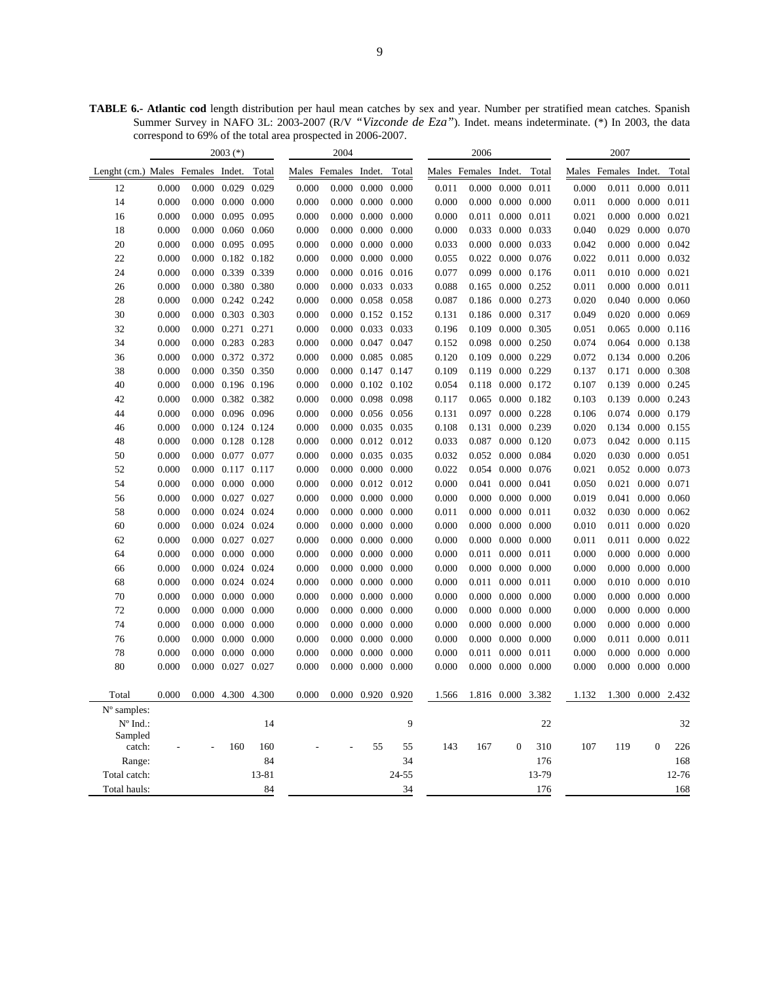**TABLE 6.- Atlantic cod** length distribution per haul mean catches by sex and year. Number per stratified mean catches. Spanish Summer Survey in NAFO 3L: 2003-2007 (R/V *"Vizconde de Eza"*). Indet. means indeterminate. (\*) In 2003, the data correspond to 69% of the total area prospected in 2006-2007.

|                                   |       | $2003$ (*)              |           |                      | 2004  |                         |                |       | 2006                 |                         |            |                      | 2007  |                         |       |
|-----------------------------------|-------|-------------------------|-----------|----------------------|-------|-------------------------|----------------|-------|----------------------|-------------------------|------------|----------------------|-------|-------------------------|-------|
| Lenght (cm.) Males Females Indet. |       |                         | Total     | Males Females Indet. |       |                         | Total          |       | Males Females Indet. |                         | Total      | Males Females Indet. |       |                         | Total |
| 12                                | 0.000 | $0.000$ $0.029$ $0.029$ |           | 0.000                |       | $0.000$ $0.000$ $0.000$ |                | 0.011 | 0.000                | 0.000 0.011             |            | 0.000                | 0.011 | 0.000                   | 0.011 |
| 14                                | 0.000 | $0.000$ $0.000$ $0.000$ |           | 0.000                |       | $0.000$ $0.000$ $0.000$ |                | 0.000 | 0.000                | $0.000 \quad 0.000$     |            | 0.011                |       | 0.000 0.000 0.011       |       |
| 16                                | 0.000 | 0.000 0.095 0.095       |           | 0.000                |       | $0.000$ $0.000$ $0.000$ |                | 0.000 |                      | 0.011 0.000 0.011       |            | 0.021                |       | 0.000 0.000 0.021       |       |
| 18                                | 0.000 | $0.000$ $0.060$ $0.060$ |           | 0.000                |       | $0.000$ $0.000$ $0.000$ |                | 0.000 | 0.033                | 0.000 0.033             |            | 0.040                | 0.029 | 0.000 0.070             |       |
| 20                                | 0.000 | 0.000 0.095 0.095       |           | 0.000                |       | $0.000$ $0.000$ $0.000$ |                | 0.033 | 0.000                | 0.000 0.033             |            | 0.042                |       | $0.000$ $0.000$ $0.042$ |       |
| 22                                | 0.000 | $0.000$ $0.182$ $0.182$ |           | 0.000                |       | $0.000$ $0.000$ $0.000$ |                | 0.055 | 0.022                | 0.000 0.076             |            | 0.022                |       | 0.011 0.000 0.032       |       |
| 24                                | 0.000 | 0.000 0.339 0.339       |           | 0.000                | 0.000 | 0.016 0.016             |                | 0.077 | 0.099                | 0.000                   | 0.176      | 0.011                |       | $0.010$ $0.000$ $0.021$ |       |
| 26                                | 0.000 | 0.000 0.380 0.380       |           | 0.000                |       | 0.000 0.033 0.033       |                | 0.088 | 0.165                | 0.000 0.252             |            | 0.011                |       | 0.000 0.000 0.011       |       |
| 28                                | 0.000 | $0.000$ $0.242$ $0.242$ |           | 0.000                |       | 0.000 0.058 0.058       |                | 0.087 | 0.186                | $0.000 \quad 0.273$     |            | 0.020                |       | $0.040$ $0.000$ $0.060$ |       |
| 30                                | 0.000 | 0.000 0.303 0.303       |           | 0.000                |       | $0.000$ $0.152$ $0.152$ |                | 0.131 | 0.186                | 0.000 0.317             |            | 0.049                |       | 0.020 0.000 0.069       |       |
| 32                                | 0.000 | 0.000 0.271 0.271       |           | 0.000                |       | 0.000 0.033 0.033       |                | 0.196 | 0.109                | 0.000 0.305             |            | 0.051                | 0.065 | $0.000 \quad 0.116$     |       |
| 34                                | 0.000 | 0.000 0.283 0.283       |           | 0.000                |       | 0.000 0.047 0.047       |                | 0.152 | 0.098                | 0.000 0.250             |            | 0.074                | 0.064 | 0.000 0.138             |       |
| 36                                | 0.000 | 0.000 0.372 0.372       |           | 0.000                |       | 0.000 0.085 0.085       |                | 0.120 | 0.109                | 0.000 0.229             |            | 0.072                |       | 0.134 0.000 0.206       |       |
| 38                                | 0.000 | 0.000 0.350 0.350       |           | 0.000                |       | 0.000 0.147 0.147       |                | 0.109 | 0.119                | 0.000 0.229             |            | 0.137                | 0.171 | 0.000 0.308             |       |
| 40                                | 0.000 | 0.000 0.196 0.196       |           | 0.000                |       | $0.000$ $0.102$ $0.102$ |                | 0.054 | 0.118                | 0.000 0.172             |            | 0.107                |       | 0.139 0.000 0.245       |       |
| 42                                | 0.000 | 0.000 0.382 0.382       |           | 0.000                |       | 0.000 0.098 0.098       |                | 0.117 | 0.065                | 0.000 0.182             |            | 0.103                | 0.139 | 0.000 0.243             |       |
| 44                                | 0.000 | 0.000 0.096 0.096       |           | 0.000                |       | $0.000$ $0.056$ $0.056$ |                | 0.131 | 0.097                | 0.000 0.228             |            | 0.106                |       | 0.074 0.000 0.179       |       |
| 46                                | 0.000 | 0.000 0.124 0.124       |           | 0.000                |       | 0.000 0.035 0.035       |                | 0.108 | 0.131                | 0.000 0.239             |            | 0.020                |       | 0.134 0.000 0.155       |       |
| 48                                | 0.000 | 0.000 0.128 0.128       |           | 0.000                |       | $0.000$ $0.012$ $0.012$ |                | 0.033 | 0.087                | $0.000 \quad 0.120$     |            | 0.073                |       | 0.042 0.000 0.115       |       |
| 50                                | 0.000 | 0.000 0.077 0.077       |           | 0.000                |       | 0.000 0.035 0.035       |                | 0.032 | 0.052                | 0.000 0.084             |            | 0.020                |       | 0.030 0.000 0.051       |       |
| 52                                | 0.000 | 0.000 0.117 0.117       |           | 0.000                |       | $0.000$ $0.000$ $0.000$ |                | 0.022 |                      | 0.054 0.000 0.076       |            | 0.021                |       | 0.052 0.000 0.073       |       |
| 54                                | 0.000 | $0.000$ $0.000$ $0.000$ |           | 0.000                |       | $0.000$ $0.012$ $0.012$ |                | 0.000 | 0.041                | 0.000 0.041             |            | 0.050                |       | 0.021 0.000 0.071       |       |
| 56                                | 0.000 | 0.000 0.027 0.027       |           | 0.000                |       | $0.000$ $0.000$ $0.000$ |                | 0.000 | 0.000                | $0.000 \quad 0.000$     |            | 0.019                | 0.041 | 0.000 0.060             |       |
| 58                                | 0.000 | $0.000$ $0.024$ $0.024$ |           | 0.000                |       | $0.000$ $0.000$ $0.000$ |                | 0.011 | 0.000                | 0.000 0.011             |            | 0.032                |       | 0.030 0.000 0.062       |       |
| 60                                | 0.000 | $0.000$ $0.024$ $0.024$ |           | 0.000                |       | $0.000$ $0.000$ $0.000$ |                | 0.000 | 0.000                | 0.000                   | 0.000      | 0.010                | 0.011 | $0.000 \quad 0.020$     |       |
| 62                                | 0.000 | 0.000 0.027 0.027       |           | 0.000                | 0.000 | $0.000 \quad 0.000$     |                | 0.000 | 0.000                | 0.000                   | 0.000      | 0.011                | 0.011 | 0.000 0.022             |       |
| 64                                | 0.000 | $0.000$ $0.000$ $0.000$ |           | 0.000                |       | $0.000$ $0.000$ $0.000$ |                | 0.000 | 0.011                | 0.000 0.011             |            | 0.000                |       | $0.000$ $0.000$ $0.000$ |       |
| 66                                | 0.000 | 0.000 0.024 0.024       |           | 0.000                | 0.000 | $0.000 \quad 0.000$     |                | 0.000 | 0.000                | $0.000 \quad 0.000$     |            | 0.000                |       | $0.000$ $0.000$ $0.000$ |       |
| 68                                | 0.000 | $0.000$ $0.024$ $0.024$ |           | 0.000                |       | $0.000$ $0.000$ $0.000$ |                | 0.000 | 0.011                | 0.000 0.011             |            | 0.000                |       | $0.010$ $0.000$ $0.010$ |       |
| 70                                | 0.000 | $0.000$ $0.000$ $0.000$ |           | 0.000                |       | $0.000$ $0.000$ $0.000$ |                | 0.000 | 0.000                | $0.000 \quad 0.000$     |            | 0.000                |       | $0.000$ $0.000$ $0.000$ |       |
| 72                                | 0.000 | $0.000$ $0.000$ $0.000$ |           | 0.000                |       | $0.000$ $0.000$ $0.000$ |                | 0.000 | 0.000                | $0.000 \quad 0.000$     |            | 0.000                |       | $0.000$ $0.000$ $0.000$ |       |
| 74                                | 0.000 | $0.000$ $0.000$ $0.000$ |           | 0.000                |       | $0.000$ $0.000$ $0.000$ |                | 0.000 | 0.000                | $0.000 \quad 0.000$     |            | 0.000                |       | $0.000$ $0.000$ $0.000$ |       |
| 76                                | 0.000 | $0.000$ $0.000$ $0.000$ |           | 0.000                |       | $0.000$ $0.000$ $0.000$ |                | 0.000 | 0.000                | 0.000                   | 0.000      | 0.000                | 0.011 | 0.000 0.011             |       |
| 78                                | 0.000 | $0.000$ $0.000$ $0.000$ |           | 0.000                |       | 0.000 0.000 0.000       |                | 0.000 | 0.011                | 0.000                   | 0.011      | 0.000                |       | 0.000 0.000 0.000       |       |
| 80                                | 0.000 | $0.000$ $0.027$ $0.027$ |           | 0.000                |       | $0.000$ $0.000$ $0.000$ |                | 0.000 |                      | $0.000$ $0.000$ $0.000$ |            | 0.000                |       | $0.000$ $0.000$ $0.000$ |       |
|                                   |       |                         |           |                      |       |                         |                |       |                      |                         |            |                      |       |                         |       |
| Total                             | 0.000 | 0.000 4.300 4.300       |           | 0.000                |       | 0.000 0.920 0.920       |                | 1.566 |                      | 1.816 0.000 3.382       |            | 1.132                |       | 1.300 0.000 2.432       |       |
| N° samples:                       |       |                         |           |                      |       |                         |                |       |                      |                         |            |                      |       |                         |       |
| $N^{\circ}$ Ind.:                 |       |                         | 14        |                      |       |                         | 9              |       |                      |                         | 22         |                      |       |                         | 32    |
| Sampled                           |       |                         |           |                      |       |                         |                |       |                      |                         |            |                      |       |                         |       |
| catch:                            |       | 160                     | 160<br>84 |                      |       | 55                      | 55<br>34       | 143   | 167                  | $\boldsymbol{0}$        | 310<br>176 | 107                  | 119   | $\boldsymbol{0}$        | 226   |
| Range:<br>Total catch:            |       |                         |           |                      |       |                         |                |       |                      |                         | 13-79      |                      |       |                         | 168   |
|                                   |       |                         | 13-81     |                      |       |                         | 24-55          |       |                      |                         |            |                      |       |                         | 12-76 |
| Total hauls:                      |       |                         | 84        |                      |       |                         | $\frac{34}{5}$ |       |                      |                         | 176        |                      |       |                         | 168   |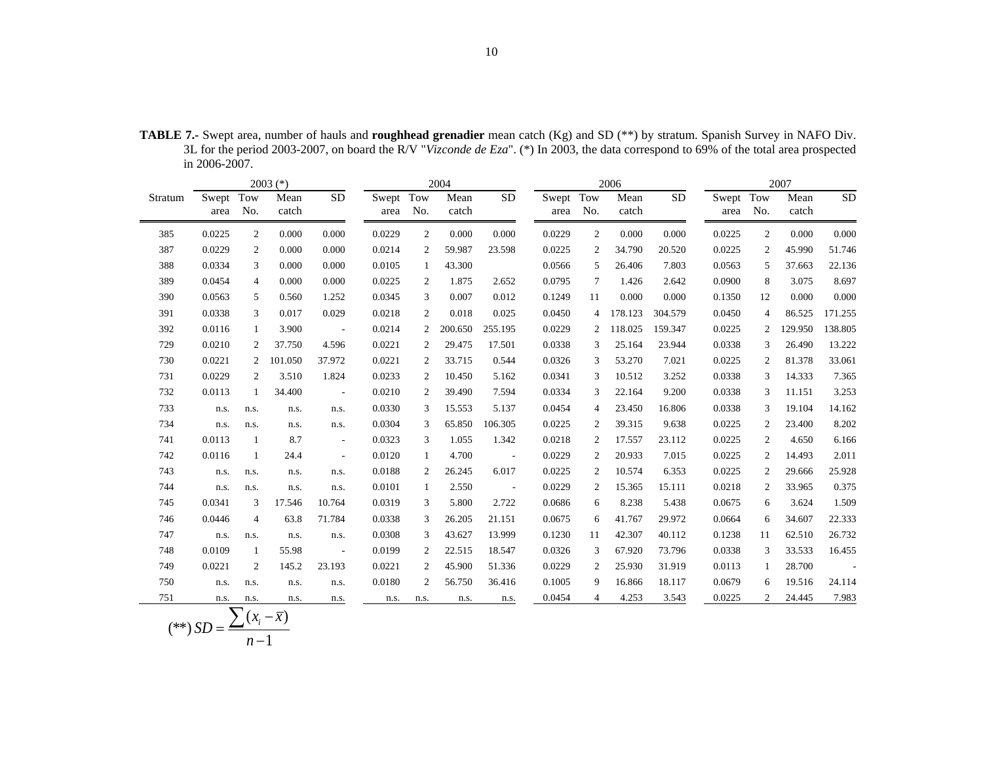|         |               |                | $2003$ (*)               |                          |                   |                | 2004          |            | 2006              |                |               |                 | 2007              |              |               |                 |
|---------|---------------|----------------|--------------------------|--------------------------|-------------------|----------------|---------------|------------|-------------------|----------------|---------------|-----------------|-------------------|--------------|---------------|-----------------|
| Stratum | Swept<br>area | Tow<br>No.     | Mean<br>catch            | <b>SD</b>                | Swept Tow<br>area | No.            | Mean<br>catch | <b>SD</b>  | Swept Tow<br>area | No.            | Mean<br>catch | $\overline{SD}$ | Swept Tow<br>area | No.          | Mean<br>catch | $\overline{SD}$ |
| 385     | 0.0225        | 2              | 0.000                    | 0.000                    | 0.0229            | $\overline{2}$ | 0.000         | 0.000      | 0.0229            | 2              | 0.000         | 0.000           | 0.0225            | 2            | 0.000         | 0.000           |
| 387     | 0.0229        | 2              | 0.000                    | 0.000                    | 0.0214            | 2              | 59.987        | 23.598     | 0.0225            | 2              | 34.790        | 20.520          | 0.0225            | 2            | 45.990        | 51.746          |
| 388     | 0.0334        | 3              | 0.000                    | 0.000                    | 0.0105            | $\mathbf{1}$   | 43.300        |            | 0.0566            | 5              | 26.406        | 7.803           | 0.0563            | 5            | 37.663        | 22.136          |
| 389     | 0.0454        | $\overline{4}$ | 0.000                    | 0.000                    | 0.0225            | 2              | 1.875         | 2.652      | 0.0795            | 7              | 1.426         | 2.642           | 0.0900            | 8            | 3.075         | 8.697           |
| 390     | 0.0563        | 5              | 0.560                    | 1.252                    | 0.0345            | 3              | 0.007         | 0.012      | 0.1249            | 11             | 0.000         | 0.000           | 0.1350            | 12           | 0.000         | 0.000           |
| 391     | 0.0338        | 3              | 0.017                    | 0.029                    | 0.0218            | $\overline{2}$ | 0.018         | 0.025      | 0.0450            | 4              | 178.123       | 304.579         | 0.0450            | 4            | 86.525        | 171.255         |
| 392     | 0.0116        | 1              | 3.900                    | $\sim 100$ km s $^{-1}$  | 0.0214            | 2              | 200.650       | 255.195    | 0.0229            |                | 118.025       | 159.347         | 0.0225            | 2            | 129.950       | 138.805         |
| 729     | 0.0210        | 2              | 37.750                   | 4.596                    | 0.0221            | 2              | 29.475        | 17.501     | 0.0338            | 3              | 25.164        | 23.944          | 0.0338            | 3            | 26.490        | 13.222          |
| 730     | 0.0221        | 2              | 101.050                  | 37.972                   | 0.0221            | 2              | 33.715        | 0.544      | 0.0326            | 3              | 53.270        | 7.021           | 0.0225            | 2            | 81.378        | 33.061          |
| 731     | 0.0229        | 2              | 3.510                    | 1.824                    | 0.0233            | 2              | 10.450        | 5.162      | 0.0341            | 3              | 10.512        | 3.252           | 0.0338            | 3            | 14.333        | 7.365           |
| 732     | 0.0113        | 1              | 34.400                   | $\overline{\phantom{a}}$ | 0.0210            | 2              | 39.490        | 7.594      | 0.0334            | 3              | 22.164        | 9.200           | 0.0338            | 3            | 11.151        | 3.253           |
| 733     | n.s.          | n.s.           | n.s.                     | n.s.                     | 0.0330            | 3              | 15.553        | 5.137      | 0.0454            | $\overline{4}$ | 23.450        | 16.806          | 0.0338            | 3            | 19.104        | 14.162          |
| 734     | n.s.          | n.s.           | n.s.                     | n.s.                     | 0.0304            | 3              | 65.850        | 106.305    | 0.0225            | 2              | 39.315        | 9.638           | 0.0225            | 2            | 23.400        | 8.202           |
| 741     | 0.0113        | 1              | 8.7                      | $\overline{\phantom{a}}$ | 0.0323            | 3              | 1.055         | 1.342      | 0.0218            | 2              | 17.557        | 23.112          | 0.0225            | 2            | 4.650         | 6.166           |
| 742     | 0.0116        | 1              | 24.4                     | $\overline{\phantom{a}}$ | 0.0120            | 1              | 4.700         | $\sim 100$ | 0.0229            | 2              | 20.933        | 7.015           | 0.0225            | 2            | 14.493        | 2.011           |
| 743     | n.s.          | n.s.           | n.s.                     | n.s.                     | 0.0188            | 2              | 26.245        | 6.017      | 0.0225            | 2              | 10.574        | 6.353           | 0.0225            | 2            | 29.666        | 25.928          |
| 744     | n.s.          | n.s.           | n.s.                     | n.s.                     | 0.0101            | 1              | 2.550         | $\sim 100$ | 0.0229            | 2              | 15.365        | 15.111          | 0.0218            | 2            | 33.965        | 0.375           |
| 745     | 0.0341        | 3              | 17.546                   | 10.764                   | 0.0319            | 3              | 5.800         | 2.722      | 0.0686            | 6              | 8.238         | 5.438           | 0.0675            | 6            | 3.624         | 1.509           |
| 746     | 0.0446        | $\overline{4}$ | 63.8                     | 71.784                   | 0.0338            | 3              | 26.205        | 21.151     | 0.0675            | 6              | 41.767        | 29.972          | 0.0664            | 6            | 34.607        | 22.333          |
| 747     | n.s.          | n.s.           | n.s.                     | n.s.                     | 0.0308            | 3              | 43.627        | 13.999     | 0.1230            | 11             | 42.307        | 40.112          | 0.1238            | 11           | 62.510        | 26.732          |
| 748     | 0.0109        | 1              | 55.98                    | $\sim$ $-$               | 0.0199            | 2              | 22.515        | 18.547     | 0.0326            | 3              | 67.920        | 73.796          | 0.0338            | 3            | 33.533        | 16.455          |
| 749     | 0.0221        | 2              | 145.2                    | 23.193                   | 0.0221            | 2              | 45.900        | 51.336     | 0.0229            | 2              | 25.930        | 31.919          | 0.0113            | $\mathbf{1}$ | 28.700        | $\sim$ $-$      |
| 750     | n.s.          | n.s.           | n.s.                     | n.s.                     | 0.0180            | 2              | 56.750        | 36.416     | 0.1005            | 9              | 16.866        | 18.117          | 0.0679            | 6            | 19.516        | 24.114          |
| 751     | n.s.          | n.s.           | n.s.                     | n.s.                     | n.s.              | n.s.           | n.s.          | n.s.       | 0.0454            | $\overline{4}$ | 4.253         | 3.543           | 0.0225            | 2            | 24.445        | 7.983           |
|         |               | $\nabla$ (     | $\overline{\phantom{a}}$ |                          |                   |                |               |            |                   |                |               |                 |                   |              |               |                 |

**TABLE 7.-** Swept area, number of hauls and **roughhead grenadier** mean catch (Kg) and SD (\*\*) by stratum. Spanish Survey in NAFO Div. 3L for the period 2003-2007, on board the R/V "*Vizconde de Eza*". (\*) In 2003, the data correspond to 69% of the total area prospected in 2006-2007.

$$
(**) SD = \frac{\sum (x_i - \overline{x})}{n-1}
$$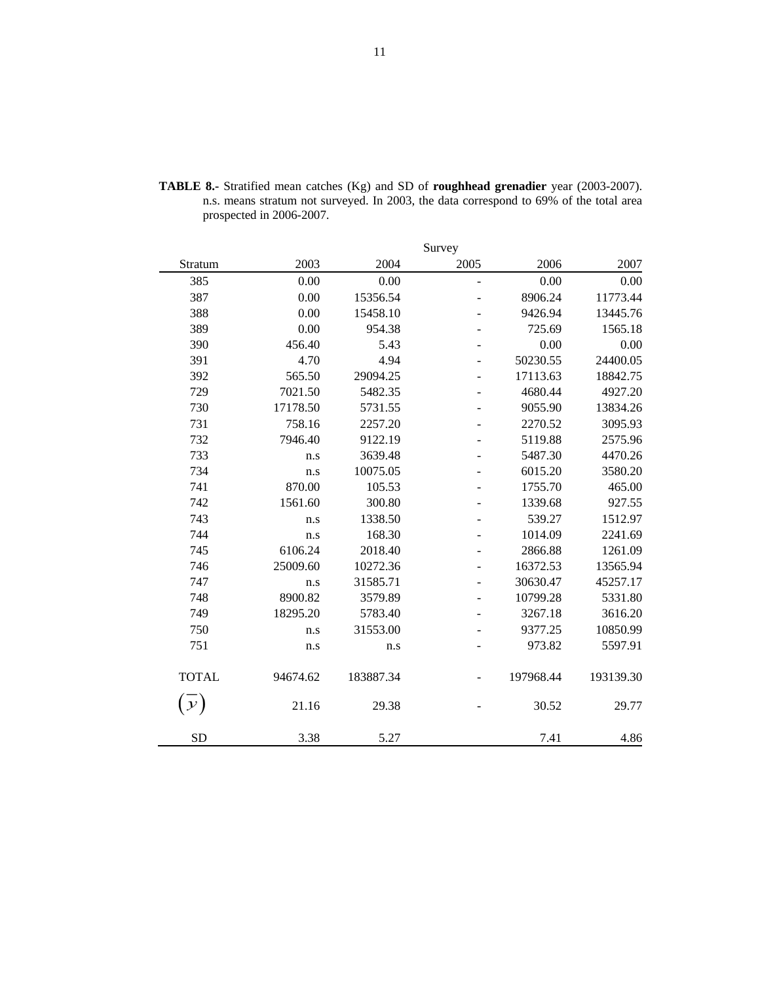|               |          |           | Survey         |           |           |
|---------------|----------|-----------|----------------|-----------|-----------|
| Stratum       | 2003     | 2004      | 2005           | 2006      | 2007      |
| 385           | 0.00     | 0.00      | $\overline{a}$ | 0.00      | 0.00      |
| 387           | 0.00     | 15356.54  | $\overline{a}$ | 8906.24   | 11773.44  |
| 388           | 0.00     | 15458.10  | ۰              | 9426.94   | 13445.76  |
| 389           | 0.00     | 954.38    |                | 725.69    | 1565.18   |
| 390           | 456.40   | 5.43      | ÷,             | 0.00      | 0.00      |
| 391           | 4.70     | 4.94      |                | 50230.55  | 24400.05  |
| 392           | 565.50   | 29094.25  |                | 17113.63  | 18842.75  |
| 729           | 7021.50  | 5482.35   | ÷              | 4680.44   | 4927.20   |
| 730           | 17178.50 | 5731.55   | $\overline{a}$ | 9055.90   | 13834.26  |
| 731           | 758.16   | 2257.20   |                | 2270.52   | 3095.93   |
| 732           | 7946.40  | 9122.19   |                | 5119.88   | 2575.96   |
| 733           | n.s      | 3639.48   |                | 5487.30   | 4470.26   |
| 734           | n.s      | 10075.05  |                | 6015.20   | 3580.20   |
| 741           | 870.00   | 105.53    | $\overline{a}$ | 1755.70   | 465.00    |
| 742           | 1561.60  | 300.80    | ۰              | 1339.68   | 927.55    |
| 743           | n.s      | 1338.50   |                | 539.27    | 1512.97   |
| 744           | n.s      | 168.30    | -              | 1014.09   | 2241.69   |
| 745           | 6106.24  | 2018.40   | ÷              | 2866.88   | 1261.09   |
| 746           | 25009.60 | 10272.36  |                | 16372.53  | 13565.94  |
| 747           | n.s      | 31585.71  | ÷,             | 30630.47  | 45257.17  |
| 748           | 8900.82  | 3579.89   |                | 10799.28  | 5331.80   |
| 749           | 18295.20 | 5783.40   |                | 3267.18   | 3616.20   |
| 750           | n.s      | 31553.00  |                | 9377.25   | 10850.99  |
| 751           | n.s      | n.s       |                | 973.82    | 5597.91   |
| <b>TOTAL</b>  | 94674.62 | 183887.34 |                | 197968.44 | 193139.30 |
| $\mathcal{Y}$ | 21.16    | 29.38     |                | 30.52     | 29.77     |
| <b>SD</b>     | 3.38     | 5.27      |                | 7.41      | 4.86      |

**TABLE 8.-** Stratified mean catches (Kg) and SD of **roughhead grenadier** year (2003-2007). n.s. means stratum not surveyed. In 2003, the data correspond to 69% of the total area prospected in 2006-2007.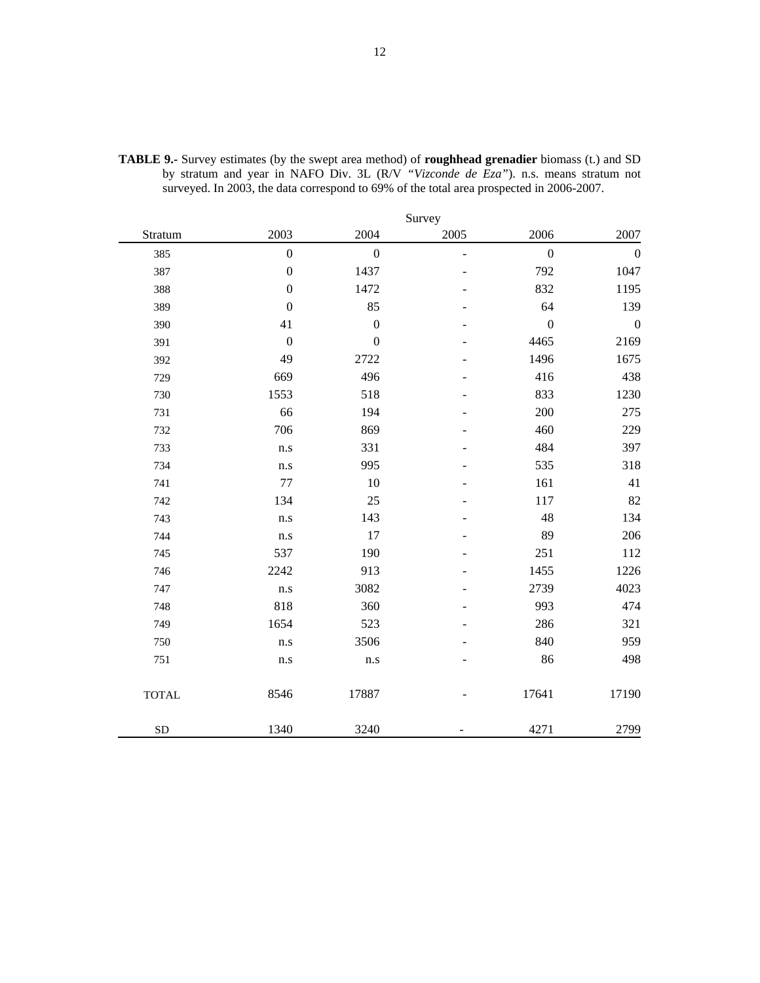|              |                  |                  | Survey         |                  |                  |
|--------------|------------------|------------------|----------------|------------------|------------------|
| Stratum      | 2003             | 2004             | 2005           | 2006             | 2007             |
| 385          | $\boldsymbol{0}$ | $\mathbf{0}$     | $\overline{a}$ | $\boldsymbol{0}$ | $\boldsymbol{0}$ |
| 387          | $\boldsymbol{0}$ | 1437             |                | 792              | 1047             |
| 388          | $\boldsymbol{0}$ | 1472             |                | 832              | 1195             |
| 389          | $\boldsymbol{0}$ | 85               |                | 64               | 139              |
| 390          | 41               | $\boldsymbol{0}$ |                | $\boldsymbol{0}$ | $\boldsymbol{0}$ |
| 391          | $\boldsymbol{0}$ | $\mathbf{0}$     |                | 4465             | 2169             |
| 392          | 49               | 2722             |                | 1496             | 1675             |
| 729          | 669              | 496              |                | 416              | 438              |
| 730          | 1553             | 518              |                | 833              | 1230             |
| 731          | 66               | 194              |                | 200              | 275              |
| 732          | 706              | 869              |                | 460              | 229              |
| 733          | n.s              | 331              |                | 484              | 397              |
| 734          | n.s              | 995              |                | 535              | 318              |
| 741          | $77 \,$          | 10               |                | 161              | 41               |
| 742          | 134              | 25               |                | 117              | 82               |
| 743          | n.s              | 143              |                | 48               | 134              |
| 744          | n.s              | 17               |                | 89               | 206              |
| 745          | 537              | 190              |                | 251              | 112              |
| 746          | 2242             | 913              |                | 1455             | 1226             |
| 747          | n.s              | 3082             |                | 2739             | 4023             |
| 748          | 818              | 360              |                | 993              | 474              |
| 749          | 1654             | 523              |                | 286              | 321              |
| 750          | n.s              | 3506             |                | 840              | 959              |
| 751          | n.s              | n.s              |                | 86               | 498              |
| <b>TOTAL</b> | 8546             | 17887            |                | 17641            | 17190            |
| ${\rm SD}$   | 1340             | 3240             |                | 4271             | 2799             |

**TABLE 9.-** Survey estimates (by the swept area method) of **roughhead grenadier** biomass (t.) and SD by stratum and year in NAFO Div. 3L (R/V *"Vizconde de Eza"*). n.s. means stratum not surveyed. In 2003, the data correspond to 69% of the total area prospected in 2006-2007.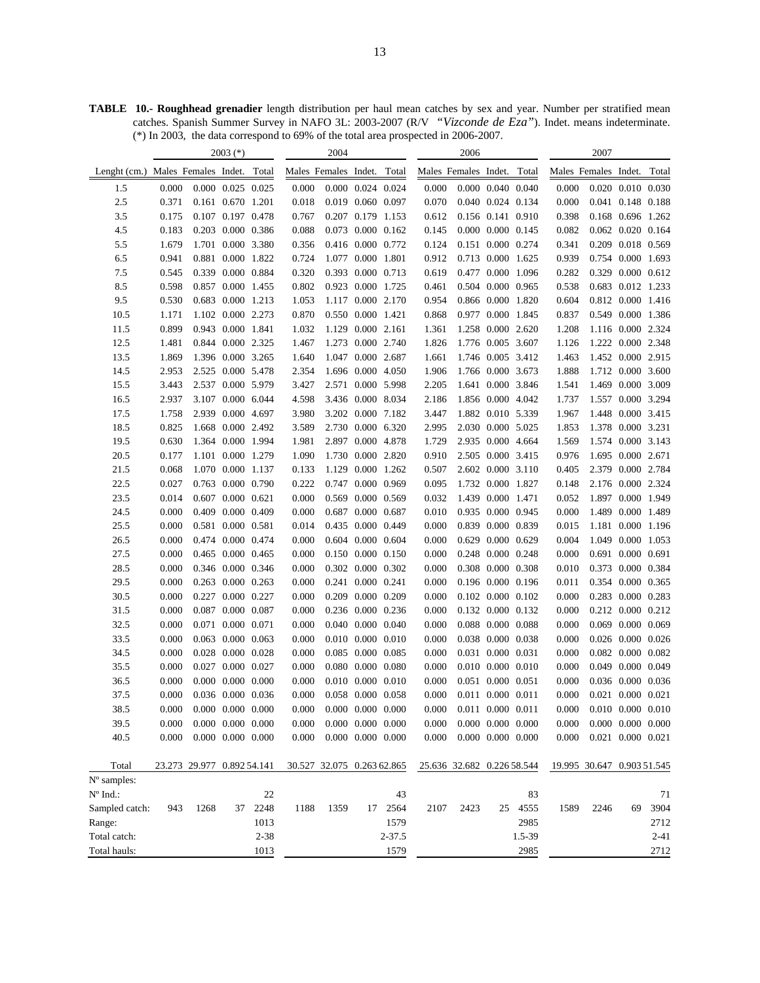**TABLE 10.- Roughhead grenadier** length distribution per haul mean catches by sex and year. Number per stratified mean catches. Spanish Summer Survey in NAFO 3L: 2003-2007 (R/V *"Vizconde de Eza"*). Indet. means indeterminate. (\*) In 2003, the data correspond to 69% of the total area prospected in 2006-2007.

|                |                            |                            | 2003 (*)                |          |                            | 2004                       |                         |            |                      | 2006                       |                         |         |                      | 2007                       |                         |          |
|----------------|----------------------------|----------------------------|-------------------------|----------|----------------------------|----------------------------|-------------------------|------------|----------------------|----------------------------|-------------------------|---------|----------------------|----------------------------|-------------------------|----------|
| Lenght $(cm.)$ | Males Females Indet. Total |                            |                         |          | Males Females Indet. Total |                            |                         |            | Males Females Indet. |                            |                         | Total   | Males Females Indet. |                            |                         | Total    |
| 1.5            | 0.000                      |                            | $0.000$ $0.025$ $0.025$ |          | 0.000                      |                            | $0.000$ $0.024$ $0.024$ |            | 0.000                |                            | 0.000 0.040 0.040       |         | 0.000                |                            | 0.020 0.010 0.030       |          |
| 2.5            | 0.371                      |                            | 0.161 0.670 1.201       |          | 0.018                      |                            | 0.019 0.060 0.097       |            | 0.070                |                            | 0.040 0.024 0.134       |         | 0.000                |                            | 0.041 0.148 0.188       |          |
| 3.5            | 0.175                      |                            | 0.107 0.197 0.478       |          | 0.767                      |                            | 0.207 0.179 1.153       |            | 0.612                |                            | 0.156 0.141 0.910       |         | 0.398                |                            | 0.168 0.696 1.262       |          |
| 4.5            | 0.183                      |                            | 0.203 0.000 0.386       |          | 0.088                      |                            | 0.073 0.000 0.162       |            | 0.145                |                            | 0.000 0.000 0.145       |         | 0.082                |                            | 0.062 0.020 0.164       |          |
| 5.5            | 1.679                      |                            | 1.701 0.000 3.380       |          | 0.356                      |                            | 0.416 0.000 0.772       |            | 0.124                |                            | 0.151 0.000 0.274       |         | 0.341                |                            | 0.209 0.018 0.569       |          |
| 6.5            | 0.941                      |                            | 0.881 0.000 1.822       |          | 0.724                      |                            | 1.077 0.000 1.801       |            | 0.912                |                            | 0.713 0.000 1.625       |         | 0.939                |                            | 0.754 0.000 1.693       |          |
| 7.5            | 0.545                      |                            | 0.339 0.000 0.884       |          | 0.320                      |                            | 0.393 0.000 0.713       |            | 0.619                |                            | 0.477 0.000 1.096       |         | 0.282                |                            | 0.329 0.000 0.612       |          |
| 8.5            | 0.598                      |                            | 0.857 0.000 1.455       |          | 0.802                      |                            | 0.923 0.000 1.725       |            | 0.461                |                            | 0.504 0.000 0.965       |         | 0.538                |                            | 0.683 0.012 1.233       |          |
| 9.5            | 0.530                      |                            | 0.683 0.000 1.213       |          | 1.053                      |                            | 1.117 0.000 2.170       |            | 0.954                |                            | 0.866 0.000 1.820       |         | 0.604                |                            | 0.812 0.000 1.416       |          |
| 10.5           | 1.171                      |                            | 1.102 0.000 2.273       |          | 0.870                      |                            | 0.550 0.000 1.421       |            | 0.868                |                            | 0.977 0.000 1.845       |         | 0.837                |                            | 0.549 0.000 1.386       |          |
| 11.5           | 0.899                      |                            | 0.943 0.000 1.841       |          | 1.032                      |                            | 1.129 0.000 2.161       |            | 1.361                |                            | 1.258 0.000 2.620       |         | 1.208                |                            | 1.116 0.000 2.324       |          |
| 12.5           | 1.481                      |                            | 0.844 0.000 2.325       |          | 1.467                      |                            | 1.273 0.000 2.740       |            | 1.826                |                            | 1.776 0.005 3.607       |         | 1.126                |                            | 1.222 0.000 2.348       |          |
| 13.5           | 1.869                      |                            | 1.396 0.000 3.265       |          | 1.640                      |                            | 1.047 0.000 2.687       |            | 1.661                |                            | 1.746 0.005 3.412       |         | 1.463                |                            | 1.452 0.000 2.915       |          |
| 14.5           | 2.953                      |                            | 2.525 0.000 5.478       |          | 2.354                      |                            | 1.696 0.000 4.050       |            | 1.906                |                            | 1.766 0.000 3.673       |         | 1.888                |                            | 1.712 0.000 3.600       |          |
| 15.5           | 3.443                      |                            | 2.537 0.000 5.979       |          | 3.427                      |                            | 2.571 0.000 5.998       |            | 2.205                |                            | 1.641 0.000 3.846       |         | 1.541                |                            | 1.469 0.000 3.009       |          |
| 16.5           | 2.937                      |                            | 3.107 0.000 6.044       |          | 4.598                      |                            | 3.436 0.000 8.034       |            | 2.186                |                            | 1.856 0.000 4.042       |         | 1.737                |                            | 1.557 0.000 3.294       |          |
| 17.5           | 1.758                      |                            | 2.939 0.000 4.697       |          | 3.980                      |                            | 3.202 0.000 7.182       |            | 3.447                |                            | 1.882 0.010 5.339       |         | 1.967                |                            | 1.448 0.000 3.415       |          |
| 18.5           | 0.825                      |                            | 1.668 0.000 2.492       |          | 3.589                      |                            | 2.730 0.000 6.320       |            | 2.995                |                            | 2.030 0.000 5.025       |         | 1.853                |                            | 1.378 0.000 3.231       |          |
| 19.5           | 0.630                      |                            | 1.364 0.000 1.994       |          | 1.981                      |                            | 2.897 0.000 4.878       |            | 1.729                |                            | 2.935 0.000 4.664       |         | 1.569                |                            | 1.574 0.000 3.143       |          |
| 20.5           | 0.177                      |                            | 1.101 0.000 1.279       |          | 1.090                      |                            | 1.730 0.000 2.820       |            | 0.910                |                            | 2.505 0.000 3.415       |         | 0.976                |                            | 1.695 0.000 2.671       |          |
| 21.5           | 0.068                      |                            | 1.070 0.000 1.137       |          | 0.133                      |                            | 1.129 0.000 1.262       |            | 0.507                |                            | 2.602 0.000 3.110       |         | 0.405                |                            | 2.379 0.000 2.784       |          |
| 22.5           | 0.027                      |                            | 0.763 0.000 0.790       |          | 0.222                      |                            | 0.747 0.000 0.969       |            | 0.095                |                            | 1.732 0.000 1.827       |         | 0.148                |                            | 2.176 0.000 2.324       |          |
| 23.5           | 0.014                      |                            | 0.607 0.000 0.621       |          | 0.000                      |                            | 0.569 0.000 0.569       |            | 0.032                |                            | 1.439 0.000 1.471       |         | 0.052                |                            | 1.897 0.000 1.949       |          |
| 24.5           | 0.000                      |                            | 0.409 0.000 0.409       |          | 0.000                      |                            | 0.687 0.000 0.687       |            | 0.010                |                            | 0.935 0.000 0.945       |         | 0.000                |                            | 1.489 0.000 1.489       |          |
| 25.5           | 0.000                      |                            | 0.581 0.000 0.581       |          | 0.014                      |                            | 0.435 0.000 0.449       |            | 0.000                |                            | 0.839 0.000 0.839       |         | 0.015                |                            | 1.181 0.000 1.196       |          |
| 26.5           | 0.000                      |                            | 0.474 0.000 0.474       |          | 0.000                      |                            | 0.604 0.000 0.604       |            | 0.000                |                            | 0.629 0.000 0.629       |         | 0.004                |                            | 1.049 0.000 1.053       |          |
| 27.5           | 0.000                      |                            | 0.465 0.000 0.465       |          | 0.000                      |                            | 0.150 0.000 0.150       |            | 0.000                |                            | 0.248 0.000 0.248       |         | 0.000                |                            | 0.691 0.000 0.691       |          |
| 28.5           | 0.000                      |                            | 0.346 0.000 0.346       |          | 0.000                      |                            | 0.302 0.000 0.302       |            | 0.000                |                            | 0.308 0.000 0.308       |         | 0.010                |                            | 0.373 0.000 0.384       |          |
| 29.5           | 0.000                      |                            | 0.263 0.000 0.263       |          | 0.000                      |                            | 0.241 0.000 0.241       |            | 0.000                |                            | 0.196 0.000 0.196       |         | 0.011                |                            | 0.354 0.000 0.365       |          |
| 30.5           | 0.000                      |                            | 0.227 0.000 0.227       |          | 0.000                      |                            | 0.209 0.000 0.209       |            | 0.000                |                            | $0.102$ $0.000$ $0.102$ |         | 0.000                |                            | 0.283 0.000 0.283       |          |
| 31.5           | 0.000                      |                            | 0.087 0.000 0.087       |          | 0.000                      |                            | 0.236 0.000 0.236       |            | 0.000                |                            | 0.132 0.000 0.132       |         | 0.000                |                            | 0.212 0.000 0.212       |          |
| 32.5           | 0.000                      |                            | 0.071 0.000 0.071       |          | 0.000                      |                            | 0.040 0.000 0.040       |            | 0.000                |                            | 0.088 0.000 0.088       |         | 0.000                |                            | 0.069 0.000 0.069       |          |
| 33.5           | 0.000                      |                            | 0.063 0.000 0.063       |          | 0.000                      |                            | $0.010$ $0.000$ $0.010$ |            | 0.000                |                            | 0.038 0.000 0.038       |         | 0.000                |                            | 0.026 0.000 0.026       |          |
| 34.5           | 0.000                      |                            | 0.028 0.000 0.028       |          | 0.000                      |                            | 0.085 0.000 0.085       |            | 0.000                |                            | 0.031 0.000 0.031       |         | 0.000                |                            | 0.082 0.000 0.082       |          |
| 35.5           | 0.000                      |                            | 0.027 0.000 0.027       |          | 0.000                      |                            | 0.080 0.000 0.080       |            | 0.000                |                            | $0.010$ $0.000$ $0.010$ |         | 0.000                |                            | 0.049 0.000 0.049       |          |
| 36.5           | 0.000                      |                            | 0.000 0.000 0.000       |          | 0.000                      |                            | 0.010 0.000 0.010       |            | 0.000                |                            | 0.051 0.000 0.051       |         | 0.000                |                            | 0.036 0.000 0.036       |          |
| 37.5           | 0.000                      |                            | 0.036 0.000 0.036       |          | 0.000                      |                            | 0.058 0.000 0.058       |            | 0.000                |                            | 0.011 0.000 0.011       |         | 0.000                |                            | 0.021 0.000 0.021       |          |
| 38.5           | 0.000                      |                            | $0.000$ $0.000$ $0.000$ |          | 0.000                      |                            | $0.000$ $0.000$ $0.000$ |            | 0.000                |                            | 0.011 0.000 0.011       |         | 0.000                |                            | $0.010$ $0.000$ $0.010$ |          |
| 39.5           | 0.000                      |                            | $0.000$ $0.000$ $0.000$ |          | 0.000                      |                            | $0.000$ $0.000$ $0.000$ |            | 0.000                |                            | $0.000$ $0.000$ $0.000$ |         | 0.000                |                            | $0.000$ $0.000$ $0.000$ |          |
| 40.5           | 0.000                      |                            | $0.000$ $0.000$ $0.000$ |          | 0.000                      |                            | $0.000$ $0.000$ $0.000$ |            | 0.000                |                            | $0.000$ $0.000$ $0.000$ |         | 0.000                |                            | $0.021$ $0.000$ $0.021$ |          |
| Total          |                            | 23.273 29.977 0.892 54.141 |                         |          |                            | 30.527 32.075 0.263 62.865 |                         |            |                      | 25.636 32.682 0.226 58.544 |                         |         |                      | 19.995 30.647 0.903 51.545 |                         |          |
| N° samples:    |                            |                            |                         |          |                            |                            |                         |            |                      |                            |                         |         |                      |                            |                         |          |
| N° Ind.:       |                            |                            |                         | 22       |                            |                            |                         | 43         |                      |                            |                         | 83      |                      |                            |                         | 71       |
| Sampled catch: | 943                        | 1268                       | 37                      | 2248     | 1188                       | 1359                       | 17                      | 2564       | 2107                 | 2423                       |                         | 25 4555 | 1589                 | 2246                       | 69                      | 3904     |
| Range:         |                            |                            |                         | 1013     |                            |                            |                         | 1579       |                      |                            |                         | 2985    |                      |                            |                         | 2712     |
| Total catch:   |                            |                            |                         | $2 - 38$ |                            |                            |                         | $2 - 37.5$ |                      |                            |                         | 1.5-39  |                      |                            |                         | $2 - 41$ |
| Total hauls:   |                            |                            |                         | 1013     |                            |                            |                         | 1579       |                      |                            |                         | 2985    |                      |                            |                         | 2712     |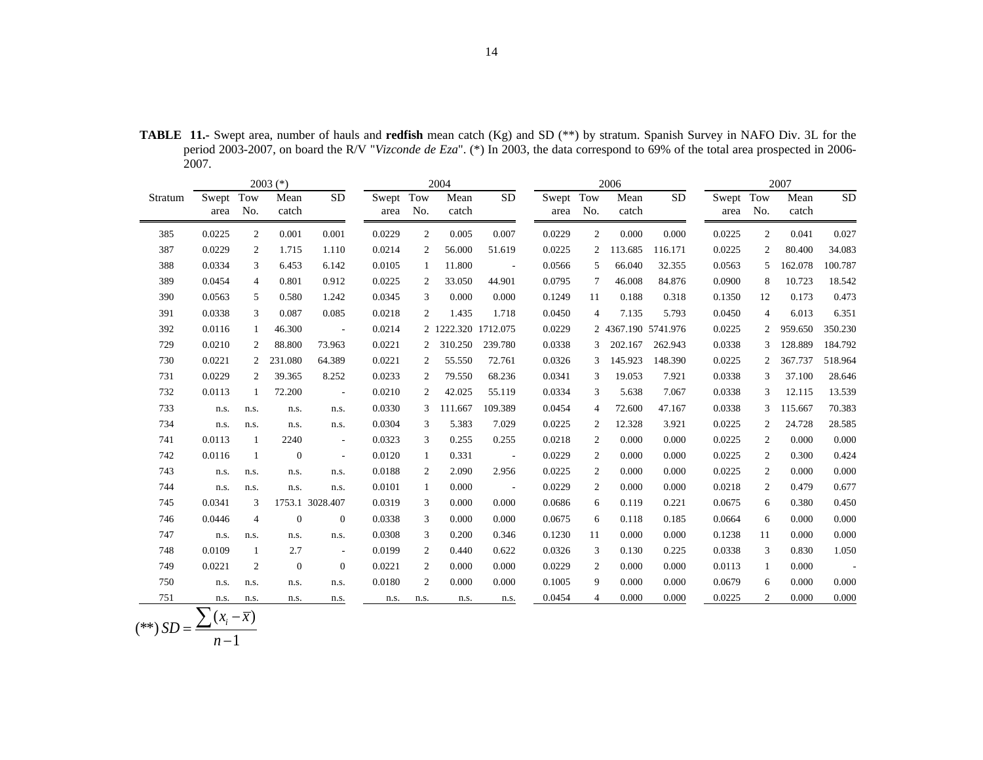**TABLE 11.-** Swept area, number of hauls and **redfish** mean catch (Kg) and SD (\*\*) by stratum. Spanish Survey in NAFO Div. 3L for the period 2003-2007, on board the R/V "*Vizconde de Eza*". (\*) In 2003, the data correspond to 69% of the total area prospected in 2006- 2007.

|         |                   |                        | $2003$ (*)     |                       |                   |                | 2004<br>2006        |                      |                   |                |                     | 2007      |                   |     |               |                          |
|---------|-------------------|------------------------|----------------|-----------------------|-------------------|----------------|---------------------|----------------------|-------------------|----------------|---------------------|-----------|-------------------|-----|---------------|--------------------------|
| Stratum | Swept Tow<br>area | No.                    | Mean<br>catch  | <b>SD</b>             | Swept Tow<br>area | No.            | Mean<br>catch       | <b>SD</b>            | Swept Tow<br>area | No.            | Mean<br>catch       | <b>SD</b> | Swept Tow<br>area | No. | Mean<br>catch | <b>SD</b>                |
| 385     | 0.0225            | $\overline{c}$         | 0.001          | 0.001                 | 0.0229            | 2              | 0.005               | 0.007                | 0.0229            | 2              | 0.000               | 0.000     | 0.0225            | 2   | 0.041         | 0.027                    |
| 387     | 0.0229            | 2                      | 1.715          | 1.110                 | 0.0214            | 2              | 56.000              | 51.619               | 0.0225            | 2              | 113.685             | 116.171   | 0.0225            | 2   | 80.400        | 34.083                   |
| 388     | 0.0334            | 3                      | 6.453          | 6.142                 | 0.0105            | 1              | 11.800              | $\sim$               | 0.0566            | 5              | 66.040              | 32.355    | 0.0563            | .5  | 162.078       | 100.787                  |
| 389     | 0.0454            | $\overline{4}$         | 0.801          | 0.912                 | 0.0225            | 2              | 33.050              | 44.901               | 0.0795            | 7              | 46.008              | 84.876    | 0.0900            | 8   | 10.723        | 18.542                   |
| 390     | 0.0563            | 5                      | 0.580          | 1.242                 | 0.0345            | 3              | 0.000               | 0.000                | 0.1249            | 11             | 0.188               | 0.318     | 0.1350            | 12  | 0.173         | 0.473                    |
| 391     | 0.0338            | 3                      | 0.087          | 0.085                 | 0.0218            | 2              | 1.435               | 1.718                | 0.0450            | 4              | 7.135               | 5.793     | 0.0450            | 4   | 6.013         | 6.351                    |
| 392     | 0.0116            | 1                      | 46.300         | $\sim 100$ km $^{-1}$ | 0.0214            |                | 2 1222.320 1712.075 |                      | 0.0229            |                | 2 4367.190 5741.976 |           | 0.0225            | 2   | 959.650       | 350.230                  |
| 729     | 0.0210            | 2                      | 88.800         | 73.963                | 0.0221            | $\overline{2}$ | 310.250             | 239.780              | 0.0338            |                | 202.167             | 262.943   | 0.0338            | 3   | 128.889       | 184.792                  |
| 730     | 0.0221            | 2                      | 231.080        | 64.389                | 0.0221            | 2              | 55.550              | 72.761               | 0.0326            | 3              | 145.923             | 148.390   | 0.0225            | 2   | 367.737       | 518.964                  |
| 731     | 0.0229            | 2                      | 39.365         | 8.252                 | 0.0233            | 2              | 79.550              | 68.236               | 0.0341            | 3              | 19.053              | 7.921     | 0.0338            | 3   | 37.100        | 28.646                   |
| 732     | 0.0113            | 1                      | 72.200         | $\sim$ $-$            | 0.0210            | 2              | 42.025              | 55.119               | 0.0334            | 3              | 5.638               | 7.067     | 0.0338            | 3   | 12.115        | 13.539                   |
| 733     | n.s.              | n.s.                   | n.s.           | n.s.                  | 0.0330            | 3              | 111.667             | 109.389              | 0.0454            | 4              | 72.600              | 47.167    | 0.0338            | 3   | 115.667       | 70.383                   |
| 734     | n.s.              | n.s.                   | n.s.           | n.s.                  | 0.0304            | 3              | 5.383               | 7.029                | 0.0225            | 2              | 12.328              | 3.921     | 0.0225            | 2   | 24.728        | 28.585                   |
| 741     | 0.0113            | 1                      | 2240           | $\sim$                | 0.0323            | 3              | 0.255               | 0.255                | 0.0218            | $\overline{2}$ | 0.000               | 0.000     | 0.0225            | 2   | 0.000         | 0.000                    |
| 742     | 0.0116            | -1                     | $\overline{0}$ | $\sim$                | 0.0120            | 1              | 0.331               | $\sim 100$ m $^{-1}$ | 0.0229            | 2              | 0.000               | 0.000     | 0.0225            | 2   | 0.300         | 0.424                    |
| 743     | n.s.              | n.s.                   | n.s.           | n.s.                  | 0.0188            | 2              | 2.090               | 2.956                | 0.0225            | 2              | 0.000               | 0.000     | 0.0225            | 2   | 0.000         | 0.000                    |
| 744     | n.s.              | n.s.                   | n.s.           | n.s.                  | 0.0101            | $\mathbf{1}$   | 0.000               | $\sim$ $-$           | 0.0229            | $\overline{2}$ | 0.000               | 0.000     | 0.0218            | 2   | 0.479         | 0.677                    |
| 745     | 0.0341            | 3                      |                | 1753.1 3028.407       | 0.0319            | 3              | 0.000               | 0.000                | 0.0686            | 6              | 0.119               | 0.221     | 0.0675            | 6   | 0.380         | 0.450                    |
| 746     | 0.0446            | $\overline{4}$         | $\theta$       | $\mathbf{0}$          | 0.0338            | 3              | 0.000               | 0.000                | 0.0675            | 6              | 0.118               | 0.185     | 0.0664            | 6   | 0.000         | 0.000                    |
| 747     | n.s.              | n.s.                   | n.s.           | n.s.                  | 0.0308            | 3              | 0.200               | 0.346                | 0.1230            | 11             | 0.000               | 0.000     | 0.1238            | 11  | 0.000         | 0.000                    |
| 748     | 0.0109            | -1                     | 2.7            | $\sim$                | 0.0199            | 2              | 0.440               | 0.622                | 0.0326            | 3              | 0.130               | 0.225     | 0.0338            | 3   | 0.830         | 1.050                    |
| 749     | 0.0221            | 2                      | $\overline{0}$ | $\overline{0}$        | 0.0221            | 2              | 0.000               | 0.000                | 0.0229            | 2              | 0.000               | 0.000     | 0.0113            | 1   | 0.000         | $\overline{\phantom{a}}$ |
| 750     | n.s.              | n.s.                   | n.s.           | n.s.                  | 0.0180            | 2              | 0.000               | 0.000                | 0.1005            | 9              | 0.000               | 0.000     | 0.0679            | 6   | 0.000         | 0.000                    |
| 751     | n.s.              | n.s.                   | n.s.           | n.s.                  | n.s.              | n.s.           | n.s.                | n.s.                 | 0.0454            | 4              | 0.000               | 0.000     | 0.0225            | 2   | 0.000         | 0.000                    |
|         |                   | $(x_i - \overline{x})$ |                |                       |                   |                |                     |                      |                   |                |                     |           |                   |     |               |                          |

$$
(**) SD = \frac{\sum (x_i - \overline{x})}{n-1}
$$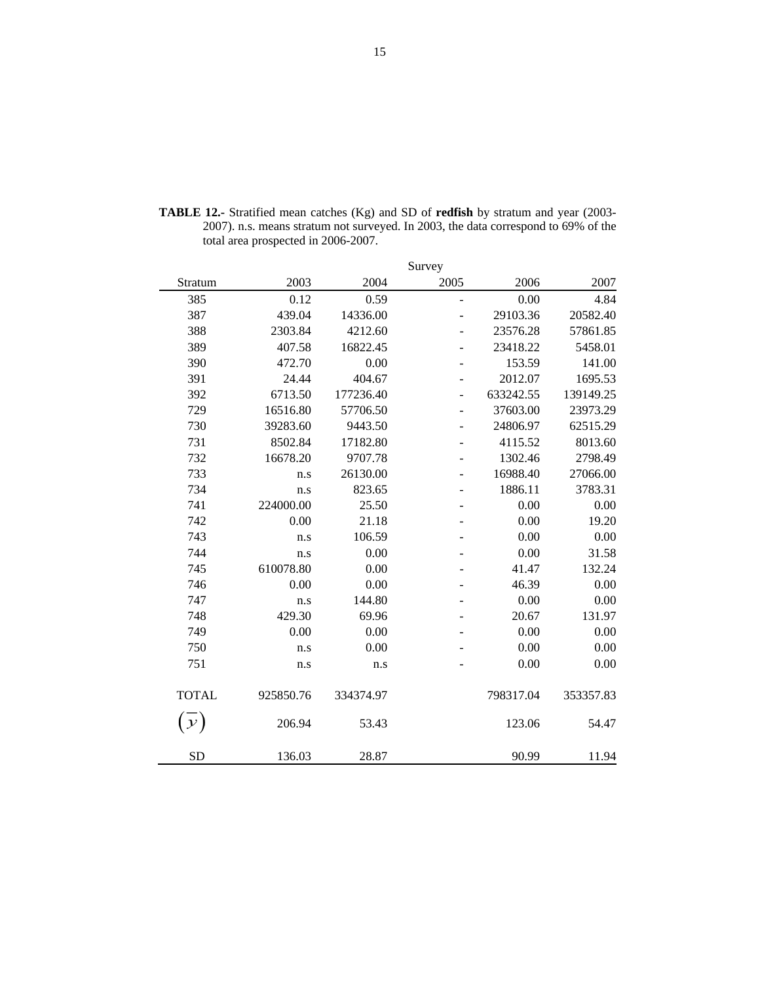|              |           |           | Survey                   |           |           |
|--------------|-----------|-----------|--------------------------|-----------|-----------|
| Stratum      | 2003      | 2004      | 2005                     | 2006      | 2007      |
| 385          | 0.12      | 0.59      | $\overline{a}$           | 0.00      | 4.84      |
| 387          | 439.04    | 14336.00  |                          | 29103.36  | 20582.40  |
| 388          | 2303.84   | 4212.60   |                          | 23576.28  | 57861.85  |
| 389          | 407.58    | 16822.45  |                          | 23418.22  | 5458.01   |
| 390          | 472.70    | 0.00      | $\overline{a}$           | 153.59    | 141.00    |
| 391          | 24.44     | 404.67    |                          | 2012.07   | 1695.53   |
| 392          | 6713.50   | 177236.40 | $\overline{a}$           | 633242.55 | 139149.25 |
| 729          | 16516.80  | 57706.50  |                          | 37603.00  | 23973.29  |
| 730          | 39283.60  | 9443.50   |                          | 24806.97  | 62515.29  |
| 731          | 8502.84   | 17182.80  |                          | 4115.52   | 8013.60   |
| 732          | 16678.20  | 9707.78   |                          | 1302.46   | 2798.49   |
| 733          | n.s       | 26130.00  |                          | 16988.40  | 27066.00  |
| 734          | n.s       | 823.65    |                          | 1886.11   | 3783.31   |
| 741          | 224000.00 | 25.50     | $\overline{\phantom{0}}$ | 0.00      | 0.00      |
| 742          | 0.00      | 21.18     |                          | 0.00      | 19.20     |
| 743          | n.s       | 106.59    |                          | 0.00      | 0.00      |
| 744          | n.s       | 0.00      |                          | 0.00      | 31.58     |
| 745          | 610078.80 | 0.00      |                          | 41.47     | 132.24    |
| 746          | 0.00      | 0.00      |                          | 46.39     | 0.00      |
| 747          | n.s       | 144.80    |                          | 0.00      | 0.00      |
| 748          | 429.30    | 69.96     |                          | 20.67     | 131.97    |
| 749          | 0.00      | 0.00      |                          | 0.00      | 0.00      |
| 750          | n.s       | 0.00      |                          | 0.00      | 0.00      |
| 751          | n.s       | n.s       |                          | 0.00      | 0.00      |
| <b>TOTAL</b> | 925850.76 | 334374.97 |                          | 798317.04 | 353357.83 |
| у            | 206.94    | 53.43     |                          | 123.06    | 54.47     |
| <b>SD</b>    | 136.03    | 28.87     |                          | 90.99     | 11.94     |

**TABLE 12.-** Stratified mean catches (Kg) and SD of **redfish** by stratum and year (2003- 2007). n.s. means stratum not surveyed. In 2003, the data correspond to 69% of the total area prospected in 2006-2007.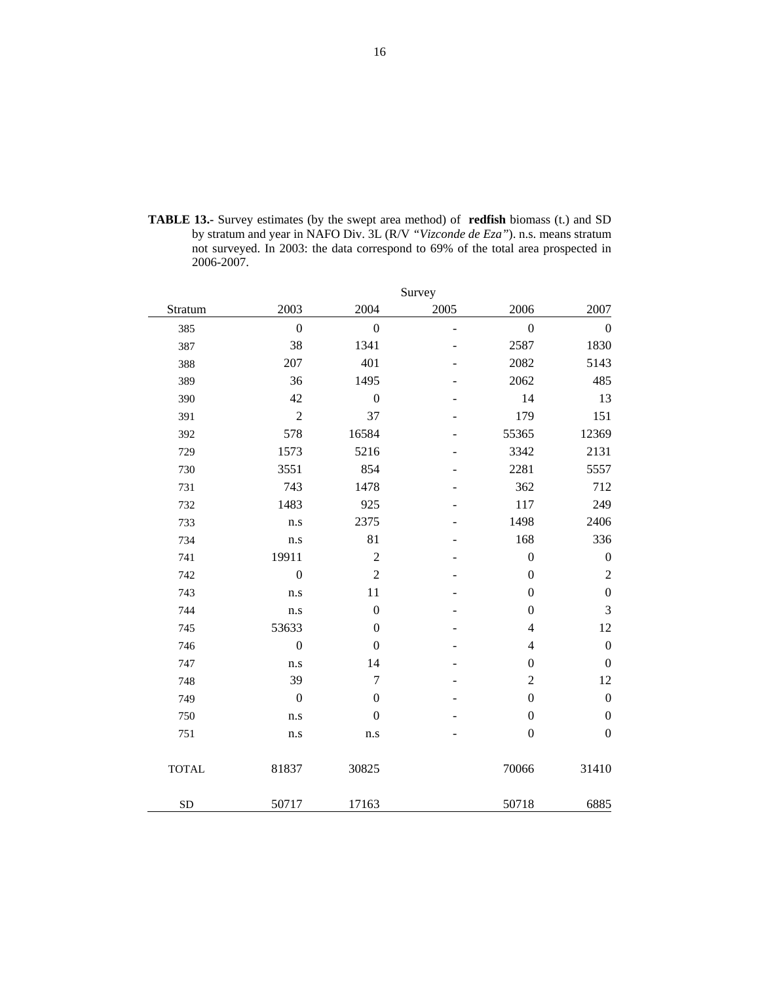**TABLE 13.-** Survey estimates (by the swept area method) of **redfish** biomass (t.) and SD by stratum and year in NAFO Div. 3L (R/V *"Vizconde de Eza"*). n.s. means stratum not surveyed. In 2003: the data correspond to 69% of the total area prospected in 2006-2007.

|              |                  |                  | Survey |                  |                  |
|--------------|------------------|------------------|--------|------------------|------------------|
| Stratum      | 2003             | 2004             | 2005   | 2006             | 2007             |
| 385          | $\mathbf{0}$     | $\overline{0}$   | -      | $\boldsymbol{0}$ | $\overline{0}$   |
| 387          | 38               | 1341             |        | 2587             | 1830             |
| 388          | 207              | 401              |        | 2082             | 5143             |
| 389          | 36               | 1495             |        | 2062             | 485              |
| 390          | 42               | $\boldsymbol{0}$ |        | 14               | 13               |
| 391          | $\overline{2}$   | 37               |        | 179              | 151              |
| 392          | 578              | 16584            |        | 55365            | 12369            |
| 729          | 1573             | 5216             |        | 3342             | 2131             |
| 730          | 3551             | 854              |        | 2281             | 5557             |
| 731          | 743              | 1478             |        | 362              | 712              |
| 732          | 1483             | 925              |        | 117              | 249              |
| 733          | n.s              | 2375             |        | 1498             | 2406             |
| 734          | n.s              | 81               |        | 168              | 336              |
| 741          | 19911            | $\overline{2}$   |        | $\boldsymbol{0}$ | $\boldsymbol{0}$ |
| 742          | $\boldsymbol{0}$ | $\overline{2}$   |        | $\boldsymbol{0}$ | $\overline{c}$   |
| 743          | n.s              | 11               |        | $\boldsymbol{0}$ | $\boldsymbol{0}$ |
| 744          | n.s              | $\boldsymbol{0}$ |        | $\boldsymbol{0}$ | 3                |
| 745          | 53633            | $\boldsymbol{0}$ |        | $\overline{4}$   | 12               |
| 746          | $\boldsymbol{0}$ | $\boldsymbol{0}$ |        | $\overline{4}$   | $\boldsymbol{0}$ |
| 747          | n.s              | 14               |        | $\boldsymbol{0}$ | $\boldsymbol{0}$ |
| 748          | 39               | 7                |        | $\overline{c}$   | 12               |
| 749          | $\boldsymbol{0}$ | $\boldsymbol{0}$ |        | $\boldsymbol{0}$ | $\boldsymbol{0}$ |
| 750          | n.s              | $\boldsymbol{0}$ |        | $\boldsymbol{0}$ | $\boldsymbol{0}$ |
| 751          | n.s              | n.s              |        | $\boldsymbol{0}$ | $\boldsymbol{0}$ |
| <b>TOTAL</b> | 81837            | 30825            |        | 70066            | 31410            |
| <b>SD</b>    | 50717            | 17163            |        | 50718            | 6885             |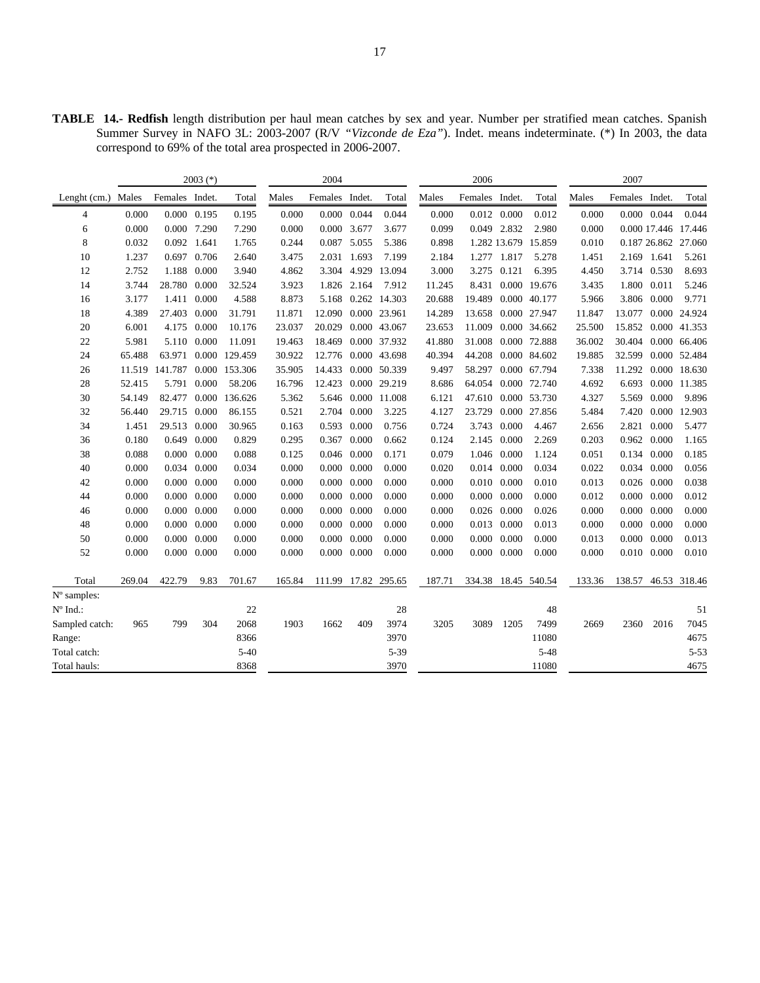**TABLE 14.- Redfish** length distribution per haul mean catches by sex and year. Number per stratified mean catches. Spanish Summer Survey in NAFO 3L: 2003-2007 (R/V *"Vizconde de Eza"*). Indet. means indeterminate. (\*) In 2003, the data correspond to 69% of the total area prospected in 2006-2007.

|                |                |                       | $2003$ (*)                                 |                |                | 2004           |                                            |                     |                | 2006           |                                        |                     |                | 2007           |                |                     |
|----------------|----------------|-----------------------|--------------------------------------------|----------------|----------------|----------------|--------------------------------------------|---------------------|----------------|----------------|----------------------------------------|---------------------|----------------|----------------|----------------|---------------------|
| Lenght $(cm.)$ | Males          | Females Indet.        |                                            | Total          | Males          | Females Indet. |                                            | Total               | Males          | Females Indet. |                                        | Total               | Males          | Females Indet. |                | Total               |
| 4              | 0.000          |                       | 0.000 0.195                                | 0.195          | 0.000          |                | $0.000 \quad 0.044$                        | 0.044               | 0.000          |                | 0.012 0.000                            | 0.012               | 0.000          |                | 0.000 0.044    | 0.044               |
| 6              | 0.000          |                       | 0.000 7.290                                | 7.290          | 0.000          |                | 0.000 3.677                                | 3.677               | 0.099          |                | 0.049 2.832                            | 2.980               | 0.000          |                |                | 0.000 17.446 17.446 |
| 8              | 0.032          | 0.092 1.641           |                                            | 1.765          | 0.244          |                | 0.087 5.055                                | 5.386               | 0.898          |                |                                        | 1.282 13.679 15.859 | 0.010          |                |                | 0.187 26.862 27.060 |
| 10             | 1.237          |                       | 0.697 0.706                                | 2.640          | 3.475          |                | 2.031 1.693                                | 7.199               | 2.184          |                | 1.277 1.817                            | 5.278               | 1.451          |                | 2.169 1.641    | 5.261               |
| 12             | 2.752          |                       | 1.188 0.000                                | 3.940          | 4.862          |                | 3.304 4.929                                | 13.094              | 3.000          |                | 3.275 0.121                            | 6.395               | 4.450          |                | 3.714 0.530    | 8.693               |
| 14             | 3.744          | 28.780 0.000          |                                            | 32.524         | 3.923          |                | 1.826 2.164                                | 7.912               | 11.245         |                |                                        | 8.431 0.000 19.676  | 3.435          | 1.800          | 0.011          | 5.246               |
| 16             | 3.177          |                       | 1.411 0.000                                | 4.588          | 8.873          |                |                                            | 5.168 0.262 14.303  | 20.688         |                |                                        | 19.489 0.000 40.177 | 5.966          |                | 3.806 0.000    | 9.771               |
| 18             | 4.389          | 27.403                | 0.000                                      | 31.791         | 11.871         |                |                                            | 12.090 0.000 23.961 | 14.289         |                |                                        | 13.658 0.000 27.947 | 11.847         | 13.077         |                | 0.000 24.924        |
| 20             | 6.001          |                       | 4.175 0.000                                | 10.176         | 23.037         |                |                                            | 20.029 0.000 43.067 | 23.653         |                |                                        | 11.009 0.000 34.662 | 25.500         |                |                | 15.852 0.000 41.353 |
| 22             | 5.981          |                       | 5.110 0.000                                | 11.091         | 19.463         |                |                                            | 18.469 0.000 37.932 | 41.880         |                |                                        | 31.008 0.000 72.888 | 36.002         | 30.404         |                | 0.000 66.406        |
| 24             | 65.488         | 63.971                |                                            | 0.000 129.459  | 30.922         |                |                                            | 12.776 0.000 43.698 | 40.394         |                |                                        | 44.208 0.000 84.602 | 19.885         | 32.599         |                | 0.000 52.484        |
| 26             | 11.519         | 141.787 0.000 153.306 |                                            |                | 35.905         |                |                                            | 14.433 0.000 50.339 | 9.497          |                |                                        | 58.297 0.000 67.794 | 7.338          | 11.292         |                | 0.000 18.630        |
| 28             | 52.415         |                       | 5.791 0.000                                | 58.206         | 16.796         | 12.423         |                                            | 0.000 29.219        | 8.686          |                |                                        | 64.054 0.000 72.740 | 4.692          | 6.693          |                | 0.000 11.385        |
| 30             | 54.149         | 82.477 0.000          |                                            | 136.626        | 5.362          |                |                                            | 5.646 0.000 11.008  | 6.121          |                |                                        | 47.610 0.000 53.730 | 4.327          | 5.569          | 0.000          | 9.896               |
| 32             | 56.440         | 29.715 0.000          |                                            | 86.155         | 0.521          |                | 2.704 0.000                                | 3.225               | 4.127          |                |                                        | 23.729 0.000 27.856 | 5.484          | 7.420          |                | 0.000 12.903        |
| 34             | 1.451          | 29.513 0.000          |                                            | 30.965         | 0.163          |                | 0.593 0.000                                | 0.756               | 0.724          |                | 3.743 0.000                            | 4.467               | 2.656          | 2.821          | 0.000          | 5.477               |
| 36             | 0.180          |                       | 0.649 0.000                                | 0.829          | 0.295          |                | 0.367 0.000                                | 0.662               | 0.124          |                | 2.145 0.000                            | 2.269               | 0.203          | 0.962          | 0.000          | 1.165               |
| 38             | 0.088          |                       | $0.000 \quad 0.000$                        | 0.088          | 0.125          |                | $0.046$ 0.000                              | 0.171               | 0.079          |                | 1.046 0.000                            | 1.124               | 0.051          | 0.134          | 0.000          | 0.185               |
| 40             | 0.000          |                       | 0.034 0.000                                | 0.034          | 0.000          |                | $0.000 \quad 0.000$                        | 0.000               | 0.020          |                | 0.014 0.000                            | 0.034               | 0.022          | 0.034          | 0.000          | 0.056               |
| 42<br>44       | 0.000<br>0.000 |                       | $0.000 \quad 0.000$<br>$0.000 \quad 0.000$ | 0.000<br>0.000 | 0.000<br>0.000 |                | $0.000 \quad 0.000$<br>$0.000 \quad 0.000$ | 0.000<br>0.000      | 0.000<br>0.000 |                | $0.010$ $0.000$<br>$0.000 \quad 0.000$ | 0.010<br>0.000      | 0.013<br>0.012 | 0.026<br>0.000 | 0.000<br>0.000 | 0.038<br>0.012      |
| 46             | 0.000          |                       | $0.000 \quad 0.000$                        | 0.000          | 0.000          |                | $0.000 \quad 0.000$                        | 0.000               | 0.000          |                | 0.026 0.000                            | 0.026               | 0.000          | 0.000          | 0.000          | 0.000               |
| 48             | 0.000          |                       | $0.000 \quad 0.000$                        | 0.000          | 0.000          |                | $0.000 \quad 0.000$                        | 0.000               | 0.000          |                | 0.013 0.000                            | 0.013               | 0.000          | 0.000          | 0.000          | 0.000               |
| 50             | 0.000          |                       | $0.000 \quad 0.000$                        | 0.000          | 0.000          |                | $0.000 \quad 0.000$                        | 0.000               | 0.000          |                | $0.000 \quad 0.000$                    | 0.000               | 0.013          | 0.000          | 0.000          | 0.013               |
| 52             | 0.000          |                       | $0.000 \quad 0.000$                        | 0.000          | 0.000          |                | $0.000 \quad 0.000$                        | 0.000               | 0.000          |                | $0.000 \quad 0.000$                    | 0.000               | 0.000          |                | 0.010 0.000    | 0.010               |
|                |                |                       |                                            |                |                |                |                                            |                     |                |                |                                        |                     |                |                |                |                     |
| Total          | 269.04         | 422.79                | 9.83                                       | 701.67         | 165.84         |                |                                            | 111.99 17.82 295.65 | 187.71         |                |                                        | 334.38 18.45 540.54 | 133.36         |                |                | 138.57 46.53 318.46 |
| N° samples:    |                |                       |                                            |                |                |                |                                            |                     |                |                |                                        |                     |                |                |                |                     |
| N° Ind.:       |                |                       |                                            | 22             |                |                |                                            | 28                  |                |                |                                        | 48                  |                |                |                | 51                  |
| Sampled catch: | 965            | 799                   | 304                                        | 2068           | 1903           | 1662           | 409                                        | 3974                | 3205           | 3089           | 1205                                   | 7499                | 2669           | 2360           | 2016           | 7045                |
| Range:         |                |                       |                                            | 8366           |                |                |                                            | 3970                |                |                |                                        | 11080               |                |                |                | 4675                |
| Total catch:   |                |                       |                                            | $5 - 40$       |                |                |                                            | $5 - 39$            |                |                |                                        | $5 - 48$            |                |                |                | $5 - 53$            |
| Total hauls:   |                |                       |                                            | 8368           |                |                |                                            | 3970                |                |                |                                        | 11080               |                |                |                | 4675                |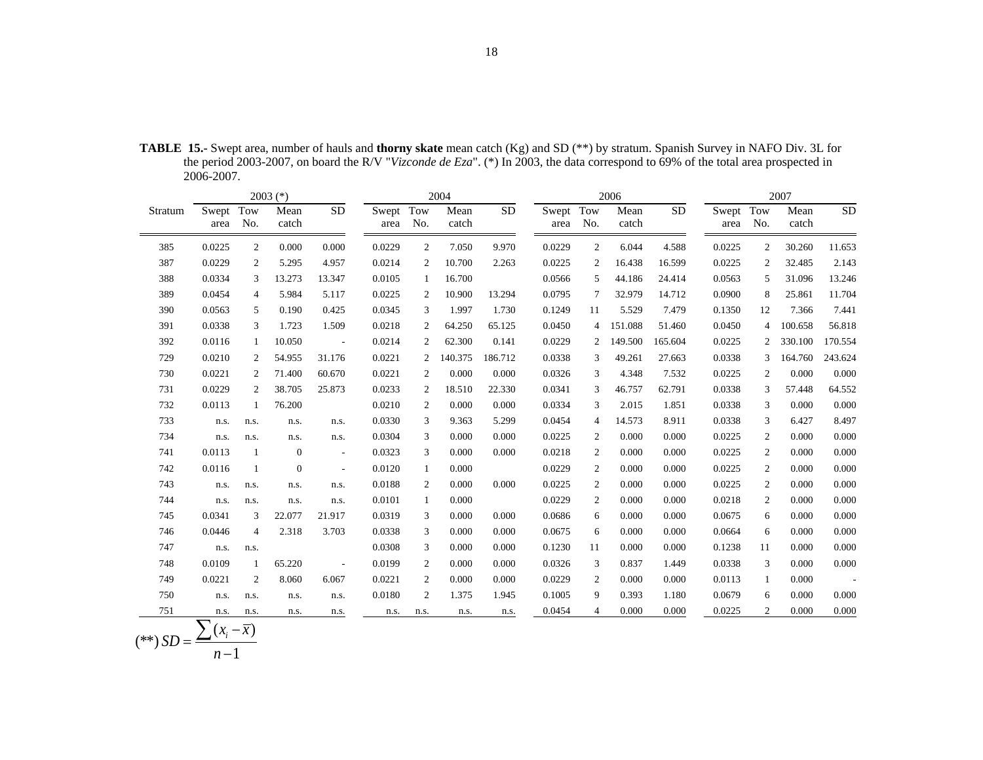| <b>TABLE 15.-</b> Swept area, number of hauls and <b>thorny skate</b> mean catch (Kg) and SD (**) by stratum. Spanish Survey in NAFO Div. 3L for |  |
|--------------------------------------------------------------------------------------------------------------------------------------------------|--|
| the period 2003-2007, on board the R/V "Vizconde de Eza". (*) In 2003, the data correspond to 69% of the total area prospected in<br>2006-2007.  |  |

|         | $2003$ (*)             |                |               |                          |                   |                | 2004          |           |                   | 2006           |               |           |           | 2007           |               |           |  |
|---------|------------------------|----------------|---------------|--------------------------|-------------------|----------------|---------------|-----------|-------------------|----------------|---------------|-----------|-----------|----------------|---------------|-----------|--|
| Stratum | Swept Tow<br>area      | No.            | Mean<br>catch | <b>SD</b>                | Swept Tow<br>area | No.            | Mean<br>catch | <b>SD</b> | Swept Tow<br>area | No.            | Mean<br>catch | <b>SD</b> | Swept Tow | area No.       | Mean<br>catch | <b>SD</b> |  |
| 385     | 0.0225                 | 2              | 0.000         | 0.000                    | 0.0229            | 2              | 7.050         | 9.970     | 0.0229            | 2              | 6.044         | 4.588     | 0.0225    | 2              | 30.260        | 11.653    |  |
| 387     | 0.0229                 | 2              | 5.295         | 4.957                    | 0.0214            | $\overline{c}$ | 10.700        | 2.263     | 0.0225            | 2              | 16.438        | 16.599    | 0.0225    | $\overline{c}$ | 32.485        | 2.143     |  |
| 388     | 0.0334                 | 3              | 13.273        | 13.347                   | 0.0105            | 1              | 16.700        |           | 0.0566            | .5             | 44.186        | 24.414    | 0.0563    | 5              | 31.096        | 13.246    |  |
| 389     | 0.0454                 | 4              | 5.984         | 5.117                    | 0.0225            | 2              | 10.900        | 13.294    | 0.0795            | 7              | 32.979        | 14.712    | 0.0900    | 8              | 25.861        | 11.704    |  |
| 390     | 0.0563                 | 5              | 0.190         | 0.425                    | 0.0345            | 3              | 1.997         | 1.730     | 0.1249            | 11             | 5.529         | 7.479     | 0.1350    | 12             | 7.366         | 7.441     |  |
| 391     | 0.0338                 | 3              | 1.723         | 1.509                    | 0.0218            | 2              | 64.250        | 65.125    | 0.0450            | $\overline{4}$ | 151.088       | 51.460    | 0.0450    | 4              | 100.658       | 56.818    |  |
| 392     | 0.0116                 | $\mathbf{1}$   | 10.050        | $\overline{\phantom{a}}$ | 0.0214            | $\overline{c}$ | 62.300        | 0.141     | 0.0229            | 2              | 149.500       | 165.604   | 0.0225    | 2              | 330.100       | 170.554   |  |
| 729     | 0.0210                 | 2              | 54.955        | 31.176                   | 0.0221            | 2              | 140.375       | 186.712   | 0.0338            | 3              | 49.261        | 27.663    | 0.0338    | 3              | 164.760       | 243.624   |  |
| 730     | 0.0221                 | 2              | 71.400        | 60.670                   | 0.0221            | 2              | 0.000         | 0.000     | 0.0326            | 3              | 4.348         | 7.532     | 0.0225    | $\overline{2}$ | 0.000         | 0.000     |  |
| 731     | 0.0229                 | 2              | 38.705        | 25.873                   | 0.0233            | 2              | 18.510        | 22.330    | 0.0341            | 3              | 46.757        | 62.791    | 0.0338    | 3              | 57.448        | 64.552    |  |
| 732     | 0.0113                 | 1              | 76.200        |                          | 0.0210            | $\overline{2}$ | 0.000         | 0.000     | 0.0334            | 3              | 2.015         | 1.851     | 0.0338    | 3              | 0.000         | 0.000     |  |
| 733     | n.s.                   | n.s.           | n.s.          | n.s.                     | 0.0330            | 3              | 9.363         | 5.299     | 0.0454            | 4              | 14.573        | 8.911     | 0.0338    | 3              | 6.427         | 8.497     |  |
| 734     | n.s.                   | n.s.           | n.s.          | n.s.                     | 0.0304            | 3              | 0.000         | 0.000     | 0.0225            | $\overline{c}$ | 0.000         | 0.000     | 0.0225    | $\overline{2}$ | 0.000         | 0.000     |  |
| 741     | 0.0113                 | 1              | $\mathbf{0}$  | $\sim$                   | 0.0323            | 3              | 0.000         | 0.000     | 0.0218            | 2              | 0.000         | 0.000     | 0.0225    | 2              | 0.000         | 0.000     |  |
| 742     | 0.0116                 | 1              | $\mathbf{0}$  | $\overline{\phantom{a}}$ | 0.0120            | $\mathbf{1}$   | 0.000         |           | 0.0229            | 2              | 0.000         | 0.000     | 0.0225    | 2              | 0.000         | 0.000     |  |
| 743     | n.s.                   | n.s.           | n.s.          | n.s.                     | 0.0188            | $\overline{2}$ | 0.000         | 0.000     | 0.0225            | $\overline{2}$ | 0.000         | 0.000     | 0.0225    | 2              | 0.000         | 0.000     |  |
| 744     | n.s.                   | n.s.           | n.s.          | n.s.                     | 0.0101            | $\mathbf{1}$   | 0.000         |           | 0.0229            | 2              | 0.000         | 0.000     | 0.0218    | 2              | 0.000         | 0.000     |  |
| 745     | 0.0341                 | 3              | 22.077        | 21.917                   | 0.0319            | 3              | 0.000         | 0.000     | 0.0686            | 6              | 0.000         | 0.000     | 0.0675    | 6              | 0.000         | 0.000     |  |
| 746     | 0.0446                 | $\overline{4}$ | 2.318         | 3.703                    | 0.0338            | 3              | 0.000         | 0.000     | 0.0675            | 6              | 0.000         | 0.000     | 0.0664    | 6              | 0.000         | 0.000     |  |
| 747     | n.s.                   | n.s.           |               |                          | 0.0308            | 3              | 0.000         | 0.000     | 0.1230            | 11             | 0.000         | 0.000     | 0.1238    | 11             | 0.000         | 0.000     |  |
| 748     | 0.0109                 | 1              | 65.220        | $\mathbf{L}$             | 0.0199            | $\overline{2}$ | 0.000         | 0.000     | 0.0326            | 3              | 0.837         | 1.449     | 0.0338    | 3              | 0.000         | 0.000     |  |
| 749     | 0.0221                 | 2              | 8.060         | 6.067                    | 0.0221            | $\overline{2}$ | 0.000         | 0.000     | 0.0229            | 2              | 0.000         | 0.000     | 0.0113    | 1              | 0.000         |           |  |
| 750     | n.s.                   | n.s.           | n.s.          | n.s.                     | 0.0180            | 2              | 1.375         | 1.945     | 0.1005            | 9              | 0.393         | 1.180     | 0.0679    | 6              | 0.000         | 0.000     |  |
| 751     | n.s.                   | n.s.           | n.s.          | n.s.                     | n.s.              | n.s.           | n.s.          | n.s.      | 0.0454            | $\overline{4}$ | 0.000         | 0.000     | 0.0225    | $\overline{2}$ | 0.000         | 0.000     |  |
|         | $(x_i - \overline{x})$ |                |               |                          |                   |                |               |           |                   |                |               |           |           |                |               |           |  |

$$
(**) SD = \frac{\sum (x_i - \overline{x})}{n-1}
$$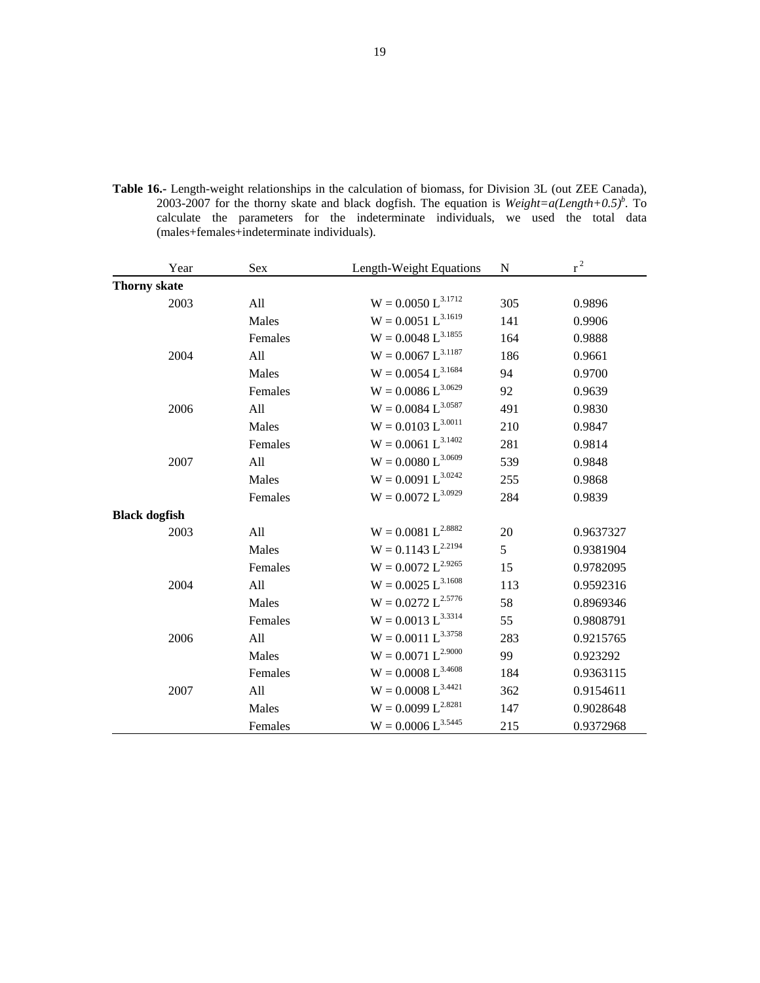|  |                                            |  | <b>Table 16.-</b> Length-weight relationships in the calculation of biomass, for Division 3L (out ZEE Canada),  |  |  |  |
|--|--------------------------------------------|--|-----------------------------------------------------------------------------------------------------------------|--|--|--|
|  |                                            |  | 2003-2007 for the thorny skate and black dogfish. The equation is <i>Weight=a(Length+0.5)</i> <sup>b</sup> . To |  |  |  |
|  |                                            |  | calculate the parameters for the indeterminate individuals, we used the total data                              |  |  |  |
|  | (males+females+indeterminate individuals). |  |                                                                                                                 |  |  |  |
|  |                                            |  |                                                                                                                 |  |  |  |

| Year                 | Sex     | Length-Weight Equations | ${\bf N}$ | $r^2$     |
|----------------------|---------|-------------------------|-----------|-----------|
| <b>Thorny skate</b>  |         |                         |           |           |
| 2003                 | All     | $W = 0.0050~L^{3.1712}$ | 305       | 0.9896    |
|                      | Males   | $W = 0.0051 L^{3.1619}$ | 141       | 0.9906    |
|                      | Females | $W = 0.0048 L^{3.1855}$ | 164       | 0.9888    |
| 2004                 | All     | $W = 0.0067 L^{3.1187}$ | 186       | 0.9661    |
|                      | Males   | $W = 0.0054~L^{3.1684}$ | 94        | 0.9700    |
|                      | Females | $W = 0.0086 L^{3.0629}$ | 92        | 0.9639    |
| 2006                 | All     | $W = 0.0084 L^{3.0587}$ | 491       | 0.9830    |
|                      | Males   | $W = 0.0103 L^{3.0011}$ | 210       | 0.9847    |
|                      | Females | $W = 0.0061 L^{3.1402}$ | 281       | 0.9814    |
| 2007                 | All     | $W = 0.0080 L^{3.0609}$ | 539       | 0.9848    |
|                      | Males   | $W = 0.0091 L^{3.0242}$ | 255       | 0.9868    |
|                      | Females | $W = 0.0072~L^{3.0929}$ | 284       | 0.9839    |
| <b>Black dogfish</b> |         |                         |           |           |
| 2003                 | All     | $W = 0.0081 L^{2.8882}$ | $20\,$    | 0.9637327 |
|                      | Males   | $W = 0.1143 L^{2.2194}$ | 5         | 0.9381904 |
|                      | Females | $W = 0.0072~L^{2.9265}$ | 15        | 0.9782095 |
| 2004                 | All     | $W = 0.0025~L^{3.1608}$ | 113       | 0.9592316 |
|                      | Males   | $W = 0.0272~L^{2.5776}$ | 58        | 0.8969346 |
|                      | Females | $W = 0.0013 L^{3.3314}$ | 55        | 0.9808791 |
| 2006                 | All     | $W = 0.0011 L^{3.3758}$ | 283       | 0.9215765 |
|                      | Males   | $W = 0.0071 L^{2.9000}$ | 99        | 0.923292  |
|                      | Females | $W=0.0008\ L^{3.4608}$  | 184       | 0.9363115 |
| 2007                 | All     | $W=0.0008\ L^{3.4421}$  | 362       | 0.9154611 |
|                      | Males   | $W = 0.0099 L^{2.8281}$ | 147       | 0.9028648 |
|                      | Females | $W = 0.0006~L^{3.5445}$ | 215       | 0.9372968 |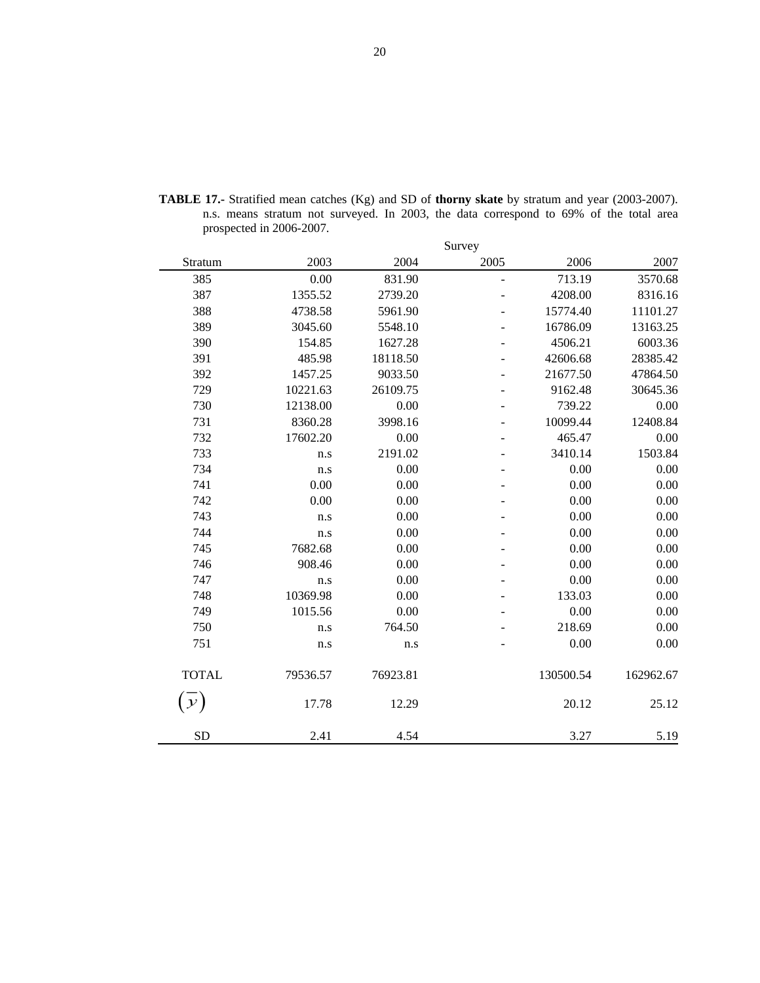|              |          |          | Survey                   |           |           |
|--------------|----------|----------|--------------------------|-----------|-----------|
| Stratum      | 2003     | 2004     | 2005                     | 2006      | 2007      |
| 385          | 0.00     | 831.90   | $\blacksquare$           | 713.19    | 3570.68   |
| 387          | 1355.52  | 2739.20  | ÷,                       | 4208.00   | 8316.16   |
| 388          | 4738.58  | 5961.90  |                          | 15774.40  | 11101.27  |
| 389          | 3045.60  | 5548.10  |                          | 16786.09  | 13163.25  |
| 390          | 154.85   | 1627.28  |                          | 4506.21   | 6003.36   |
| 391          | 485.98   | 18118.50 |                          | 42606.68  | 28385.42  |
| 392          | 1457.25  | 9033.50  |                          | 21677.50  | 47864.50  |
| 729          | 10221.63 | 26109.75 |                          | 9162.48   | 30645.36  |
| 730          | 12138.00 | 0.00     | $\overline{\phantom{0}}$ | 739.22    | 0.00      |
| 731          | 8360.28  | 3998.16  |                          | 10099.44  | 12408.84  |
| 732          | 17602.20 | 0.00     |                          | 465.47    | 0.00      |
| 733          | n.s      | 2191.02  |                          | 3410.14   | 1503.84   |
| 734          | n.s      | 0.00     |                          | 0.00      | 0.00      |
| 741          | 0.00     | 0.00     |                          | 0.00      | 0.00      |
| 742          | 0.00     | 0.00     |                          | 0.00      | 0.00      |
| 743          | n.s      | 0.00     |                          | 0.00      | 0.00      |
| 744          | n.s      | 0.00     |                          | 0.00      | 0.00      |
| 745          | 7682.68  | 0.00     |                          | 0.00      | 0.00      |
| 746          | 908.46   | 0.00     |                          | 0.00      | 0.00      |
| 747          | n.s      | 0.00     |                          | 0.00      | 0.00      |
| 748          | 10369.98 | 0.00     |                          | 133.03    | 0.00      |
| 749          | 1015.56  | 0.00     |                          | 0.00      | 0.00      |
| 750          | n.s      | 764.50   |                          | 218.69    | 0.00      |
| 751          | n.s      | n.s      |                          | 0.00      | 0.00      |
| <b>TOTAL</b> | 79536.57 | 76923.81 |                          | 130500.54 | 162962.67 |
| $\mathcal Y$ | 17.78    | 12.29    |                          | 20.12     | 25.12     |
| <b>SD</b>    | 2.41     | 4.54     |                          | 3.27      | 5.19      |

**TABLE 17.-** Stratified mean catches (Kg) and SD of **thorny skate** by stratum and year (2003-2007). n.s. means stratum not surveyed. In 2003, the data correspond to 69% of the total area prospected in 2006-2007.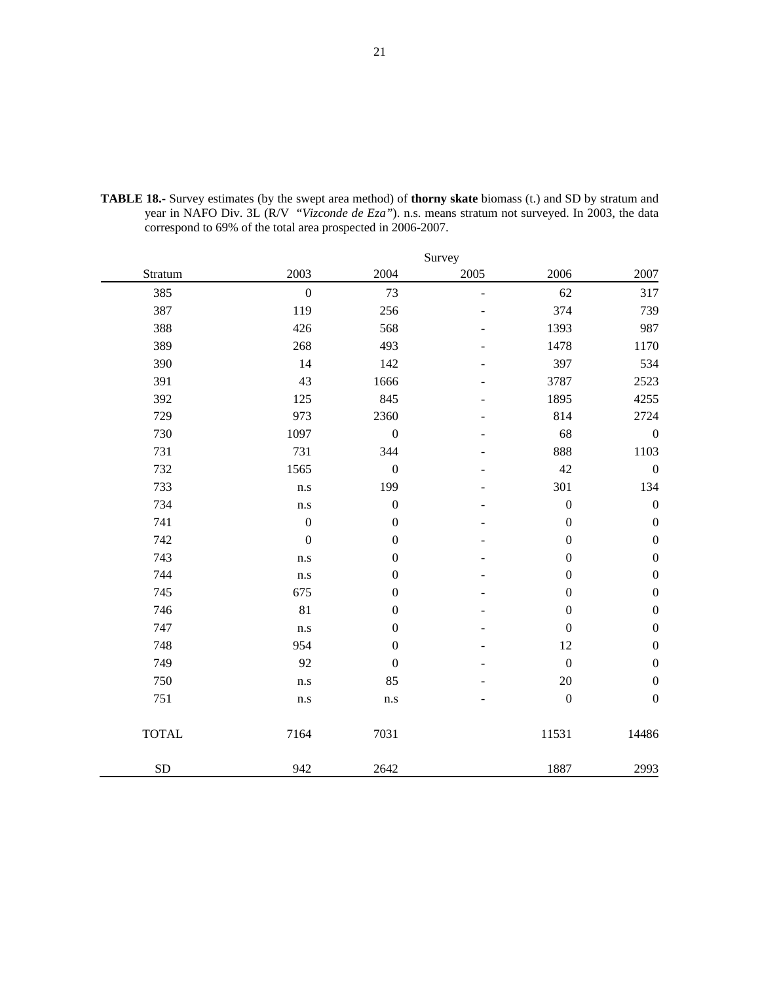|              |                         |                         | Survey         |                  |                  |
|--------------|-------------------------|-------------------------|----------------|------------------|------------------|
| Stratum      | 2003                    | 2004                    | 2005           | 2006             | 2007             |
| 385          | $\overline{0}$          | 73                      | $\overline{a}$ | 62               | 317              |
| 387          | 119                     | 256                     |                | 374              | 739              |
| 388          | 426                     | 568                     |                | 1393             | 987              |
| 389          | 268                     | 493                     |                | 1478             | 1170             |
| 390          | 14                      | 142                     |                | 397              | 534              |
| 391          | 43                      | 1666                    |                | 3787             | 2523             |
| 392          | 125                     | 845                     |                | 1895             | 4255             |
| 729          | 973                     | 2360                    |                | 814              | 2724             |
| 730          | 1097                    | $\boldsymbol{0}$        |                | 68               | $\boldsymbol{0}$ |
| 731          | 731                     | 344                     |                | 888              | 1103             |
| 732          | 1565                    | $\boldsymbol{0}$        |                | 42               | $\boldsymbol{0}$ |
| 733          | n.s                     | 199                     |                | 301              | 134              |
| 734          | n.s                     | $\boldsymbol{0}$        |                | $\boldsymbol{0}$ | $\boldsymbol{0}$ |
| 741          | $\boldsymbol{0}$        | $\boldsymbol{0}$        |                | $\boldsymbol{0}$ | $\boldsymbol{0}$ |
| 742          | $\boldsymbol{0}$        | $\boldsymbol{0}$        |                | $\boldsymbol{0}$ | $\boldsymbol{0}$ |
| 743          | n.s                     | $\boldsymbol{0}$        |                | $\boldsymbol{0}$ | $\boldsymbol{0}$ |
| 744          | n.s                     | $\boldsymbol{0}$        |                | $\boldsymbol{0}$ | $\boldsymbol{0}$ |
| 745          | 675                     | $\boldsymbol{0}$        |                | $\boldsymbol{0}$ | $\boldsymbol{0}$ |
| 746          | 81                      | $\boldsymbol{0}$        |                | $\boldsymbol{0}$ | $\boldsymbol{0}$ |
| 747          | n.s                     | $\boldsymbol{0}$        |                | $\boldsymbol{0}$ | $\boldsymbol{0}$ |
| 748          | 954                     | $\boldsymbol{0}$        |                | 12               | $\boldsymbol{0}$ |
| 749          | 92                      | $\boldsymbol{0}$        |                | $\boldsymbol{0}$ | $\boldsymbol{0}$ |
| 750          | $\mathbf{n}.\mathbf{s}$ | 85                      |                | $20\,$           | $\boldsymbol{0}$ |
| 751          | $\mathbf{n}.\mathbf{s}$ | $\mathbf{n}.\mathbf{s}$ |                | $\boldsymbol{0}$ | $\boldsymbol{0}$ |
| <b>TOTAL</b> | 7164                    | 7031                    |                | 11531            | 14486            |
| <b>SD</b>    | 942                     | 2642                    |                | 1887             | 2993             |

**TABLE 18.-** Survey estimates (by the swept area method) of **thorny skate** biomass (t.) and SD by stratum and year in NAFO Div. 3L (R/V "*Vizconde de Eza"*). n.s. means stratum not surveyed. In 2003, the data correspond to 69% of the total area prospected in 2006-2007.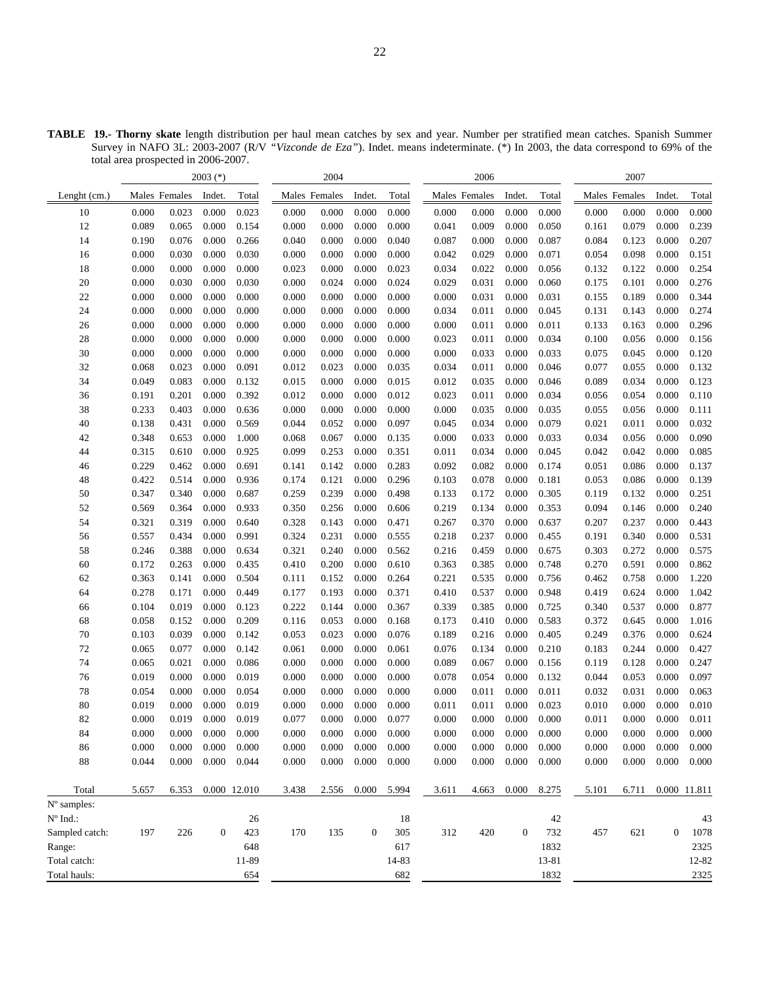**TABLE 19.- Thorny skate** length distribution per haul mean catches by sex and year. Number per stratified mean catches. Spanish Summer Survey in NAFO 3L: 2003-2007 (R/V *"Vizconde de Eza"*). Indet. means indeterminate. (\*) In 2003, the data correspond to 69% of the total area prospected in 2006-2007.

| Males Females<br>Total<br>Males Females<br>Total<br>Lenght (cm.)<br>Males Females<br>Indet.<br>Total<br>Indet.<br>Indet.              | Males Females<br>Indet.        | Total |
|---------------------------------------------------------------------------------------------------------------------------------------|--------------------------------|-------|
| 0.023<br>0.000<br>0.023<br>0.000<br>0.000<br>0.000<br>10<br>0.000<br>0.000<br>0.000<br>0.000<br>0.000<br>0.000                        | 0.000<br>0.000<br>0.000        | 0.000 |
| 0.089<br>0.065<br>0.000<br>0.154<br>0.000<br>0.000<br>0.000<br>0.009<br>0.000<br>0.050<br>12<br>0.000<br>0.041                        | 0.079<br>0.000<br>0.161        | 0.239 |
| 0.076<br>0.000<br>14<br>0.000<br>0.000<br>0.040<br>0.000<br>0.000<br>0.087<br>0.190<br>0.266<br>0.040<br>0.087                        | 0.000<br>0.084<br>0.123        | 0.207 |
| 16<br>0.000<br>0.030<br>0.000<br>0.030<br>0.000<br>0.000<br>0.000<br>0.029<br>0.000<br>0.071<br>0.000<br>0.042                        | 0.098<br>0.000<br>0.054        | 0.151 |
| 0.000<br>18<br>0.000<br>0.000<br>0.000<br>0.000<br>0.023<br>0.034<br>0.022<br>0.000<br>0.056<br>0.000<br>0.023                        | 0.122<br>0.000<br>0.132        | 0.254 |
| 0.030<br>0.031<br>20<br>0.000<br>0.000<br>0.030<br>0.000<br>0.024<br>0.000<br>0.024<br>0.029<br>0.000<br>0.060                        | 0.175<br>0.101<br>0.000        | 0.276 |
| 22<br>0.000<br>0.000<br>0.000<br>0.000<br>0.031<br>0.000<br>0.000<br>0.000<br>0.000<br>0.000<br>0.000<br>0.031                        | 0.000<br>0.155<br>0.189        | 0.344 |
| 0.000<br>0.000<br>0.011<br>24<br>0.000<br>0.000<br>0.000<br>0.000<br>0.000<br>0.000<br>0.034<br>0.000<br>0.045                        | 0.131<br>0.143<br>0.000        | 0.274 |
| 0.000<br>0.000<br>0.000<br>0.000<br>0.000<br>0.000<br>0.000<br>0.011<br>0.000<br>26<br>0.000<br>0.000<br>0.011                        | 0.000<br>0.133<br>0.163        | 0.296 |
| 0.000<br>0.000<br>0.000<br>28<br>0.000<br>0.000<br>0.000<br>0.000<br>0.011<br>0.000<br>0.034<br>0.000<br>0.023                        | 0.000<br>0.100<br>0.056        | 0.156 |
| 30<br>0.000<br>0.000<br>0.000<br>0.000<br>0.000<br>0.000<br>0.000<br>0.000<br>0.033<br>0.000<br>0.033<br>0.000                        | 0.000<br>0.075<br>0.045        | 0.120 |
| 32<br>0.023<br>0.000<br>0.023<br>0.000<br>0.000<br>0.068<br>0.091<br>0.012<br>0.035<br>0.034<br>0.011<br>0.046                        | 0.000<br>0.077<br>0.055        | 0.132 |
| 34<br>0.083<br>0.049<br>0.000<br>0.000<br>0.000<br>0.015<br>0.035<br>0.000<br>0.046<br>0.132<br>0.015<br>0.012                        | 0.089<br>0.034<br>0.000        | 0.123 |
| 0.201<br>0.000<br>0.000<br>0.000<br>0.012<br>0.011<br>0.000<br>36<br>0.191<br>0.392<br>0.012<br>0.023<br>0.034                        | 0.000<br>0.056<br>0.054        | 0.110 |
| 38<br>0.233<br>0.403<br>0.000<br>0.000<br>0.000<br>0.000<br>0.000<br>0.000<br>0.035<br>0.000<br>0.035<br>0.636                        | 0.056<br>0.000<br>0.055        | 0.111 |
| 40<br>0.431<br>0.000<br>0.052<br>0.000<br>0.034<br>0.138<br>0.569<br>0.044<br>0.097<br>0.045<br>0.000<br>0.079                        | 0.021<br>0.011<br>0.000        | 0.032 |
| 42<br>0.348<br>0.653<br>0.000<br>0.067<br>0.000<br>0.000<br>0.033<br>0.000<br>1.000<br>0.068<br>0.135<br>0.033                        | 0.000<br>0.034<br>0.056        | 0.090 |
| 44<br>0.315<br>0.610<br>0.000<br>0.925<br>0.099<br>0.253<br>0.000<br>0.351<br>0.011<br>0.034<br>0.000<br>0.045                        | 0.042<br>0.000<br>0.042        | 0.085 |
| 0.082<br>0.229<br>0.462<br>0.000<br>0.142<br>0.000<br>0.283<br>0.092<br>0.000<br>46<br>0.691<br>0.141<br>0.174                        | 0.086<br>0.000<br>0.051        | 0.137 |
| 48<br>0.422<br>0.514<br>0.000<br>0.936<br>0.121<br>0.000<br>0.296<br>0.078<br>0.000<br>0.174<br>0.103<br>0.181                        | 0.086<br>0.000<br>0.053        | 0.139 |
| 0.347<br>0.340<br>0.000<br>0.239<br>0.000<br>0.498<br>0.172<br>0.000<br>50<br>0.687<br>0.259<br>0.133<br>0.305                        | 0.000<br>0.119<br>0.132        | 0.251 |
| 52<br>0.569<br>0.364<br>0.000<br>0.933<br>0.256<br>0.000<br>0.606<br>0.219<br>0.134<br>0.000<br>0.353<br>0.350                        | 0.094<br>0.146<br>0.000        | 0.240 |
| 54<br>0.319<br>0.000<br>0.471<br>0.370<br>0.000<br>0.321<br>0.000<br>0.640<br>0.328<br>0.143<br>0.267<br>0.637                        | 0.237<br>0.000<br>0.207        | 0.443 |
| 0.000<br>0.557<br>0.434<br>0.000<br>0.991<br>0.231<br>0.555<br>0.237<br>0.000<br>0.455<br>56<br>0.324<br>0.218                        | 0.340<br>0.000<br>0.191        | 0.531 |
| 58<br>0.246<br>0.388<br>0.000<br>0.634<br>0.321<br>0.240<br>0.000<br>0.562<br>0.216<br>0.459<br>0.000<br>0.675                        | 0.303<br>0.272<br>0.000        | 0.575 |
| 60<br>0.172<br>0.263<br>0.000<br>0.200<br>0.000<br>0.610<br>0.385<br>0.000<br>0.748<br>0.435<br>0.410<br>0.363                        | 0.270<br>0.591<br>0.000        | 0.862 |
| 62<br>0.363<br>0.141<br>0.000<br>0.504<br>0.152<br>0.000<br>0.264<br>0.221<br>0.535<br>0.000<br>0.111<br>0.756                        | 0.462<br>0.758<br>0.000        | 1.220 |
| 0.278<br>0.171<br>0.000<br>0.449<br>0.193<br>0.000<br>0.371<br>0.410<br>0.537<br>0.000<br>64<br>0.177<br>0.948                        | 0.624<br>0.000<br>0.419        | 1.042 |
| 0.104<br>0.019<br>0.000<br>0.123<br>0.222<br>0.144<br>0.000<br>0.367<br>0.339<br>0.385<br>0.000<br>0.725<br>66                        | 0.340<br>0.537<br>0.000        | 0.877 |
| 68<br>0.000<br>0.058<br>0.152<br>0.000<br>0.209<br>0.116<br>0.053<br>0.000<br>0.168<br>0.173<br>0.410<br>0.583                        | 0.372<br>0.645<br>0.000        | 1.016 |
| 70<br>0.103<br>0.039<br>0.000<br>0.023<br>0.000<br>0.076<br>0.189<br>0.216<br>0.000<br>0.142<br>0.053<br>0.405                        | 0.376<br>0.000<br>0.249        | 0.624 |
| 72<br>0.077<br>0.000<br>0.000<br>0.000<br>0.061<br>0.134<br>0.000<br>0.210<br>0.065<br>0.142<br>0.061<br>0.076                        | 0.244<br>0.000<br>0.183        | 0.427 |
| 0.021<br>74<br>0.000<br>0.086<br>0.000<br>0.000<br>0.000<br>0.089<br>0.067<br>0.000<br>0.065<br>0.000<br>0.156                        | 0.128<br>0.000<br>0.119        | 0.247 |
| 76<br>0.019<br>0.000<br>0.000<br>0.019<br>0.000<br>0.000<br>0.000<br>0.054<br>0.000<br>0.132<br>0.000<br>0.078                        | 0.053<br>0.000<br>0.044        | 0.097 |
| 78<br>0.000<br>0.000<br>0.000<br>0.011<br>0.054<br>0.000<br>0.054<br>0.000<br>0.000<br>0.000<br>0.000<br>0.011                        | 0.000<br>0.032<br>0.031        | 0.063 |
| 80<br>0.019<br>0.000<br>0.000<br>0.019<br>0.000<br>0.000<br>0.000<br>0.000<br>0.011<br>0.011<br>0.000<br>0.023                        | 0.000<br>0.010<br>0.000        | 0.010 |
| 0.019<br>0.077<br>0.000<br>0.000<br>0.077<br>0.000<br>0.000<br>82<br>0.000<br>0.000<br>0.019<br>0.000<br>0.000                        | 0.000<br>0.011<br>0.000        | 0.011 |
| 84<br>0.000<br>0.000<br>0.000<br>0.000<br>0.000<br>0.000<br>0.000<br>0.000<br>0.000<br>0.000<br>0.000<br>0.000                        | 0.000<br>0.000<br>0.000        | 0.000 |
| 0.000<br>0.000<br>0.000<br>0.000<br>0.000<br>0.000<br>0.000<br>0.000<br>0.000<br>0.000<br>0.000<br>0.000<br>86                        | 0.000<br>0.000<br>0.000        | 0.000 |
| $0.000\,$<br>0.044<br>0.000<br>$0.000\,$<br>$0.000\,$<br>0.000<br>88<br>0.044<br>0.000<br>0.000<br>0.000<br>0.000<br>0.000            | 0.000<br>0.000<br>0.000        | 0.000 |
| 0.000<br>Total<br>5.657<br>6.353<br>0.000 12.010<br>3.438<br>2.556<br>5.994<br>4.663<br>0.000<br>8.275<br>3.611                       | 5.101<br>6.711<br>0.000 11.811 |       |
| N° samples:                                                                                                                           |                                |       |
| $N^{\circ}$ Ind.:<br>42<br>26<br>18                                                                                                   |                                | 43    |
| 197<br>170<br>135<br>$\mathbf{0}$<br>305<br>312<br>732<br>Sampled catch:<br>226<br>$\boldsymbol{0}$<br>423<br>420<br>$\boldsymbol{0}$ | 621<br>457<br>$\boldsymbol{0}$ | 1078  |
| Range:<br>648<br>617<br>1832                                                                                                          |                                | 2325  |
| Total catch:<br>11-89<br>14-83<br>13-81                                                                                               |                                | 12-82 |
| Total hauls:<br>682<br>1832<br>654                                                                                                    |                                | 2325  |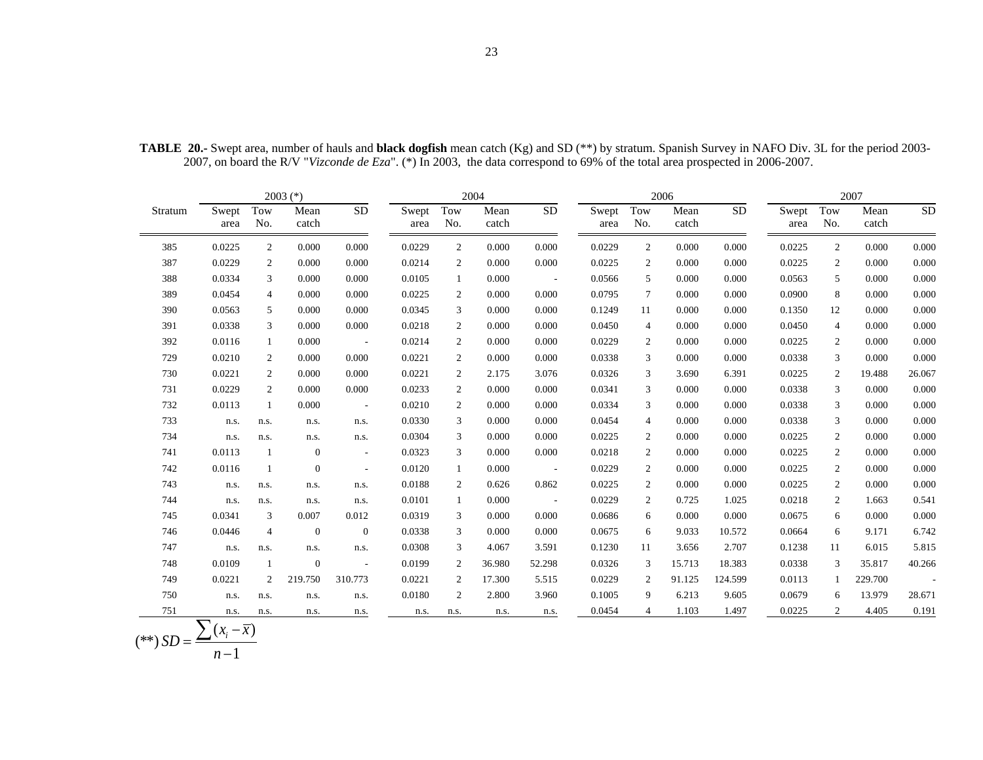23

|         |               |                | $2003$ (*)     |                          |               |                | 2004          |            |               |                | 2006          |           |               |                | 2007          |                          |
|---------|---------------|----------------|----------------|--------------------------|---------------|----------------|---------------|------------|---------------|----------------|---------------|-----------|---------------|----------------|---------------|--------------------------|
| Stratum | Swept<br>area | Tow<br>No.     | Mean<br>catch  | <b>SD</b>                | Swept<br>area | Tow<br>No.     | Mean<br>catch | <b>SD</b>  | Swept<br>area | Tow<br>No.     | Mean<br>catch | <b>SD</b> | Swept<br>area | Tow<br>No.     | Mean<br>catch | <b>SD</b>                |
| 385     | 0.0225        | 2              | 0.000          | 0.000                    | 0.0229        | 2              | 0.000         | 0.000      | 0.0229        | $\overline{2}$ | 0.000         | 0.000     | 0.0225        | 2              | 0.000         | 0.000                    |
| 387     | 0.0229        | 2              | 0.000          | 0.000                    | 0.0214        | 2              | 0.000         | 0.000      | 0.0225        | 2              | 0.000         | 0.000     | 0.0225        | 2              | 0.000         | 0.000                    |
| 388     | 0.0334        | 3              | 0.000          | 0.000                    | 0.0105        | 1              | 0.000         | $\sim$     | 0.0566        | 5              | 0.000         | 0.000     | 0.0563        | 5              | 0.000         | 0.000                    |
| 389     | 0.0454        | $\overline{4}$ | 0.000          | 0.000                    | 0.0225        | 2              | 0.000         | 0.000      | 0.0795        | $\tau$         | 0.000         | 0.000     | 0.0900        | 8              | 0.000         | 0.000                    |
| 390     | 0.0563        | 5              | 0.000          | 0.000                    | 0.0345        | 3              | 0.000         | 0.000      | 0.1249        | 11             | 0.000         | 0.000     | 0.1350        | 12             | 0.000         | 0.000                    |
| 391     | 0.0338        | 3              | 0.000          | 0.000                    | 0.0218        | 2              | 0.000         | 0.000      | 0.0450        | $\overline{4}$ | 0.000         | 0.000     | 0.0450        | $\overline{4}$ | 0.000         | 0.000                    |
| 392     | 0.0116        | 1              | 0.000          | $\sim 100$               | 0.0214        | $\overline{2}$ | 0.000         | 0.000      | 0.0229        | $\overline{2}$ | 0.000         | 0.000     | 0.0225        | 2              | 0.000         | 0.000                    |
| 729     | 0.0210        | 2              | 0.000          | 0.000                    | 0.0221        | 2              | 0.000         | 0.000      | 0.0338        | 3              | 0.000         | 0.000     | 0.0338        | 3              | 0.000         | 0.000                    |
| 730     | 0.0221        | 2              | 0.000          | 0.000                    | 0.0221        | 2              | 2.175         | 3.076      | 0.0326        | 3              | 3.690         | 6.391     | 0.0225        | 2              | 19.488        | 26.067                   |
| 731     | 0.0229        | 2              | 0.000          | 0.000                    | 0.0233        | 2              | 0.000         | 0.000      | 0.0341        | 3              | 0.000         | 0.000     | 0.0338        | 3              | 0.000         | 0.000                    |
| 732     | 0.0113        | -1             | 0.000          | $\sim$                   | 0.0210        | 2              | 0.000         | 0.000      | 0.0334        | 3              | 0.000         | 0.000     | 0.0338        | 3              | 0.000         | 0.000                    |
| 733     | n.s.          | n.s.           | n.s.           | n.s.                     | 0.0330        | 3              | 0.000         | 0.000      | 0.0454        | $\overline{4}$ | 0.000         | 0.000     | 0.0338        | 3              | 0.000         | 0.000                    |
| 734     | n.s.          | n.s.           | n.s.           | n.s.                     | 0.0304        | 3              | 0.000         | 0.000      | 0.0225        | 2              | 0.000         | 0.000     | 0.0225        | 2              | 0.000         | 0.000                    |
| 741     | 0.0113        | -1             | $\mathbf{0}$   | $\overline{\phantom{a}}$ | 0.0323        | 3              | 0.000         | 0.000      | 0.0218        | 2              | 0.000         | 0.000     | 0.0225        | 2              | 0.000         | 0.000                    |
| 742     | 0.0116        | -1             | $\overline{0}$ | $\overline{\phantom{a}}$ | 0.0120        | 1              | 0.000         | $\sim$ $-$ | 0.0229        | 2              | 0.000         | 0.000     | 0.0225        | 2              | 0.000         | 0.000                    |
| 743     | n.s.          | n.s.           | n.s.           | n.s.                     | 0.0188        | 2              | 0.626         | 0.862      | 0.0225        | $\overline{2}$ | 0.000         | 0.000     | 0.0225        | $\overline{c}$ | 0.000         | 0.000                    |
| 744     | n.s.          | n.s.           | n.s.           | n.s.                     | 0.0101        | 1              | 0.000         | $\sim$     | 0.0229        | 2              | 0.725         | 1.025     | 0.0218        | 2              | 1.663         | 0.541                    |
| 745     | 0.0341        | 3              | 0.007          | 0.012                    | 0.0319        | 3              | 0.000         | 0.000      | 0.0686        | 6              | 0.000         | 0.000     | 0.0675        | 6              | 0.000         | 0.000                    |
| 746     | 0.0446        | $\overline{4}$ | $\overline{0}$ | $\overline{0}$           | 0.0338        | 3              | 0.000         | 0.000      | 0.0675        | 6              | 9.033         | 10.572    | 0.0664        | 6              | 9.171         | 6.742                    |
| 747     | n.s.          | n.s.           | n.s.           | n.s.                     | 0.0308        | 3              | 4.067         | 3.591      | 0.1230        | 11             | 3.656         | 2.707     | 0.1238        | 11             | 6.015         | 5.815                    |
| 748     | 0.0109        | -1             | $\mathbf{0}$   | $\overline{\phantom{a}}$ | 0.0199        | $\overline{2}$ | 36.980        | 52.298     | 0.0326        | 3              | 15.713        | 18.383    | 0.0338        | 3              | 35.817        | 40.266                   |
| 749     | 0.0221        | 2              | 219.750        | 310.773                  | 0.0221        | 2              | 17.300        | 5.515      | 0.0229        | 2              | 91.125        | 124.599   | 0.0113        | -1             | 229.700       | $\overline{\phantom{a}}$ |
| 750     | n.s.          | n.s.           | n.s.           | n.s.                     | 0.0180        | 2              | 2.800         | 3.960      | 0.1005        | 9              | 6.213         | 9.605     | 0.0679        | 6              | 13.979        | 28.671                   |
| 751     | n.s.          | n.s.           | n.s.           | n.s.                     | n.s.          | n.s.           | n.s.          | n.s.       | 0.0454        | 4              | 1.103         | 1.497     | 0.0225        | 2              | 4.405         | 0.191                    |

**TABLE 20.-** Swept area, number of hauls and **black dogfish** mean catch (Kg) and SD (\*\*) by stratum. Spanish Survey in NAFO Div. 3L for the period 2003- 2007, on board the R/V "*Vizconde de Eza*". (\*) In 2003, the data correspond to 69% of the total area prospected in 2006-2007.

 $(**)$   $SD = \frac{\sum (x_i - \bar{x})}{n-1}$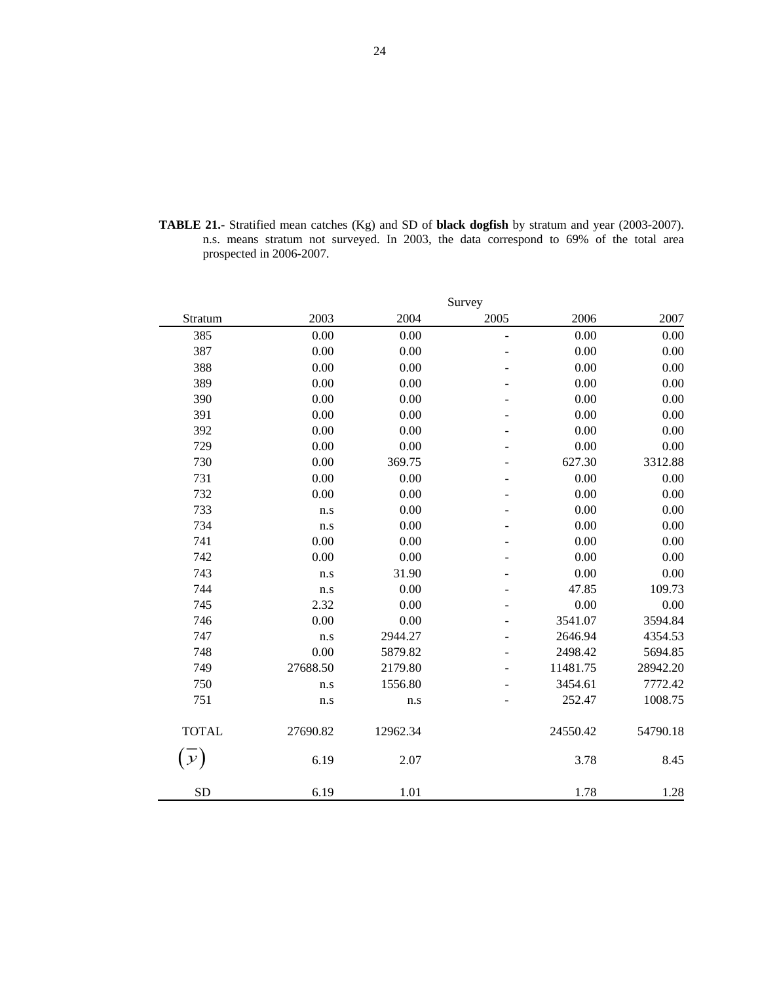**TABLE 21.-** Stratified mean catches (Kg) and SD of **black dogfish** by stratum and year (2003-2007). n.s. means stratum not surveyed. In 2003, the data correspond to 69% of the total area prospected in 2006-2007.

|               |          |          | Survey                   |          |          |
|---------------|----------|----------|--------------------------|----------|----------|
| Stratum       | 2003     | 2004     | 2005                     | 2006     | 2007     |
| 385           | 0.00     | 0.00     | $\overline{\phantom{m}}$ | 0.00     | 0.00     |
| 387           | $0.00\,$ | 0.00     |                          | 0.00     | 0.00     |
| 388           | 0.00     | 0.00     |                          | 0.00     | 0.00     |
| 389           | 0.00     | 0.00     |                          | 0.00     | 0.00     |
| 390           | 0.00     | 0.00     |                          | 0.00     | 0.00     |
| 391           | 0.00     | 0.00     |                          | 0.00     | 0.00     |
| 392           | 0.00     | 0.00     |                          | 0.00     | 0.00     |
| 729           | 0.00     | 0.00     |                          | 0.00     | 0.00     |
| 730           | 0.00     | 369.75   |                          | 627.30   | 3312.88  |
| 731           | 0.00     | 0.00     |                          | 0.00     | 0.00     |
| 732           | 0.00     | 0.00     |                          | 0.00     | 0.00     |
| 733           | n.s      | 0.00     |                          | 0.00     | 0.00     |
| 734           | n.s      | 0.00     |                          | 0.00     | 0.00     |
| 741           | 0.00     | 0.00     |                          | 0.00     | 0.00     |
| 742           | 0.00     | 0.00     |                          | 0.00     | 0.00     |
| 743           | n.s      | 31.90    |                          | 0.00     | 0.00     |
| 744           | n.s      | 0.00     |                          | 47.85    | 109.73   |
| 745           | 2.32     | 0.00     |                          | 0.00     | 0.00     |
| 746           | 0.00     | 0.00     |                          | 3541.07  | 3594.84  |
| 747           | n.s      | 2944.27  | L.                       | 2646.94  | 4354.53  |
| 748           | 0.00     | 5879.82  |                          | 2498.42  | 5694.85  |
| 749           | 27688.50 | 2179.80  |                          | 11481.75 | 28942.20 |
| 750           | n.s      | 1556.80  |                          | 3454.61  | 7772.42  |
| 751           | n.s      | n.s      |                          | 252.47   | 1008.75  |
| <b>TOTAL</b>  | 27690.82 | 12962.34 |                          | 24550.42 | 54790.18 |
| $\mathcal{Y}$ | 6.19     | 2.07     |                          | 3.78     | 8.45     |
| <b>SD</b>     | 6.19     | 1.01     |                          | 1.78     | 1.28     |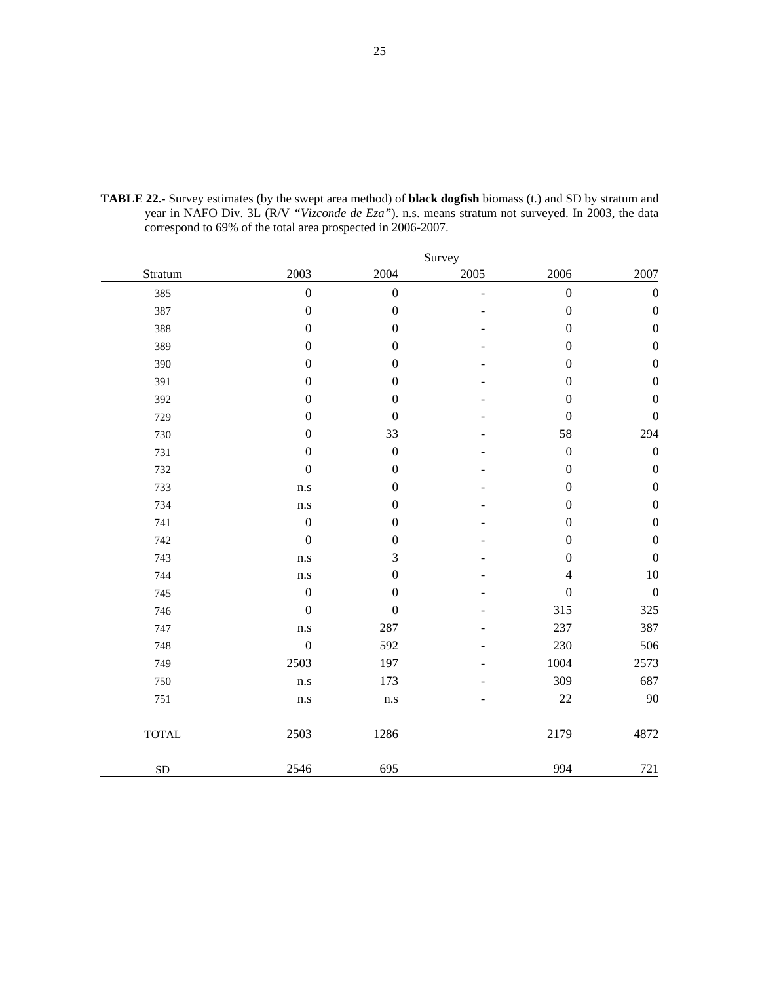|              |                         |                         | Survey         |                  |                  |
|--------------|-------------------------|-------------------------|----------------|------------------|------------------|
| Stratum      | 2003                    | 2004                    | 2005           | 2006             | 2007             |
| 385          | $\boldsymbol{0}$        | $\boldsymbol{0}$        | $\overline{a}$ | $\boldsymbol{0}$ | $\boldsymbol{0}$ |
| 387          | $\boldsymbol{0}$        | $\boldsymbol{0}$        |                | $\boldsymbol{0}$ | $\boldsymbol{0}$ |
| 388          | $\boldsymbol{0}$        | $\boldsymbol{0}$        |                | $\boldsymbol{0}$ | $\boldsymbol{0}$ |
| 389          | $\boldsymbol{0}$        | $\boldsymbol{0}$        |                | $\boldsymbol{0}$ | $\boldsymbol{0}$ |
| 390          | $\boldsymbol{0}$        | $\boldsymbol{0}$        |                | $\boldsymbol{0}$ | $\boldsymbol{0}$ |
| 391          | $\boldsymbol{0}$        | $\boldsymbol{0}$        |                | $\boldsymbol{0}$ | $\boldsymbol{0}$ |
| 392          | $\boldsymbol{0}$        | $\boldsymbol{0}$        |                | $\boldsymbol{0}$ | $\boldsymbol{0}$ |
| 729          | $\boldsymbol{0}$        | $\boldsymbol{0}$        |                | $\boldsymbol{0}$ | $\boldsymbol{0}$ |
| 730          | $\boldsymbol{0}$        | 33                      |                | 58               | 294              |
| 731          | $\boldsymbol{0}$        | $\boldsymbol{0}$        |                | $\boldsymbol{0}$ | $\boldsymbol{0}$ |
| 732          | $\boldsymbol{0}$        | $\boldsymbol{0}$        |                | $\boldsymbol{0}$ | $\boldsymbol{0}$ |
| 733          | $\mathbf{n}.\mathbf{s}$ | $\boldsymbol{0}$        |                | $\boldsymbol{0}$ | $\boldsymbol{0}$ |
| 734          | $\rm n.s$               | $\boldsymbol{0}$        |                | $\boldsymbol{0}$ | $\boldsymbol{0}$ |
| 741          | $\boldsymbol{0}$        | $\boldsymbol{0}$        |                | $\boldsymbol{0}$ | $\boldsymbol{0}$ |
| 742          | $\boldsymbol{0}$        | $\boldsymbol{0}$        |                | $\boldsymbol{0}$ | $\boldsymbol{0}$ |
| 743          | $\mathbf{n}.\mathbf{s}$ | 3                       |                | $\boldsymbol{0}$ | $\boldsymbol{0}$ |
| 744          | $\mathbf{n}.\mathbf{s}$ | $\boldsymbol{0}$        |                | $\overline{4}$   | $10\,$           |
| 745          | $\boldsymbol{0}$        | $\boldsymbol{0}$        |                | $\boldsymbol{0}$ | $\boldsymbol{0}$ |
| 746          | $\boldsymbol{0}$        | $\boldsymbol{0}$        |                | 315              | 325              |
| 747          | n.s                     | 287                     |                | 237              | 387              |
| 748          | $\boldsymbol{0}$        | 592                     |                | 230              | 506              |
| 749          | 2503                    | 197                     |                | 1004             | 2573             |
| 750          | $\mathbf{n}.\mathbf{s}$ | 173                     |                | 309              | 687              |
| 751          | $\mathbf{n}.\mathbf{s}$ | $\mathbf{n}.\mathbf{s}$ |                | 22               | 90               |
| <b>TOTAL</b> | 2503                    | 1286                    |                | 2179             | 4872             |
| <b>SD</b>    | 2546                    | 695                     |                | 994              | 721              |

**TABLE 22.-** Survey estimates (by the swept area method) of **black dogfish** biomass (t.) and SD by stratum and year in NAFO Div. 3L (R/V *"Vizconde de Eza"*). n.s. means stratum not surveyed. In 2003, the data correspond to 69% of the total area prospected in 2006-2007.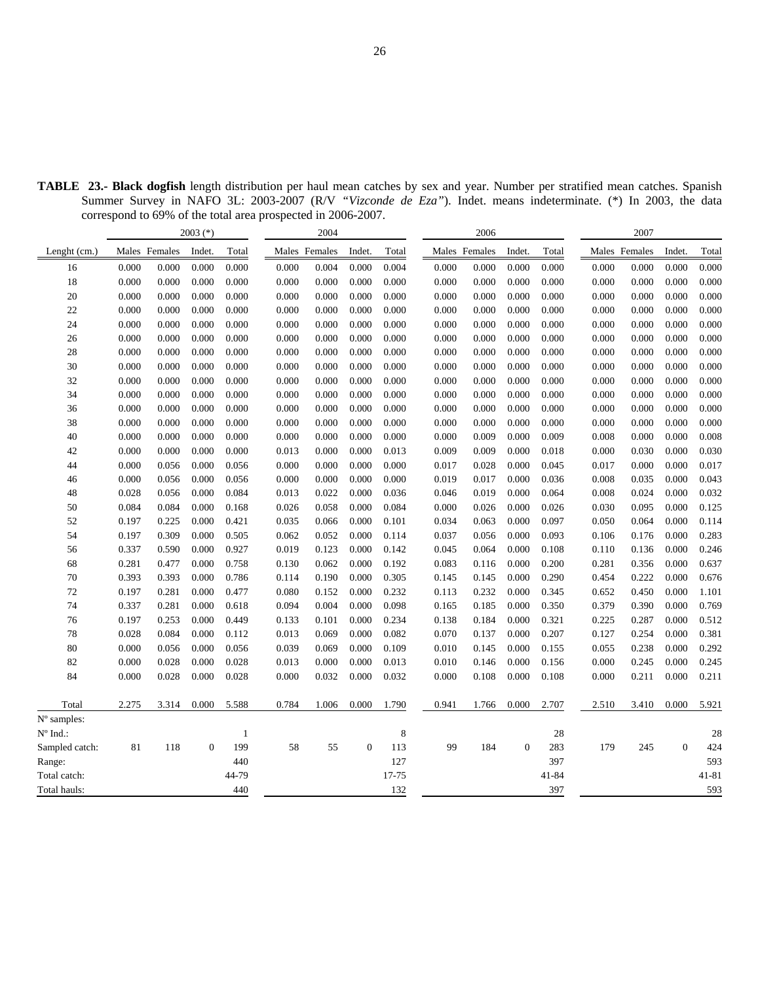| <b>TABLE 23.- Black dogfish</b> length distribution per haul mean catches by sex and year. Number per stratified mean catches. Spanish<br>Summer Survey in NAFO 3L: 2003-2007 (R/V "Vizconde de Eza"). Indet. means indeterminate. (*) In 2003, the data<br>correspond to 69% of the total area prospected in 2006-2007. |                |        |       |                |        |       |       |               |        |       |       |               |        |       |
|--------------------------------------------------------------------------------------------------------------------------------------------------------------------------------------------------------------------------------------------------------------------------------------------------------------------------|----------------|--------|-------|----------------|--------|-------|-------|---------------|--------|-------|-------|---------------|--------|-------|
|                                                                                                                                                                                                                                                                                                                          | $2003$ $(*)$   |        | 2004  |                |        | 2006  |       |               | 2007   |       |       |               |        |       |
| Lenght (cm.)                                                                                                                                                                                                                                                                                                             | Males Females  | Indet. | Total | Males Females  | Indet. | Total |       | Males Females | Indet. | Total |       | Males Females | Indet. | Total |
| 16                                                                                                                                                                                                                                                                                                                       | 0.000<br>0.000 | 0.000  | 0.000 | 0.000<br>0.004 | 0.000  | 0.004 | 0.000 | 0.000         | 0.000  | 0.000 | 0.000 | 0.000         | 0.000  | 0.000 |
| 18                                                                                                                                                                                                                                                                                                                       | 0.000<br>0.000 | 0.000  | 0.000 | 0.000<br>0.000 | 0.000  | 0.000 | 0.000 | 0.000         | 0.000  | 0.000 | 0.000 | 0.000         | 0.000  | 0.000 |

| 16                | 0.000 | 0.000 | 0.000          | 0.000        | 0.000 | 0.004 | 0.000    | 0.004   | 0.000 | 0.000 | 0.000    | 0.000 | 0.000 | 0.000 | 0.000    | 0.000     |
|-------------------|-------|-------|----------------|--------------|-------|-------|----------|---------|-------|-------|----------|-------|-------|-------|----------|-----------|
| 18                | 0.000 | 0.000 | 0.000          | 0.000        | 0.000 | 0.000 | 0.000    | 0.000   | 0.000 | 0.000 | 0.000    | 0.000 | 0.000 | 0.000 | 0.000    | 0.000     |
| 20                | 0.000 | 0.000 | 0.000          | 0.000        | 0.000 | 0.000 | 0.000    | 0.000   | 0.000 | 0.000 | 0.000    | 0.000 | 0.000 | 0.000 | 0.000    | 0.000     |
| 22                | 0.000 | 0.000 | 0.000          | 0.000        | 0.000 | 0.000 | 0.000    | 0.000   | 0.000 | 0.000 | 0.000    | 0.000 | 0.000 | 0.000 | 0.000    | 0.000     |
| 24                | 0.000 | 0.000 | 0.000          | 0.000        | 0.000 | 0.000 | 0.000    | 0.000   | 0.000 | 0.000 | 0.000    | 0.000 | 0.000 | 0.000 | 0.000    | 0.000     |
| 26                | 0.000 | 0.000 | 0.000          | 0.000        | 0.000 | 0.000 | 0.000    | 0.000   | 0.000 | 0.000 | 0.000    | 0.000 | 0.000 | 0.000 | 0.000    | 0.000     |
| 28                | 0.000 | 0.000 | 0.000          | 0.000        | 0.000 | 0.000 | 0.000    | 0.000   | 0.000 | 0.000 | 0.000    | 0.000 | 0.000 | 0.000 | 0.000    | 0.000     |
| 30                | 0.000 | 0.000 | 0.000          | 0.000        | 0.000 | 0.000 | 0.000    | 0.000   | 0.000 | 0.000 | 0.000    | 0.000 | 0.000 | 0.000 | 0.000    | 0.000     |
| 32                | 0.000 | 0.000 | 0.000          | 0.000        | 0.000 | 0.000 | 0.000    | 0.000   | 0.000 | 0.000 | 0.000    | 0.000 | 0.000 | 0.000 | 0.000    | 0.000     |
| 34                | 0.000 | 0.000 | 0.000          | 0.000        | 0.000 | 0.000 | 0.000    | 0.000   | 0.000 | 0.000 | 0.000    | 0.000 | 0.000 | 0.000 | 0.000    | 0.000     |
| 36                | 0.000 | 0.000 | 0.000          | 0.000        | 0.000 | 0.000 | 0.000    | 0.000   | 0.000 | 0.000 | 0.000    | 0.000 | 0.000 | 0.000 | 0.000    | 0.000     |
| 38                | 0.000 | 0.000 | 0.000          | 0.000        | 0.000 | 0.000 | 0.000    | 0.000   | 0.000 | 0.000 | 0.000    | 0.000 | 0.000 | 0.000 | 0.000    | 0.000     |
| 40                | 0.000 | 0.000 | 0.000          | 0.000        | 0.000 | 0.000 | 0.000    | 0.000   | 0.000 | 0.009 | 0.000    | 0.009 | 0.008 | 0.000 | 0.000    | 0.008     |
| 42                | 0.000 | 0.000 | 0.000          | 0.000        | 0.013 | 0.000 | 0.000    | 0.013   | 0.009 | 0.009 | 0.000    | 0.018 | 0.000 | 0.030 | 0.000    | 0.030     |
| 44                | 0.000 | 0.056 | 0.000          | 0.056        | 0.000 | 0.000 | 0.000    | 0.000   | 0.017 | 0.028 | 0.000    | 0.045 | 0.017 | 0.000 | 0.000    | 0.017     |
| 46                | 0.000 | 0.056 | 0.000          | 0.056        | 0.000 | 0.000 | 0.000    | 0.000   | 0.019 | 0.017 | 0.000    | 0.036 | 0.008 | 0.035 | 0.000    | 0.043     |
| 48                | 0.028 | 0.056 | 0.000          | 0.084        | 0.013 | 0.022 | 0.000    | 0.036   | 0.046 | 0.019 | 0.000    | 0.064 | 0.008 | 0.024 | 0.000    | 0.032     |
| 50                | 0.084 | 0.084 | 0.000          | 0.168        | 0.026 | 0.058 | 0.000    | 0.084   | 0.000 | 0.026 | 0.000    | 0.026 | 0.030 | 0.095 | 0.000    | 0.125     |
| 52                | 0.197 | 0.225 | 0.000          | 0.421        | 0.035 | 0.066 | 0.000    | 0.101   | 0.034 | 0.063 | 0.000    | 0.097 | 0.050 | 0.064 | 0.000    | 0.114     |
| 54                | 0.197 | 0.309 | 0.000          | 0.505        | 0.062 | 0.052 | 0.000    | 0.114   | 0.037 | 0.056 | 0.000    | 0.093 | 0.106 | 0.176 | 0.000    | 0.283     |
| 56                | 0.337 | 0.590 | 0.000          | 0.927        | 0.019 | 0.123 | 0.000    | 0.142   | 0.045 | 0.064 | 0.000    | 0.108 | 0.110 | 0.136 | 0.000    | 0.246     |
| 68                | 0.281 | 0.477 | 0.000          | 0.758        | 0.130 | 0.062 | 0.000    | 0.192   | 0.083 | 0.116 | 0.000    | 0.200 | 0.281 | 0.356 | 0.000    | 0.637     |
| 70                | 0.393 | 0.393 | 0.000          | 0.786        | 0.114 | 0.190 | 0.000    | 0.305   | 0.145 | 0.145 | 0.000    | 0.290 | 0.454 | 0.222 | 0.000    | 0.676     |
| 72                | 0.197 | 0.281 | 0.000          | 0.477        | 0.080 | 0.152 | 0.000    | 0.232   | 0.113 | 0.232 | 0.000    | 0.345 | 0.652 | 0.450 | 0.000    | 1.101     |
| 74                | 0.337 | 0.281 | 0.000          | 0.618        | 0.094 | 0.004 | 0.000    | 0.098   | 0.165 | 0.185 | 0.000    | 0.350 | 0.379 | 0.390 | 0.000    | 0.769     |
| 76                | 0.197 | 0.253 | 0.000          | 0.449        | 0.133 | 0.101 | 0.000    | 0.234   | 0.138 | 0.184 | 0.000    | 0.321 | 0.225 | 0.287 | 0.000    | 0.512     |
| 78                | 0.028 | 0.084 | 0.000          | 0.112        | 0.013 | 0.069 | 0.000    | 0.082   | 0.070 | 0.137 | 0.000    | 0.207 | 0.127 | 0.254 | 0.000    | 0.381     |
| 80                | 0.000 | 0.056 | 0.000          | 0.056        | 0.039 | 0.069 | 0.000    | 0.109   | 0.010 | 0.145 | 0.000    | 0.155 | 0.055 | 0.238 | 0.000    | 0.292     |
| 82                | 0.000 | 0.028 | 0.000          | 0.028        | 0.013 | 0.000 | 0.000    | 0.013   | 0.010 | 0.146 | 0.000    | 0.156 | 0.000 | 0.245 | 0.000    | 0.245     |
| 84                | 0.000 | 0.028 | 0.000          | 0.028        | 0.000 | 0.032 | 0.000    | 0.032   | 0.000 | 0.108 | 0.000    | 0.108 | 0.000 | 0.211 | 0.000    | 0.211     |
| Total             | 2.275 | 3.314 | 0.000          | 5.588        | 0.784 | 1.006 | 0.000    | 1.790   | 0.941 | 1.766 | 0.000    | 2.707 | 2.510 | 3.410 | 0.000    | 5.921     |
| $No$ samples:     |       |       |                |              |       |       |          |         |       |       |          |       |       |       |          |           |
| $N^{\circ}$ Ind.: |       |       |                | $\mathbf{1}$ |       |       |          | $\,8\,$ |       |       |          | 28    |       |       |          | 28        |
| Sampled catch:    | 81    | 118   | $\overline{0}$ | 199          | 58    | 55    | $\Omega$ | 113     | 99    | 184   | $\Omega$ | 283   | 179   | 245   | $\Omega$ | 424       |
| Range:            |       |       |                | 440          |       |       |          | 127     |       |       |          | 397   |       |       |          | 593       |
| Total catch:      |       |       |                | 44-79        |       |       |          | 17-75   |       |       |          | 41-84 |       |       |          | $41 - 81$ |
| Total hauls:      |       |       |                | 440          |       |       |          | 132     |       |       |          | 397   |       |       |          | 593       |
|                   |       |       |                |              |       |       |          |         |       |       |          |       |       |       |          |           |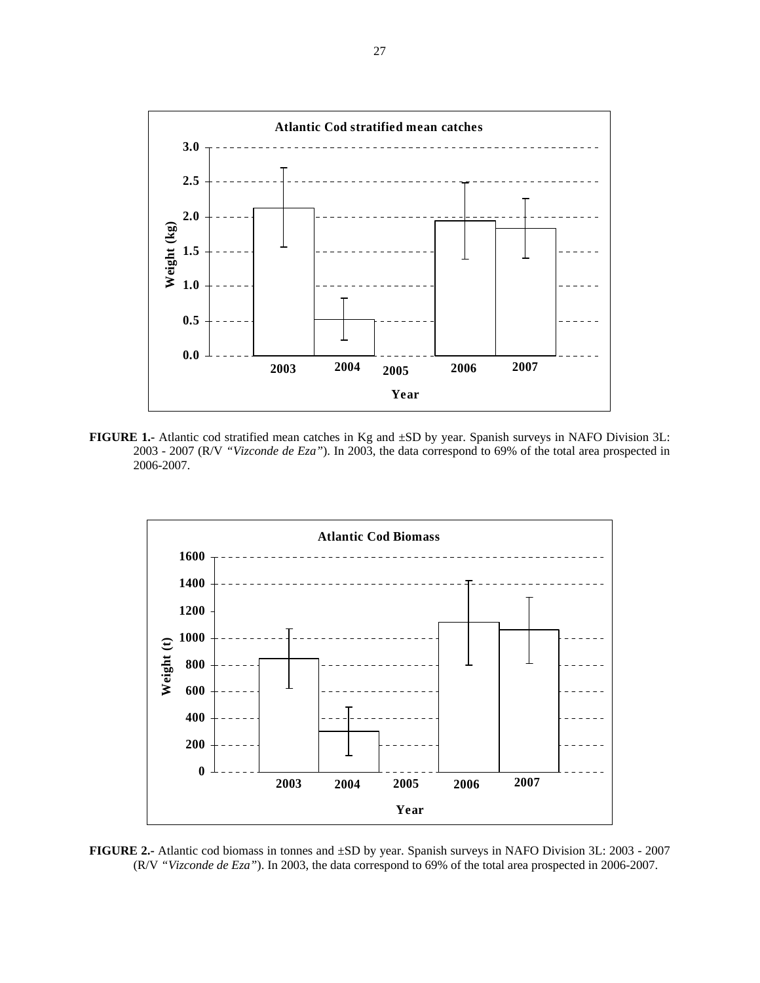

**FIGURE 1.-** Atlantic cod stratified mean catches in Kg and ±SD by year. Spanish surveys in NAFO Division 3L: 2003 - 2007 (R/V *"Vizconde de Eza"*). In 2003, the data correspond to 69% of the total area prospected in 2006-2007.



**FIGURE 2.-** Atlantic cod biomass in tonnes and ±SD by year. Spanish surveys in NAFO Division 3L: 2003 - 2007 (R/V *"Vizconde de Eza"*). In 2003, the data correspond to 69% of the total area prospected in 2006-2007.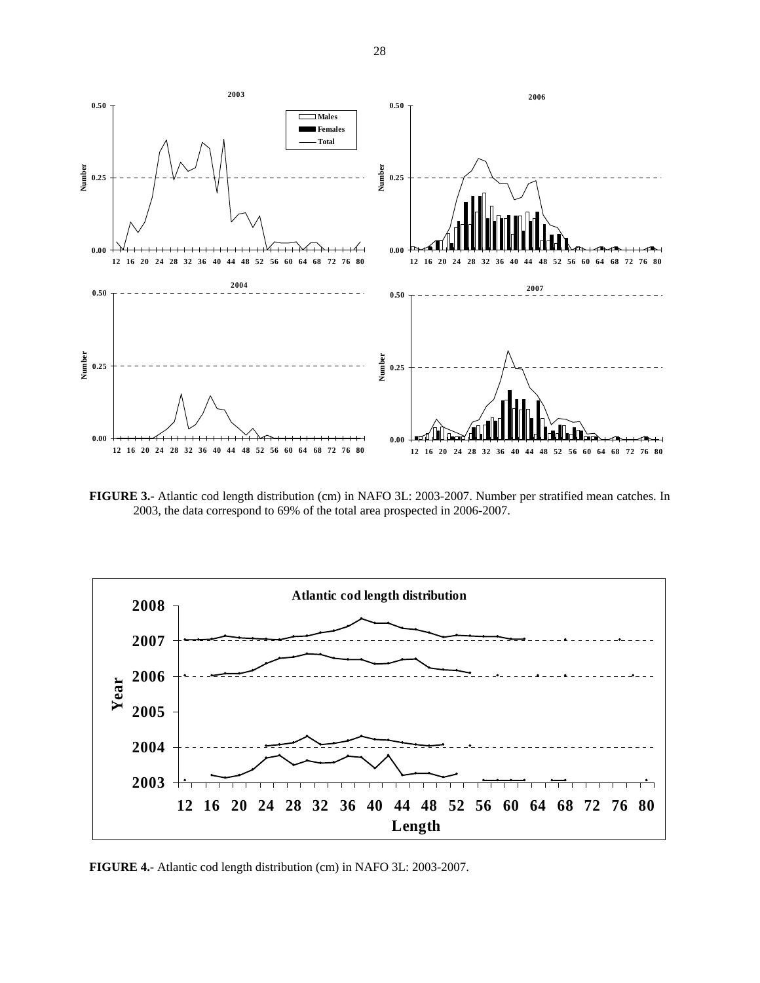

**FIGURE 3.-** Atlantic cod length distribution (cm) in NAFO 3L: 2003-2007. Number per stratified mean catches. In 2003, the data correspond to 69% of the total area prospected in 2006-2007.



**FIGURE 4.-** Atlantic cod length distribution (cm) in NAFO 3L: 2003-2007.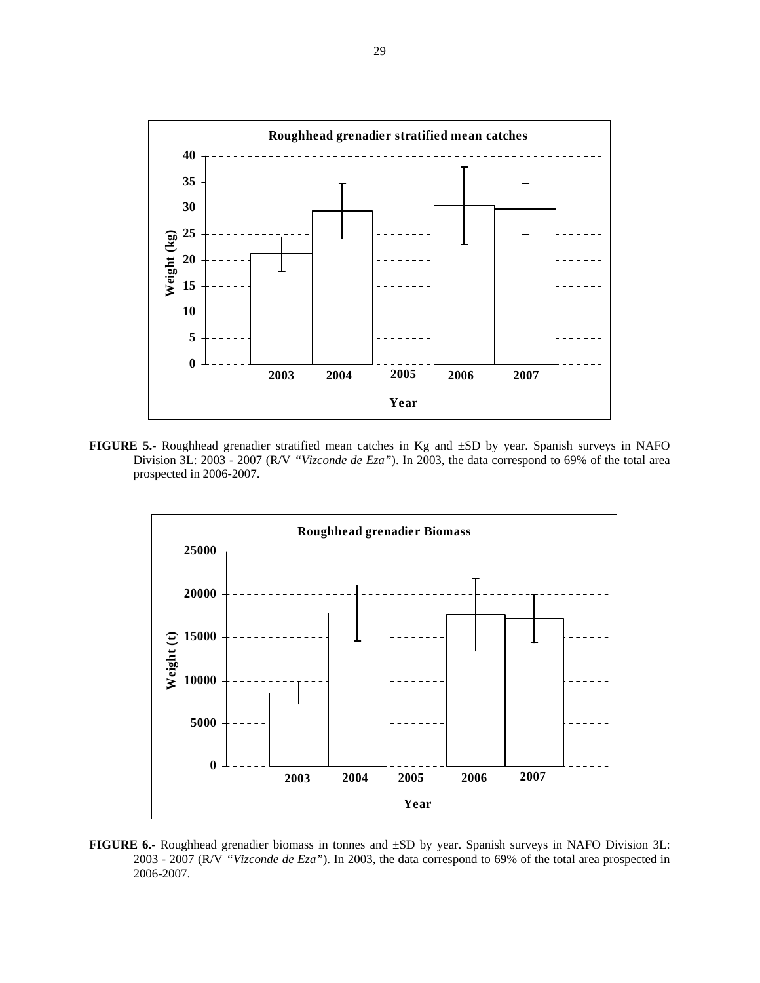

**FIGURE 5.-** Roughhead grenadier stratified mean catches in Kg and ±SD by year. Spanish surveys in NAFO Division 3L: 2003 - 2007 (R/V *"Vizconde de Eza"*). In 2003, the data correspond to 69% of the total area prospected in 2006-2007.



**FIGURE 6.-** Roughhead grenadier biomass in tonnes and ±SD by year. Spanish surveys in NAFO Division 3L: 2003 - 2007 (R/V *"Vizconde de Eza"*). In 2003, the data correspond to 69% of the total area prospected in 2006-2007.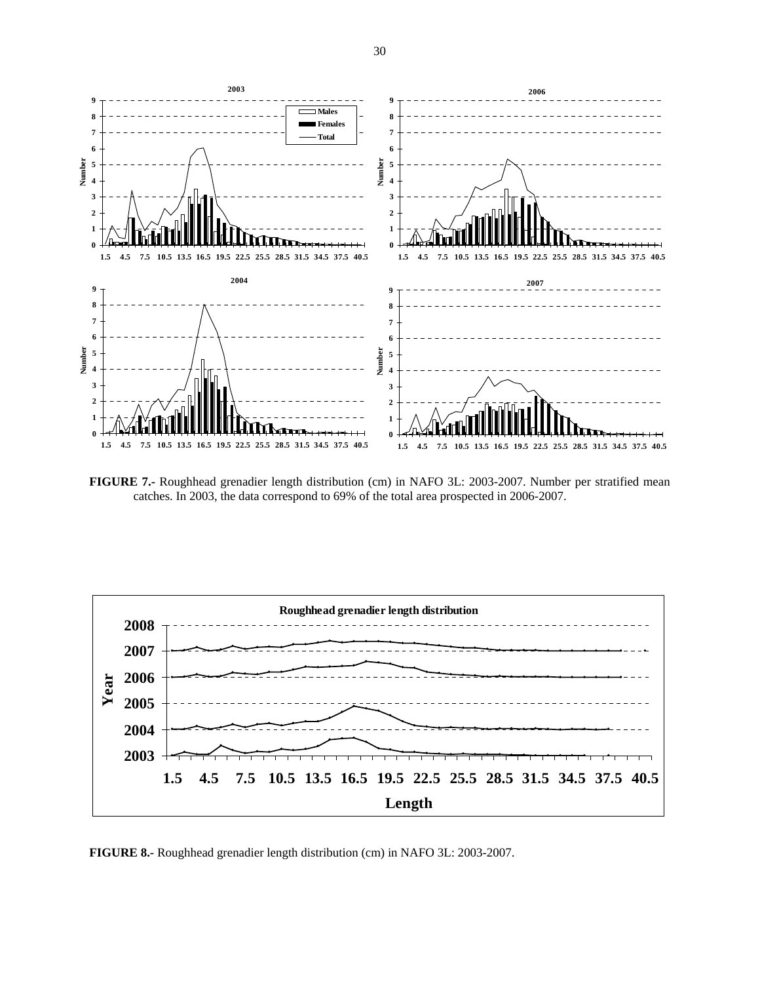

**FIGURE 7.-** Roughhead grenadier length distribution (cm) in NAFO 3L: 2003-2007. Number per stratified mean catches. In 2003, the data correspond to 69% of the total area prospected in 2006-2007.



**FIGURE 8.-** Roughhead grenadier length distribution (cm) in NAFO 3L: 2003-2007.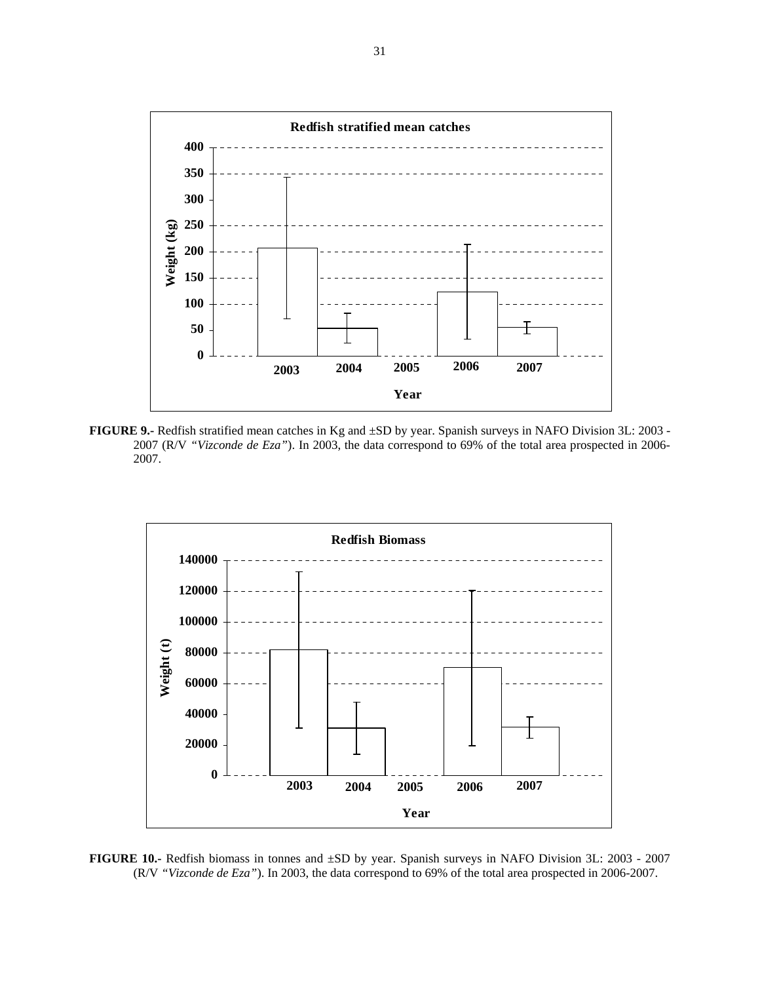

**FIGURE 9.-** Redfish stratified mean catches in Kg and ±SD by year. Spanish surveys in NAFO Division 3L: 2003 - 2007 (R/V *"Vizconde de Eza"*). In 2003, the data correspond to 69% of the total area prospected in 2006- 2007.



**FIGURE 10.-** Redfish biomass in tonnes and ±SD by year. Spanish surveys in NAFO Division 3L: 2003 - 2007 (R/V *"Vizconde de Eza"*). In 2003, the data correspond to 69% of the total area prospected in 2006-2007.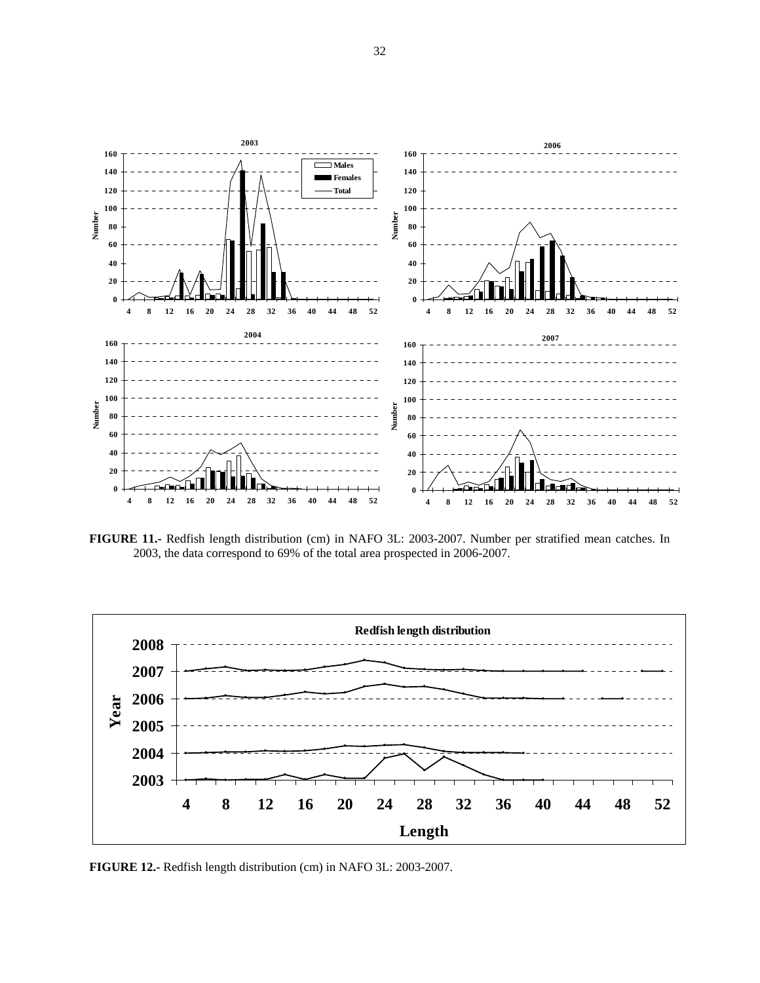

**FIGURE 11.-** Redfish length distribution (cm) in NAFO 3L: 2003-2007. Number per stratified mean catches. In 2003, the data correspond to 69% of the total area prospected in 2006-2007.



**FIGURE 12.-** Redfish length distribution (cm) in NAFO 3L: 2003-2007.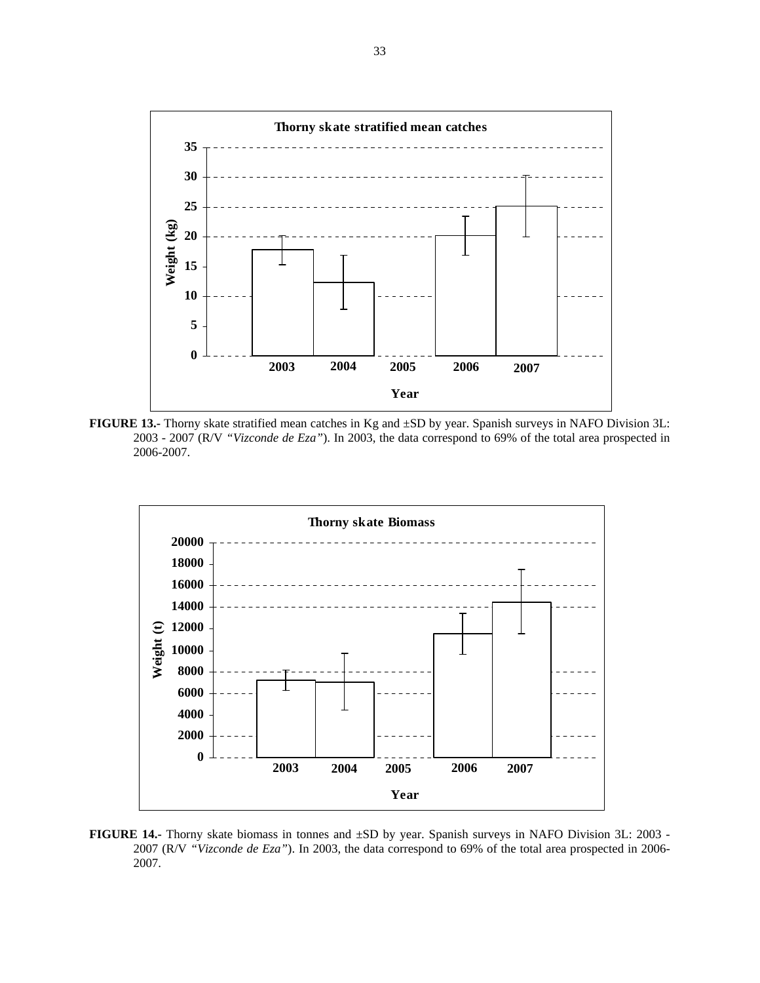

**FIGURE 13.-** Thorny skate stratified mean catches in Kg and ±SD by year. Spanish surveys in NAFO Division 3L: 2003 - 2007 (R/V *"Vizconde de Eza"*). In 2003, the data correspond to 69% of the total area prospected in 2006-2007.



**FIGURE 14.-** Thorny skate biomass in tonnes and ±SD by year. Spanish surveys in NAFO Division 3L: 2003 - 2007 (R/V *"Vizconde de Eza"*). In 2003, the data correspond to 69% of the total area prospected in 2006- 2007.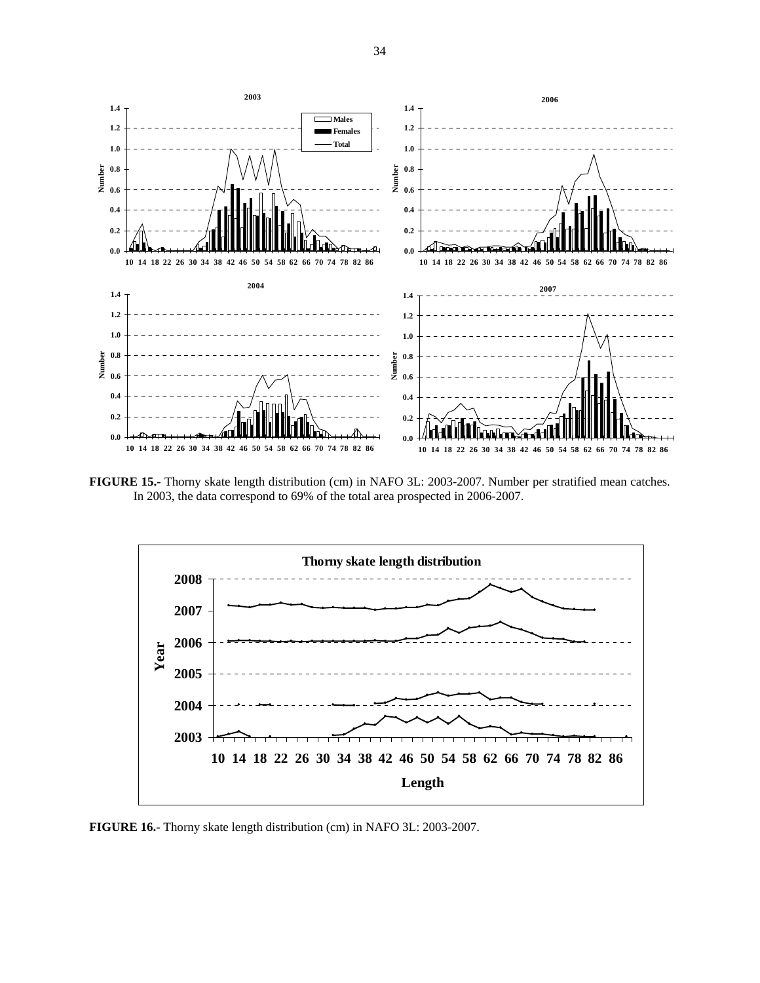

**FIGURE 15.-** Thorny skate length distribution (cm) in NAFO 3L: 2003-2007. Number per stratified mean catches. In 2003, the data correspond to 69% of the total area prospected in 2006-2007.



**FIGURE 16.-** Thorny skate length distribution (cm) in NAFO 3L: 2003-2007.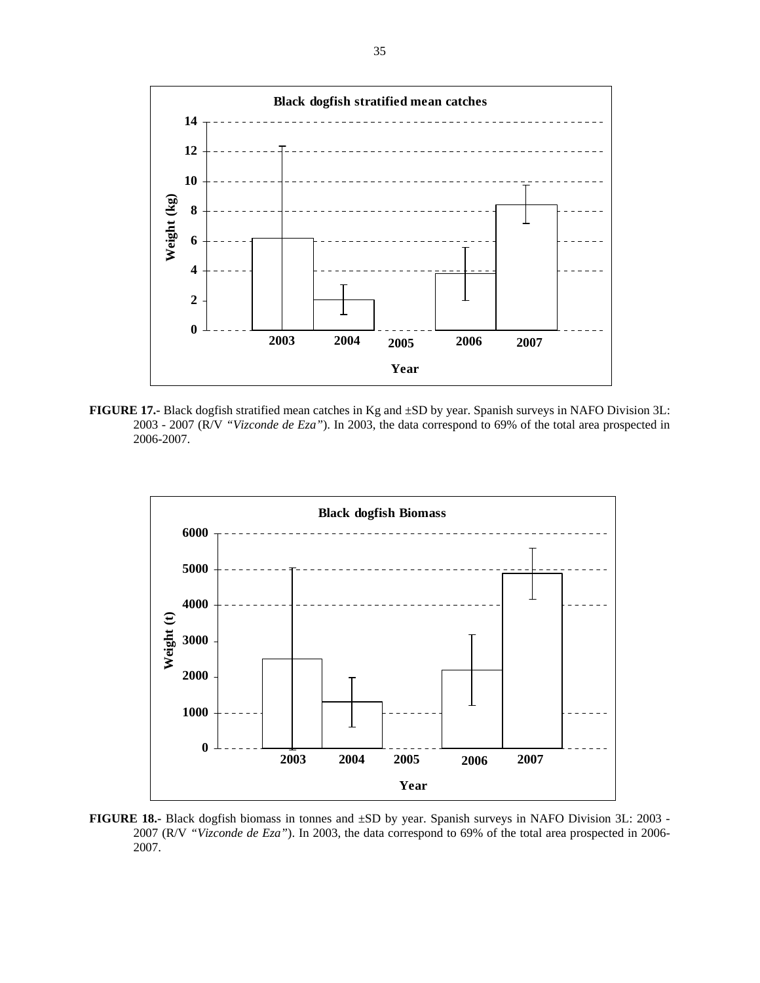

**FIGURE 17.-** Black dogfish stratified mean catches in Kg and ±SD by year. Spanish surveys in NAFO Division 3L: 2003 - 2007 (R/V *"Vizconde de Eza"*). In 2003, the data correspond to 69% of the total area prospected in 2006-2007.



**FIGURE 18.-** Black dogfish biomass in tonnes and ±SD by year. Spanish surveys in NAFO Division 3L: 2003 - 2007 (R/V *"Vizconde de Eza"*). In 2003, the data correspond to 69% of the total area prospected in 2006- 2007.